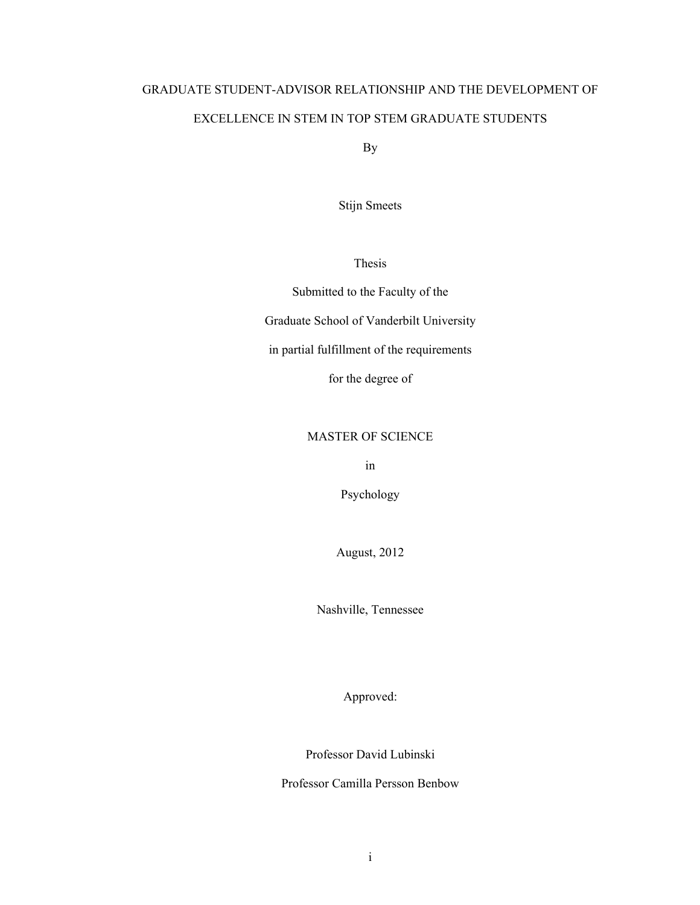# GRADUATE STUDENT-ADVISOR RELATIONSHIP AND THE DEVELOPMENT OF EXCELLENCE IN STEM IN TOP STEM GRADUATE STUDENTS

By

Stijn Smeets

Thesis

Submitted to the Faculty of the

Graduate School of Vanderbilt University

in partial fulfillment of the requirements

for the degree of

# MASTER OF SCIENCE

in

Psychology

August, 2012

Nashville, Tennessee

Approved:

Professor David Lubinski

Professor Camilla Persson Benbow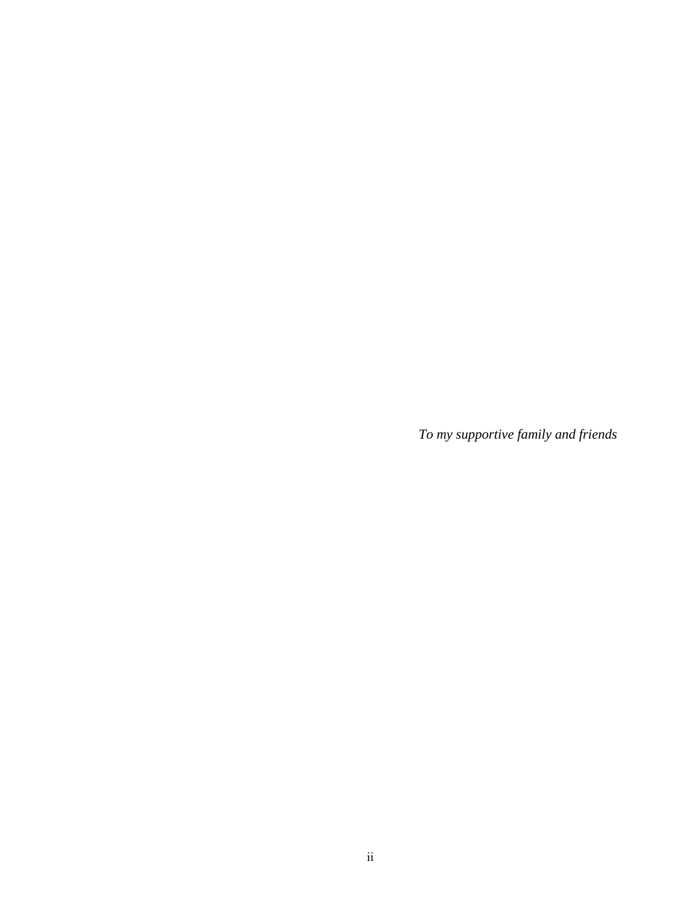*To my supportive family and friends*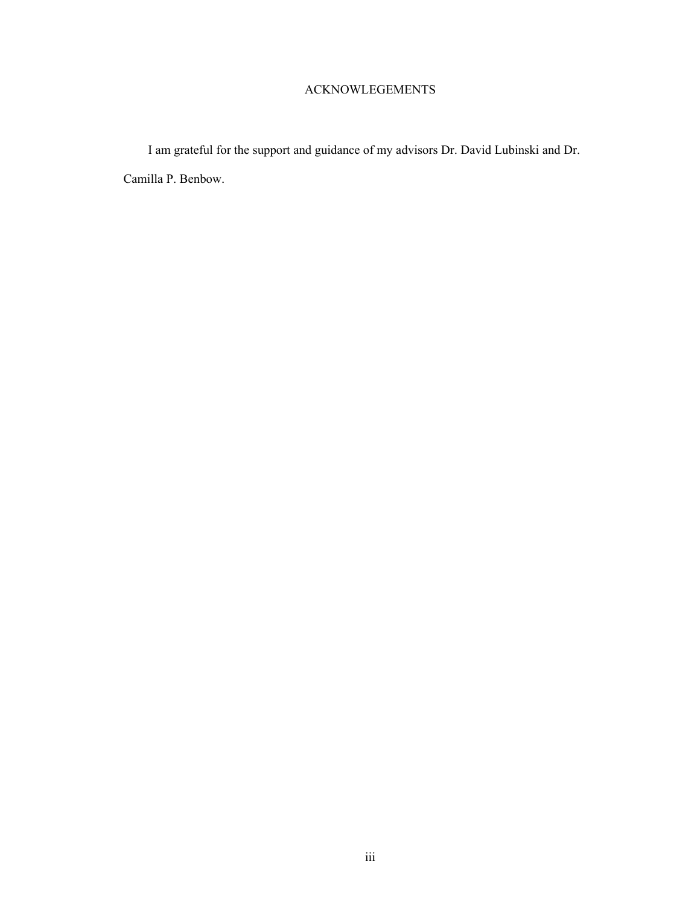# ACKNOWLEGEMENTS

I am grateful for the support and guidance of my advisors Dr. David Lubinski and Dr. Camilla P. Benbow.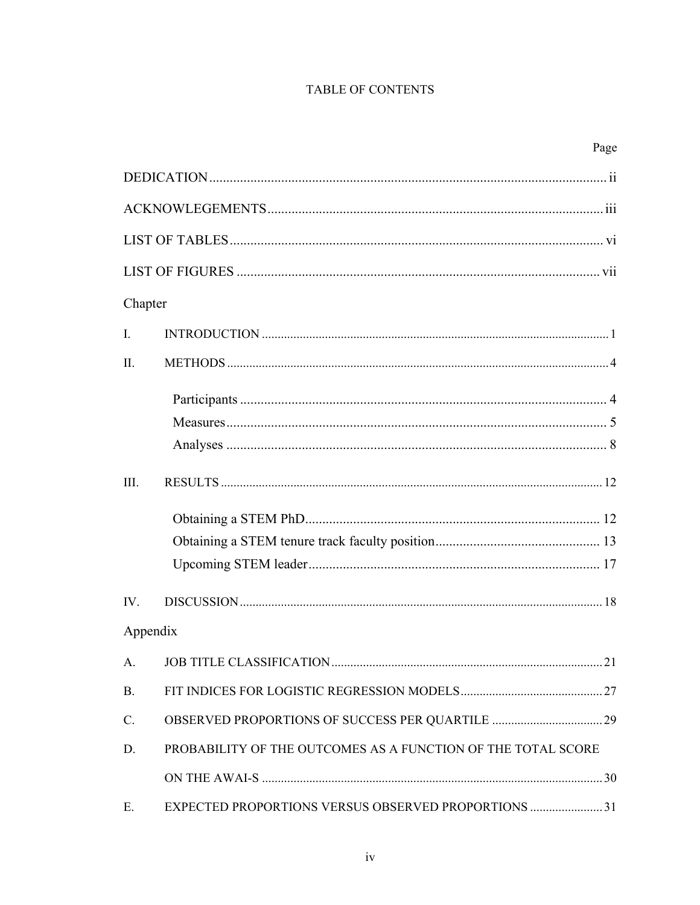# TABLE OF CONTENTS

|                |                                                              | Page |
|----------------|--------------------------------------------------------------|------|
|                |                                                              |      |
|                |                                                              |      |
|                |                                                              |      |
|                |                                                              |      |
| Chapter        |                                                              |      |
| $\mathbf{I}$ . |                                                              |      |
| II.            |                                                              |      |
|                |                                                              |      |
|                |                                                              |      |
|                |                                                              |      |
| III.           |                                                              |      |
|                |                                                              |      |
|                |                                                              |      |
|                |                                                              |      |
| $IV_{\cdot}$   |                                                              |      |
| Appendix       |                                                              |      |
| A.             |                                                              |      |
| <b>B.</b>      |                                                              |      |
| C.             |                                                              |      |
| D.             | PROBABILITY OF THE OUTCOMES AS A FUNCTION OF THE TOTAL SCORE |      |
|                |                                                              |      |
| Е.             | <b>EXPECTED PROPORTIONS VERSUS OBSERVED PROPORTIONS  31</b>  |      |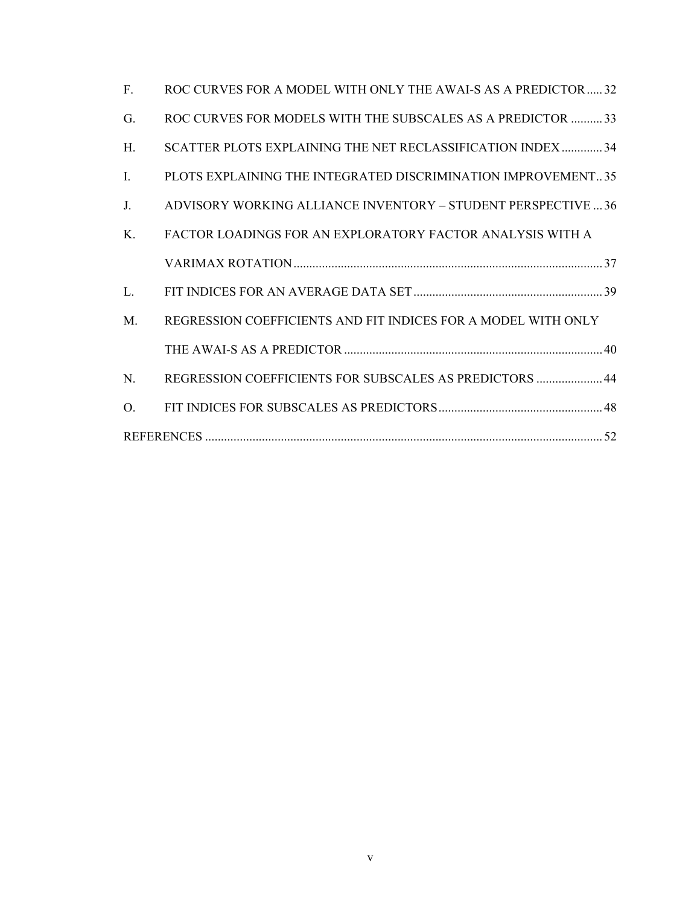| $\mathbf{F}$ | ROC CURVES FOR A MODEL WITH ONLY THE AWAI-S AS A PREDICTOR32  |
|--------------|---------------------------------------------------------------|
| G.           | ROC CURVES FOR MODELS WITH THE SUBSCALES AS A PREDICTOR  33   |
| H.           | SCATTER PLOTS EXPLAINING THE NET RECLASSIFICATION INDEX 34    |
| $\mathbf{I}$ | PLOTS EXPLAINING THE INTEGRATED DISCRIMINATION IMPROVEMENT35  |
| $J_{-}$      | ADVISORY WORKING ALLIANCE INVENTORY - STUDENT PERSPECTIVE  36 |
| K            | FACTOR LOADINGS FOR AN EXPLORATORY FACTOR ANALYSIS WITH A     |
|              |                                                               |
| L.           |                                                               |
| M.           | REGRESSION COEFFICIENTS AND FIT INDICES FOR A MODEL WITH ONLY |
|              |                                                               |
| N.           | REGRESSION COEFFICIENTS FOR SUBSCALES AS PREDICTORS  44       |
| $\Omega$ .   |                                                               |
|              |                                                               |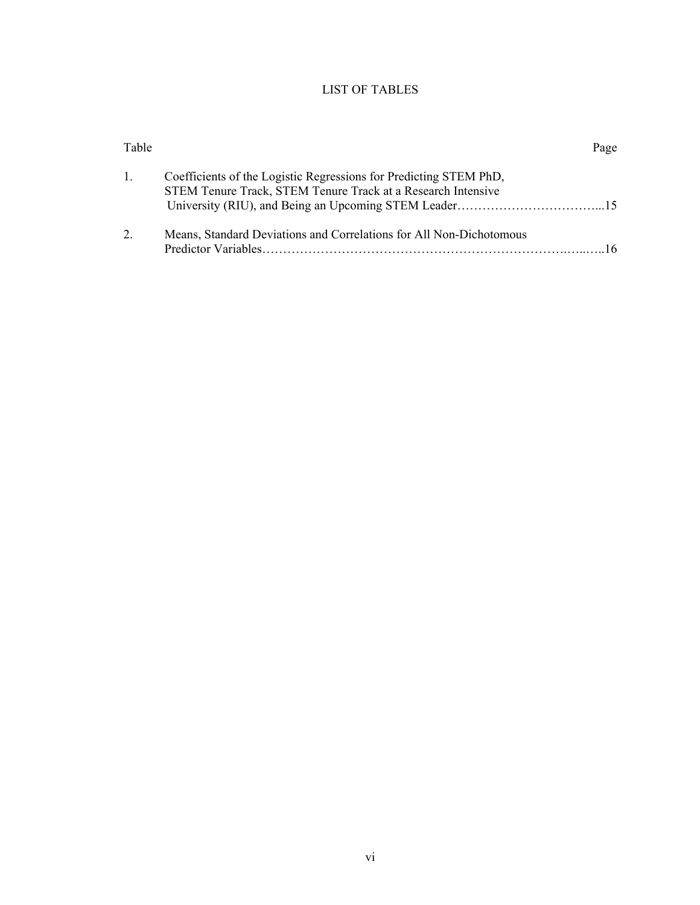# LIST OF TABLES

| Table          | Page                                                                                                                              |
|----------------|-----------------------------------------------------------------------------------------------------------------------------------|
| $\mathbf{1}$ . | Coefficients of the Logistic Regressions for Predicting STEM PhD,<br>STEM Tenure Track, STEM Tenure Track at a Research Intensive |
| 2.             | Means, Standard Deviations and Correlations for All Non-Dichotomous                                                               |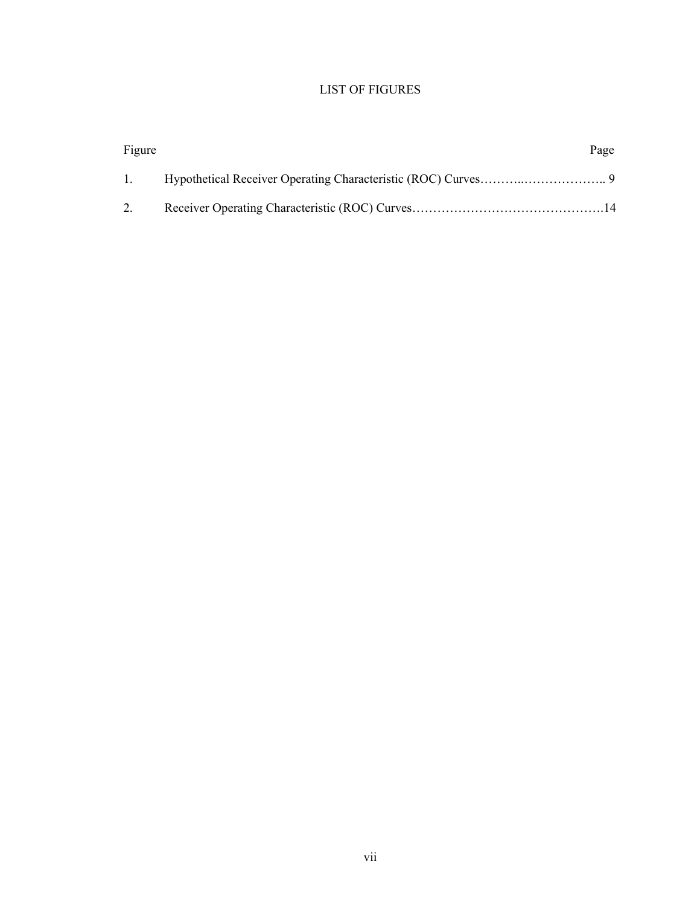# LIST OF FIGURES

| Figure         | Page |
|----------------|------|
| $\mathbf{1}$ . |      |
| 2.             |      |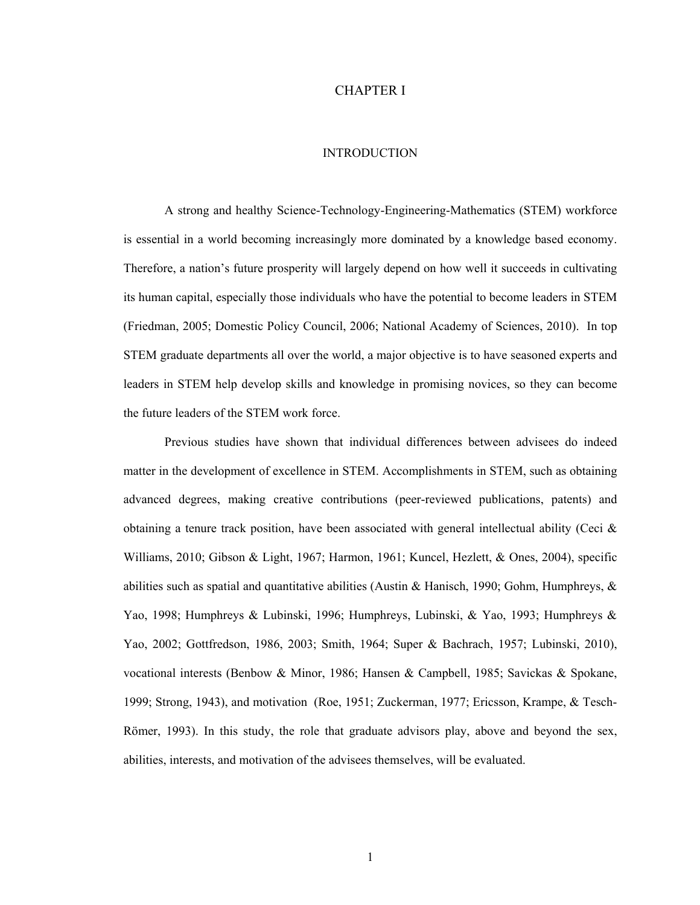## CHAPTER I

## **INTRODUCTION**

A strong and healthy Science-Technology-Engineering-Mathematics (STEM) workforce is essential in a world becoming increasingly more dominated by a knowledge based economy. Therefore, a nation's future prosperity will largely depend on how well it succeeds in cultivating its human capital, especially those individuals who have the potential to become leaders in STEM (Friedman, 2005; Domestic Policy Council, 2006; National Academy of Sciences, 2010). In top STEM graduate departments all over the world, a major objective is to have seasoned experts and leaders in STEM help develop skills and knowledge in promising novices, so they can become the future leaders of the STEM work force.

Previous studies have shown that individual differences between advisees do indeed matter in the development of excellence in STEM. Accomplishments in STEM, such as obtaining advanced degrees, making creative contributions (peer-reviewed publications, patents) and obtaining a tenure track position, have been associated with general intellectual ability (Ceci  $\&$ Williams, 2010; Gibson & Light, 1967; Harmon, 1961; Kuncel, Hezlett, & Ones, 2004), specific abilities such as spatial and quantitative abilities (Austin & Hanisch, 1990; Gohm, Humphreys,  $\&$ Yao, 1998; Humphreys & Lubinski, 1996; Humphreys, Lubinski, & Yao, 1993; Humphreys & Yao, 2002; Gottfredson, 1986, 2003; Smith, 1964; Super & Bachrach, 1957; Lubinski, 2010), vocational interests (Benbow & Minor, 1986; Hansen & Campbell, 1985; Savickas & Spokane, 1999; Strong, 1943), and motivation (Roe, 1951; Zuckerman, 1977; Ericsson, Krampe, & Tesch-Römer, 1993). In this study, the role that graduate advisors play, above and beyond the sex, abilities, interests, and motivation of the advisees themselves, will be evaluated.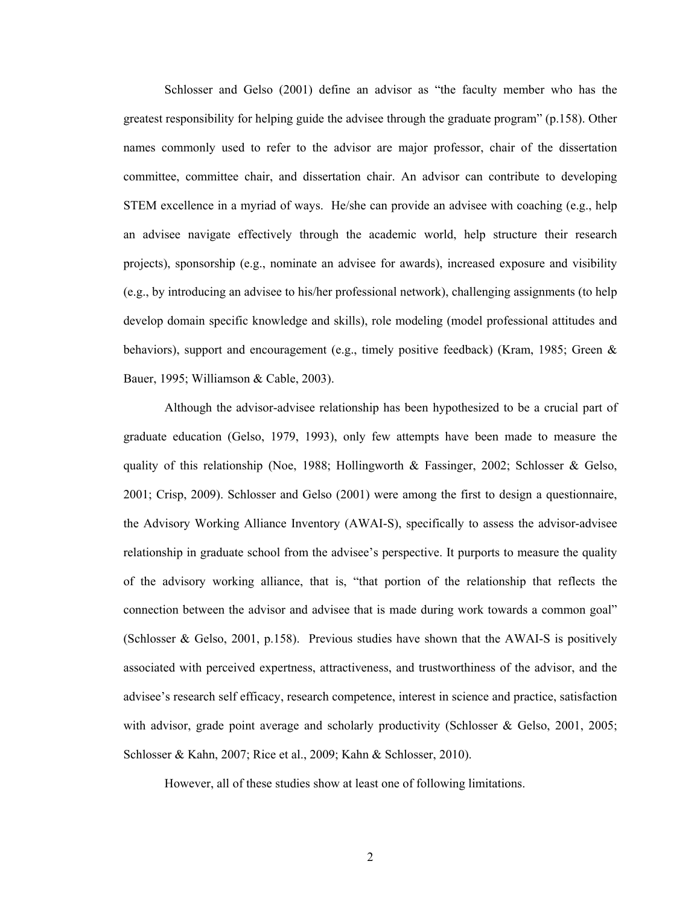Schlosser and Gelso (2001) define an advisor as "the faculty member who has the greatest responsibility for helping guide the advisee through the graduate program" (p.158). Other names commonly used to refer to the advisor are major professor, chair of the dissertation committee, committee chair, and dissertation chair. An advisor can contribute to developing STEM excellence in a myriad of ways. He/she can provide an advisee with coaching (e.g., help an advisee navigate effectively through the academic world, help structure their research projects), sponsorship (e.g., nominate an advisee for awards), increased exposure and visibility (e.g., by introducing an advisee to his/her professional network), challenging assignments (to help develop domain specific knowledge and skills), role modeling (model professional attitudes and behaviors), support and encouragement (e.g., timely positive feedback) (Kram, 1985; Green & Bauer, 1995; Williamson & Cable, 2003).

Although the advisor-advisee relationship has been hypothesized to be a crucial part of graduate education (Gelso, 1979, 1993), only few attempts have been made to measure the quality of this relationship (Noe, 1988; Hollingworth & Fassinger, 2002; Schlosser & Gelso, 2001; Crisp, 2009). Schlosser and Gelso (2001) were among the first to design a questionnaire, the Advisory Working Alliance Inventory (AWAI-S), specifically to assess the advisor-advisee relationship in graduate school from the advisee's perspective. It purports to measure the quality of the advisory working alliance, that is, "that portion of the relationship that reflects the connection between the advisor and advisee that is made during work towards a common goal" (Schlosser & Gelso, 2001, p.158). Previous studies have shown that the AWAI-S is positively associated with perceived expertness, attractiveness, and trustworthiness of the advisor, and the advisee's research self efficacy, research competence, interest in science and practice, satisfaction with advisor, grade point average and scholarly productivity (Schlosser & Gelso, 2001, 2005; Schlosser & Kahn, 2007; Rice et al., 2009; Kahn & Schlosser, 2010).

However, all of these studies show at least one of following limitations.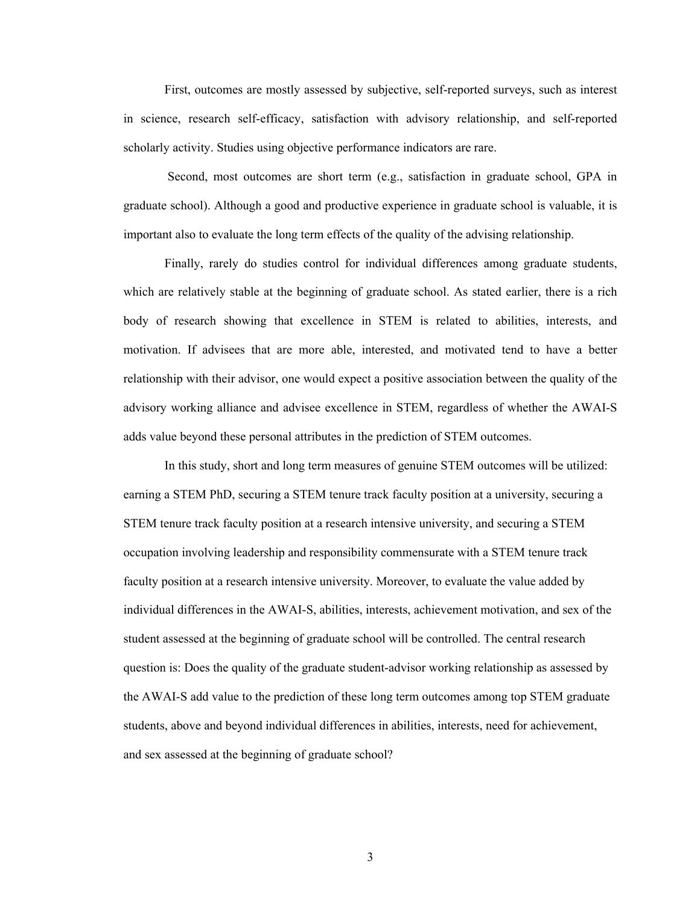First, outcomes are mostly assessed by subjective, self-reported surveys, such as interest in science, research self-efficacy, satisfaction with advisory relationship, and self-reported scholarly activity. Studies using objective performance indicators are rare.

 Second, most outcomes are short term (e.g., satisfaction in graduate school, GPA in graduate school). Although a good and productive experience in graduate school is valuable, it is important also to evaluate the long term effects of the quality of the advising relationship.

Finally, rarely do studies control for individual differences among graduate students, which are relatively stable at the beginning of graduate school. As stated earlier, there is a rich body of research showing that excellence in STEM is related to abilities, interests, and motivation. If advisees that are more able, interested, and motivated tend to have a better relationship with their advisor, one would expect a positive association between the quality of the advisory working alliance and advisee excellence in STEM, regardless of whether the AWAI-S adds value beyond these personal attributes in the prediction of STEM outcomes.

In this study, short and long term measures of genuine STEM outcomes will be utilized: earning a STEM PhD, securing a STEM tenure track faculty position at a university, securing a STEM tenure track faculty position at a research intensive university, and securing a STEM occupation involving leadership and responsibility commensurate with a STEM tenure track faculty position at a research intensive university. Moreover, to evaluate the value added by individual differences in the AWAI-S, abilities, interests, achievement motivation, and sex of the student assessed at the beginning of graduate school will be controlled. The central research question is: Does the quality of the graduate student-advisor working relationship as assessed by the AWAI-S add value to the prediction of these long term outcomes among top STEM graduate students, above and beyond individual differences in abilities, interests, need for achievement, and sex assessed at the beginning of graduate school?

3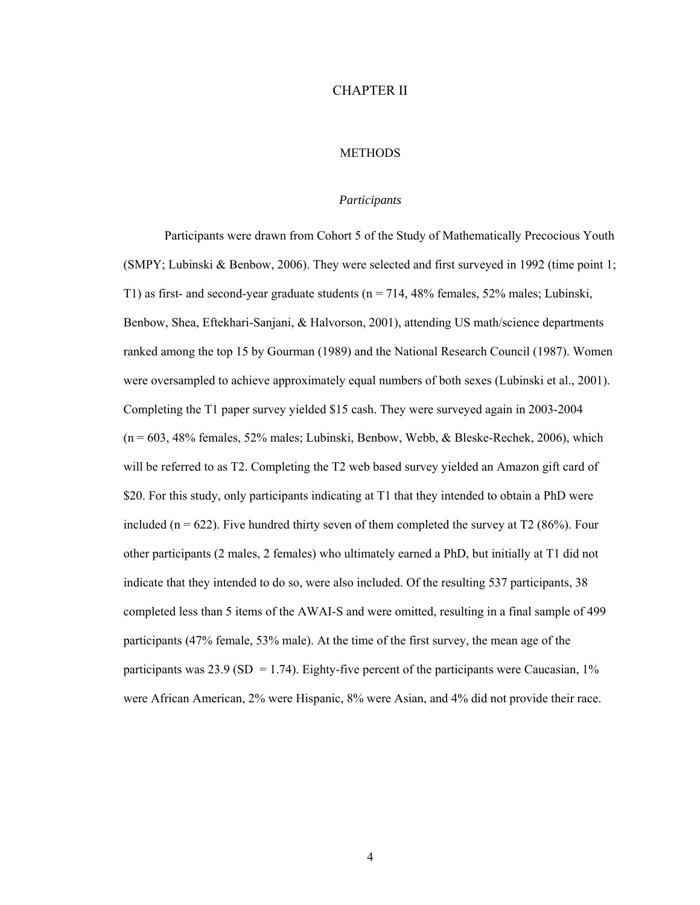## CHAPTER II

## **METHODS**

#### *Participants*

Participants were drawn from Cohort 5 of the Study of Mathematically Precocious Youth (SMPY; Lubinski & Benbow, 2006). They were selected and first surveyed in 1992 (time point 1; T1) as first- and second-year graduate students (n = 714, 48% females, 52% males; Lubinski, Benbow, Shea, Eftekhari-Sanjani, & Halvorson, 2001), attending US math/science departments ranked among the top 15 by Gourman (1989) and the National Research Council (1987). Women were oversampled to achieve approximately equal numbers of both sexes (Lubinski et al., 2001). Completing the T1 paper survey yielded \$15 cash. They were surveyed again in 2003-2004  $(n = 603, 48\%$  females, 52% males; Lubinski, Benbow, Webb, & Bleske-Rechek, 2006), which will be referred to as T2. Completing the T2 web based survey yielded an Amazon gift card of \$20. For this study, only participants indicating at T1 that they intended to obtain a PhD were included ( $n = 622$ ). Five hundred thirty seven of them completed the survey at T2 (86%). Four other participants (2 males, 2 females) who ultimately earned a PhD, but initially at T1 did not indicate that they intended to do so, were also included. Of the resulting 537 participants, 38 completed less than 5 items of the AWAI-S and were omitted, resulting in a final sample of 499 participants (47% female, 53% male). At the time of the first survey, the mean age of the participants was 23.9 (SD = 1.74). Eighty-five percent of the participants were Caucasian,  $1\%$ were African American, 2% were Hispanic, 8% were Asian, and 4% did not provide their race.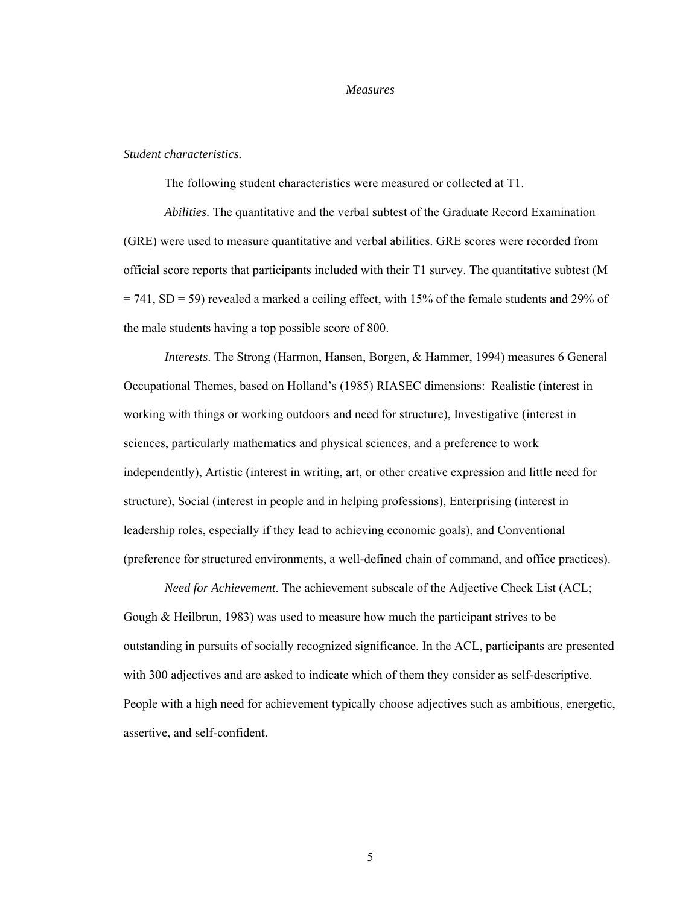#### *Measures*

#### *Student characteristics.*

The following student characteristics were measured or collected at T1.

*Abilities*. The quantitative and the verbal subtest of the Graduate Record Examination (GRE) were used to measure quantitative and verbal abilities. GRE scores were recorded from official score reports that participants included with their T1 survey. The quantitative subtest (M  $= 741$ , SD = 59) revealed a marked a ceiling effect, with 15% of the female students and 29% of the male students having a top possible score of 800.

*Interests*. The Strong (Harmon, Hansen, Borgen, & Hammer, 1994) measures 6 General Occupational Themes, based on Holland's (1985) RIASEC dimensions: Realistic (interest in working with things or working outdoors and need for structure), Investigative (interest in sciences, particularly mathematics and physical sciences, and a preference to work independently), Artistic (interest in writing, art, or other creative expression and little need for structure), Social (interest in people and in helping professions), Enterprising (interest in leadership roles, especially if they lead to achieving economic goals), and Conventional (preference for structured environments, a well-defined chain of command, and office practices).

*Need for Achievement*. The achievement subscale of the Adjective Check List (ACL; Gough  $\&$  Heilbrun, 1983) was used to measure how much the participant strives to be outstanding in pursuits of socially recognized significance. In the ACL, participants are presented with 300 adjectives and are asked to indicate which of them they consider as self-descriptive. People with a high need for achievement typically choose adjectives such as ambitious, energetic, assertive, and self-confident.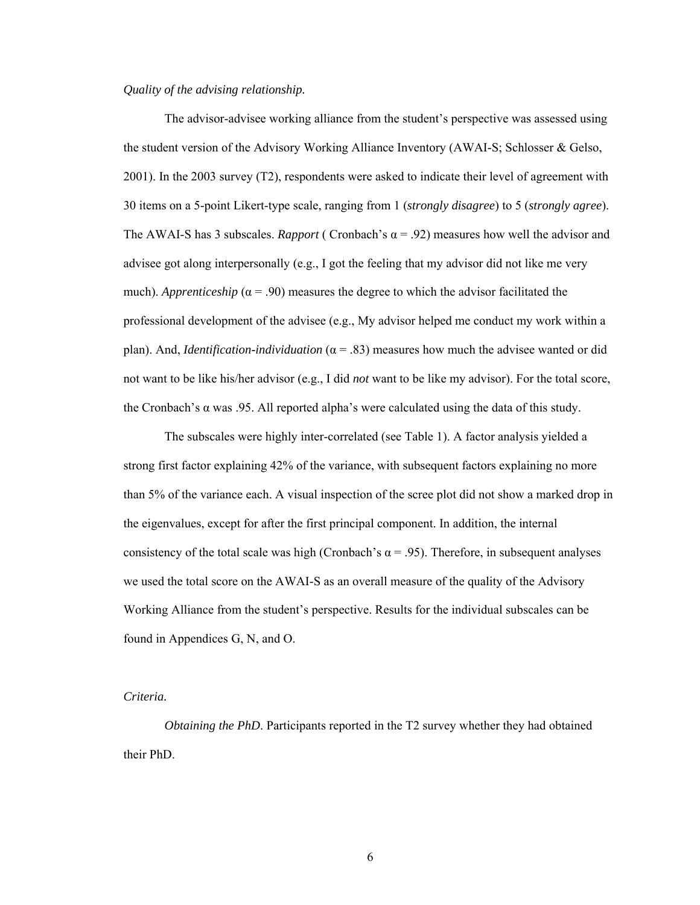## *Quality of the advising relationship.*

The advisor-advisee working alliance from the student's perspective was assessed using the student version of the Advisory Working Alliance Inventory (AWAI-S; Schlosser & Gelso, 2001). In the 2003 survey (T2), respondents were asked to indicate their level of agreement with 30 items on a 5-point Likert-type scale, ranging from 1 (*strongly disagree*) to 5 (*strongly agree*). The AWAI-S has 3 subscales. *Rapport* ( Cronbach's  $\alpha$  = .92) measures how well the advisor and advisee got along interpersonally (e.g., I got the feeling that my advisor did not like me very much). *Apprenticeship* ( $\alpha$  = .90) measures the degree to which the advisor facilitated the professional development of the advisee (e.g., My advisor helped me conduct my work within a plan). And, *Identification-individuation* (α = .83) measures how much the advisee wanted or did not want to be like his/her advisor (e.g., I did *not* want to be like my advisor). For the total score, the Cronbach's  $\alpha$  was .95. All reported alpha's were calculated using the data of this study.

The subscales were highly inter-correlated (see Table 1). A factor analysis yielded a strong first factor explaining 42% of the variance, with subsequent factors explaining no more than 5% of the variance each. A visual inspection of the scree plot did not show a marked drop in the eigenvalues, except for after the first principal component. In addition, the internal consistency of the total scale was high (Cronbach's  $\alpha$  = .95). Therefore, in subsequent analyses we used the total score on the AWAI-S as an overall measure of the quality of the Advisory Working Alliance from the student's perspective. Results for the individual subscales can be found in Appendices G, N, and O.

# *Criteria.*

*Obtaining the PhD*. Participants reported in the T2 survey whether they had obtained their PhD.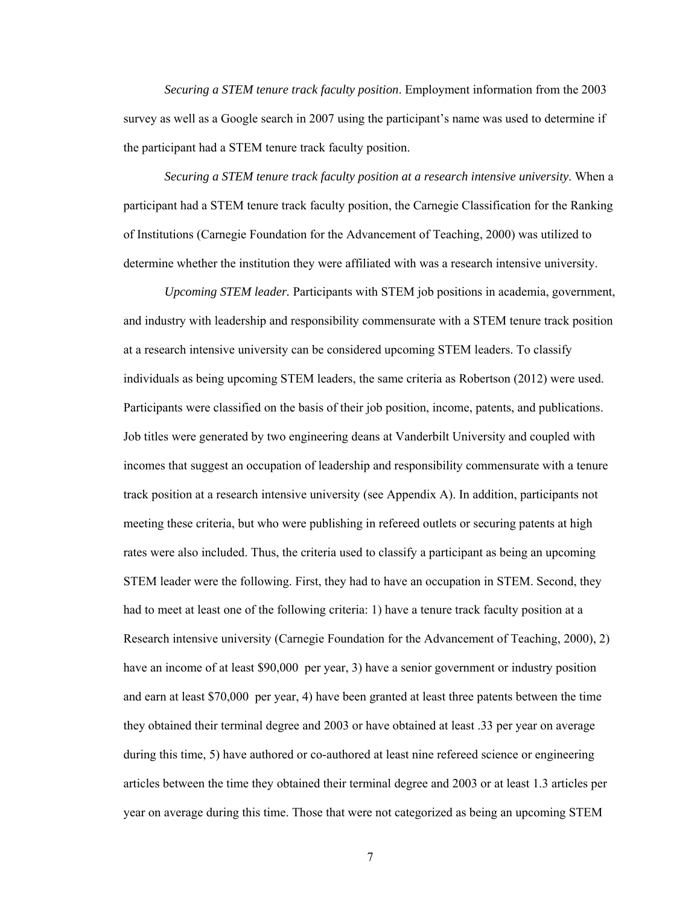*Securing a STEM tenure track faculty position*. Employment information from the 2003 survey as well as a Google search in 2007 using the participant's name was used to determine if the participant had a STEM tenure track faculty position.

*Securing a STEM tenure track faculty position at a research intensive university*. When a participant had a STEM tenure track faculty position, the Carnegie Classification for the Ranking of Institutions (Carnegie Foundation for the Advancement of Teaching, 2000) was utilized to determine whether the institution they were affiliated with was a research intensive university.

*Upcoming STEM leader.* Participants with STEM job positions in academia, government, and industry with leadership and responsibility commensurate with a STEM tenure track position at a research intensive university can be considered upcoming STEM leaders. To classify individuals as being upcoming STEM leaders, the same criteria as Robertson (2012) were used. Participants were classified on the basis of their job position, income, patents, and publications. Job titles were generated by two engineering deans at Vanderbilt University and coupled with incomes that suggest an occupation of leadership and responsibility commensurate with a tenure track position at a research intensive university (see Appendix A). In addition, participants not meeting these criteria, but who were publishing in refereed outlets or securing patents at high rates were also included. Thus, the criteria used to classify a participant as being an upcoming STEM leader were the following. First, they had to have an occupation in STEM. Second, they had to meet at least one of the following criteria: 1) have a tenure track faculty position at a Research intensive university (Carnegie Foundation for the Advancement of Teaching, 2000), 2) have an income of at least \$90,000 per year, 3) have a senior government or industry position and earn at least \$70,000 per year, 4) have been granted at least three patents between the time they obtained their terminal degree and 2003 or have obtained at least .33 per year on average during this time, 5) have authored or co-authored at least nine refereed science or engineering articles between the time they obtained their terminal degree and 2003 or at least 1.3 articles per year on average during this time. Those that were not categorized as being an upcoming STEM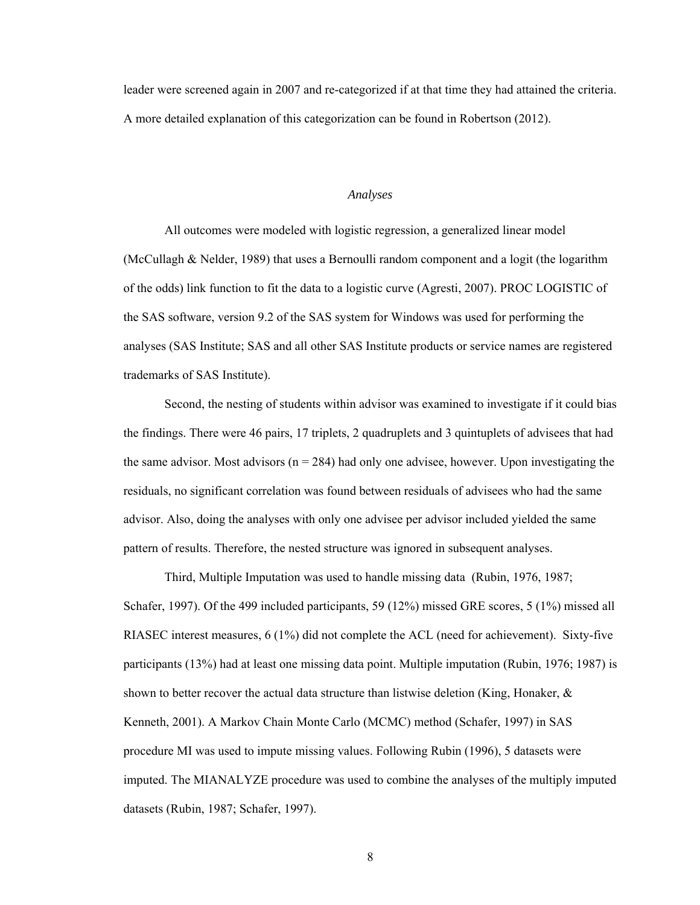leader were screened again in 2007 and re-categorized if at that time they had attained the criteria. A more detailed explanation of this categorization can be found in Robertson (2012).

### *Analyses*

All outcomes were modeled with logistic regression, a generalized linear model (McCullagh & Nelder, 1989) that uses a Bernoulli random component and a logit (the logarithm of the odds) link function to fit the data to a logistic curve (Agresti, 2007). PROC LOGISTIC of the SAS software, version 9.2 of the SAS system for Windows was used for performing the analyses (SAS Institute; SAS and all other SAS Institute products or service names are registered trademarks of SAS Institute).

Second, the nesting of students within advisor was examined to investigate if it could bias the findings. There were 46 pairs, 17 triplets, 2 quadruplets and 3 quintuplets of advisees that had the same advisor. Most advisors ( $n = 284$ ) had only one advisee, however. Upon investigating the residuals, no significant correlation was found between residuals of advisees who had the same advisor. Also, doing the analyses with only one advisee per advisor included yielded the same pattern of results. Therefore, the nested structure was ignored in subsequent analyses.

Third, Multiple Imputation was used to handle missing data (Rubin, 1976, 1987; Schafer, 1997). Of the 499 included participants, 59 (12%) missed GRE scores, 5 (1%) missed all RIASEC interest measures, 6 (1%) did not complete the ACL (need for achievement). Sixty-five participants (13%) had at least one missing data point. Multiple imputation (Rubin, 1976; 1987) is shown to better recover the actual data structure than listwise deletion (King, Honaker,  $\&$ Kenneth, 2001). A Markov Chain Monte Carlo (MCMC) method (Schafer, 1997) in SAS procedure MI was used to impute missing values. Following Rubin (1996), 5 datasets were imputed. The MIANALYZE procedure was used to combine the analyses of the multiply imputed datasets (Rubin, 1987; Schafer, 1997).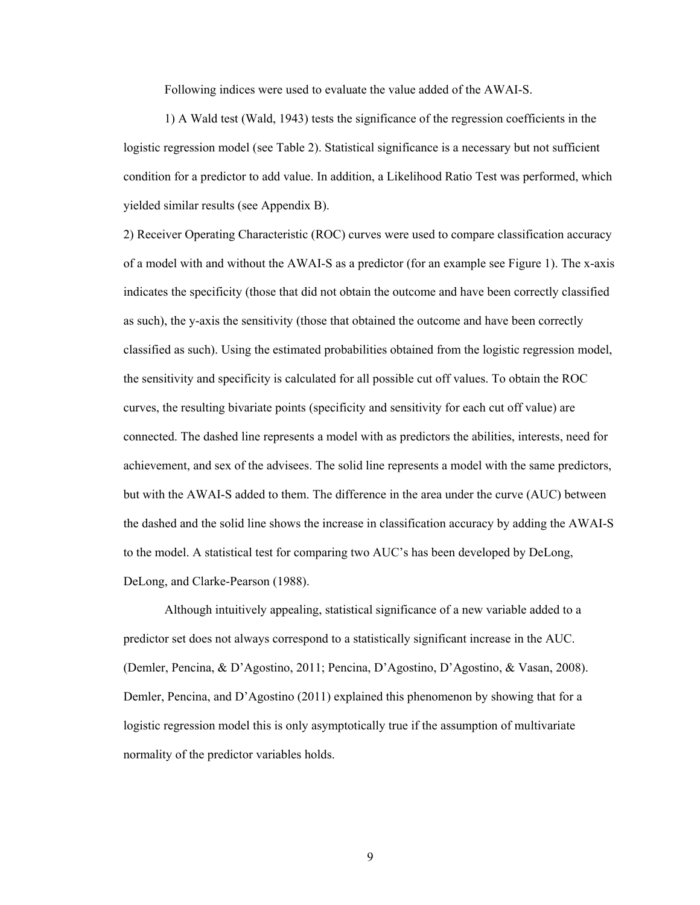Following indices were used to evaluate the value added of the AWAI-S.

1) A Wald test (Wald, 1943) tests the significance of the regression coefficients in the logistic regression model (see Table 2). Statistical significance is a necessary but not sufficient condition for a predictor to add value. In addition, a Likelihood Ratio Test was performed, which yielded similar results (see Appendix B).

2) Receiver Operating Characteristic (ROC) curves were used to compare classification accuracy of a model with and without the AWAI-S as a predictor (for an example see Figure 1). The x-axis indicates the specificity (those that did not obtain the outcome and have been correctly classified as such), the y-axis the sensitivity (those that obtained the outcome and have been correctly classified as such). Using the estimated probabilities obtained from the logistic regression model, the sensitivity and specificity is calculated for all possible cut off values. To obtain the ROC curves, the resulting bivariate points (specificity and sensitivity for each cut off value) are connected. The dashed line represents a model with as predictors the abilities, interests, need for achievement, and sex of the advisees. The solid line represents a model with the same predictors, but with the AWAI-S added to them. The difference in the area under the curve (AUC) between the dashed and the solid line shows the increase in classification accuracy by adding the AWAI-S to the model. A statistical test for comparing two AUC's has been developed by DeLong, DeLong, and Clarke-Pearson (1988).

Although intuitively appealing, statistical significance of a new variable added to a predictor set does not always correspond to a statistically significant increase in the AUC. (Demler, Pencina, & D'Agostino, 2011; Pencina, D'Agostino, D'Agostino, & Vasan, 2008). Demler, Pencina, and D'Agostino (2011) explained this phenomenon by showing that for a logistic regression model this is only asymptotically true if the assumption of multivariate normality of the predictor variables holds.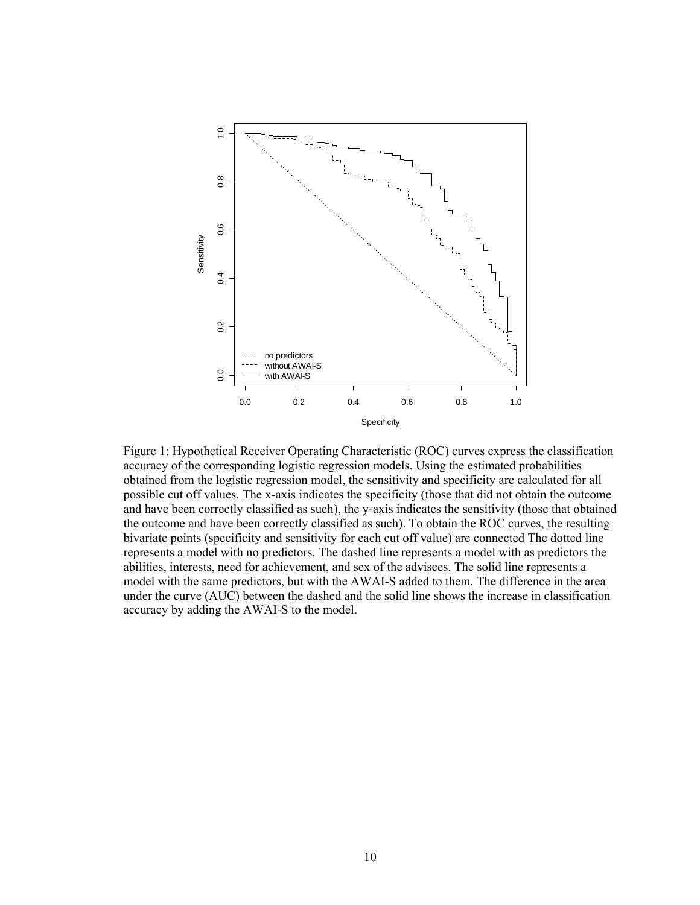

Figure 1: Hypothetical Receiver Operating Characteristic (ROC) curves express the classification accuracy of the corresponding logistic regression models. Using the estimated probabilities obtained from the logistic regression model, the sensitivity and specificity are calculated for all possible cut off values. The x-axis indicates the specificity (those that did not obtain the outcome and have been correctly classified as such), the y-axis indicates the sensitivity (those that obtained the outcome and have been correctly classified as such). To obtain the ROC curves, the resulting bivariate points (specificity and sensitivity for each cut off value) are connected The dotted line represents a model with no predictors. The dashed line represents a model with as predictors the abilities, interests, need for achievement, and sex of the advisees. The solid line represents a model with the same predictors, but with the AWAI-S added to them. The difference in the area under the curve (AUC) between the dashed and the solid line shows the increase in classification accuracy by adding the AWAI-S to the model.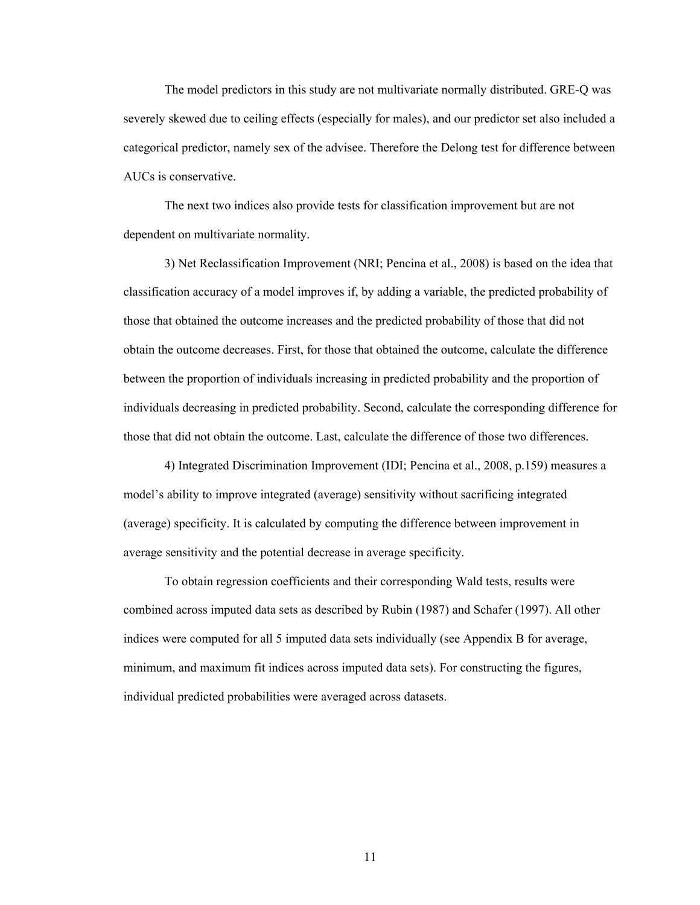The model predictors in this study are not multivariate normally distributed. GRE-Q was severely skewed due to ceiling effects (especially for males), and our predictor set also included a categorical predictor, namely sex of the advisee. Therefore the Delong test for difference between AUCs is conservative.

The next two indices also provide tests for classification improvement but are not dependent on multivariate normality.

3) Net Reclassification Improvement (NRI; Pencina et al., 2008) is based on the idea that classification accuracy of a model improves if, by adding a variable, the predicted probability of those that obtained the outcome increases and the predicted probability of those that did not obtain the outcome decreases. First, for those that obtained the outcome, calculate the difference between the proportion of individuals increasing in predicted probability and the proportion of individuals decreasing in predicted probability. Second, calculate the corresponding difference for those that did not obtain the outcome. Last, calculate the difference of those two differences.

4) Integrated Discrimination Improvement (IDI; Pencina et al., 2008, p.159) measures a model's ability to improve integrated (average) sensitivity without sacrificing integrated (average) specificity. It is calculated by computing the difference between improvement in average sensitivity and the potential decrease in average specificity.

To obtain regression coefficients and their corresponding Wald tests, results were combined across imputed data sets as described by Rubin (1987) and Schafer (1997). All other indices were computed for all 5 imputed data sets individually (see Appendix B for average, minimum, and maximum fit indices across imputed data sets). For constructing the figures, individual predicted probabilities were averaged across datasets.

11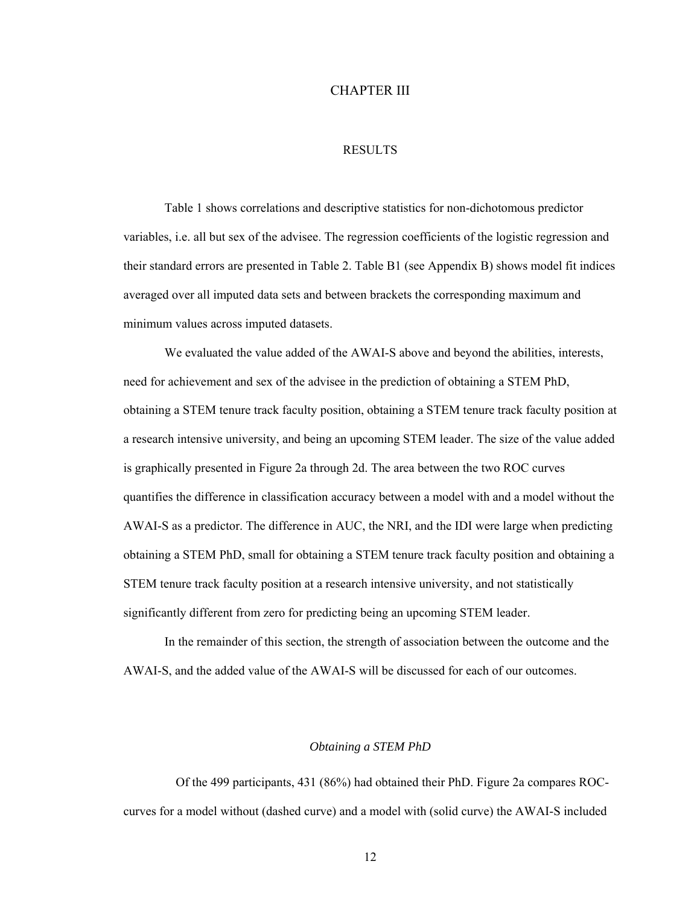## CHAPTER III

## RESULTS

Table 1 shows correlations and descriptive statistics for non-dichotomous predictor variables, i.e. all but sex of the advisee. The regression coefficients of the logistic regression and their standard errors are presented in Table 2. Table B1 (see Appendix B) shows model fit indices averaged over all imputed data sets and between brackets the corresponding maximum and minimum values across imputed datasets.

We evaluated the value added of the AWAI-S above and beyond the abilities, interests, need for achievement and sex of the advisee in the prediction of obtaining a STEM PhD, obtaining a STEM tenure track faculty position, obtaining a STEM tenure track faculty position at a research intensive university, and being an upcoming STEM leader. The size of the value added is graphically presented in Figure 2a through 2d. The area between the two ROC curves quantifies the difference in classification accuracy between a model with and a model without the AWAI-S as a predictor. The difference in AUC, the NRI, and the IDI were large when predicting obtaining a STEM PhD, small for obtaining a STEM tenure track faculty position and obtaining a STEM tenure track faculty position at a research intensive university, and not statistically significantly different from zero for predicting being an upcoming STEM leader.

In the remainder of this section, the strength of association between the outcome and the AWAI-S, and the added value of the AWAI-S will be discussed for each of our outcomes.

#### *Obtaining a STEM PhD*

 Of the 499 participants, 431 (86%) had obtained their PhD. Figure 2a compares ROCcurves for a model without (dashed curve) and a model with (solid curve) the AWAI-S included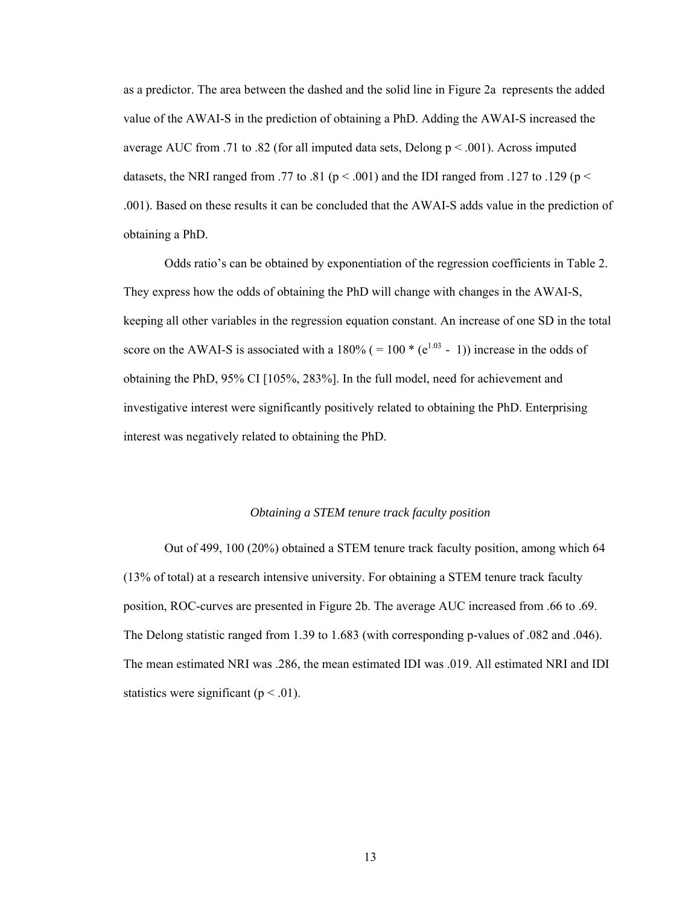as a predictor. The area between the dashed and the solid line in Figure 2a represents the added value of the AWAI-S in the prediction of obtaining a PhD. Adding the AWAI-S increased the average AUC from .71 to .82 (for all imputed data sets, Delong  $p < .001$ ). Across imputed datasets, the NRI ranged from .77 to .81 ( $p < .001$ ) and the IDI ranged from .127 to .129 ( $p <$ .001). Based on these results it can be concluded that the AWAI-S adds value in the prediction of obtaining a PhD.

Odds ratio's can be obtained by exponentiation of the regression coefficients in Table 2. They express how the odds of obtaining the PhD will change with changes in the AWAI-S, keeping all other variables in the regression equation constant. An increase of one SD in the total score on the AWAI-S is associated with a 180% ( = 100  $*(e^{1.03} - 1)$ ) increase in the odds of obtaining the PhD, 95% CI [105%, 283%]. In the full model, need for achievement and investigative interest were significantly positively related to obtaining the PhD. Enterprising interest was negatively related to obtaining the PhD.

## *Obtaining a STEM tenure track faculty position*

Out of 499, 100 (20%) obtained a STEM tenure track faculty position, among which 64 (13% of total) at a research intensive university. For obtaining a STEM tenure track faculty position, ROC-curves are presented in Figure 2b. The average AUC increased from .66 to .69. The Delong statistic ranged from 1.39 to 1.683 (with corresponding p-values of .082 and .046). The mean estimated NRI was .286, the mean estimated IDI was .019. All estimated NRI and IDI statistics were significant ( $p < .01$ ).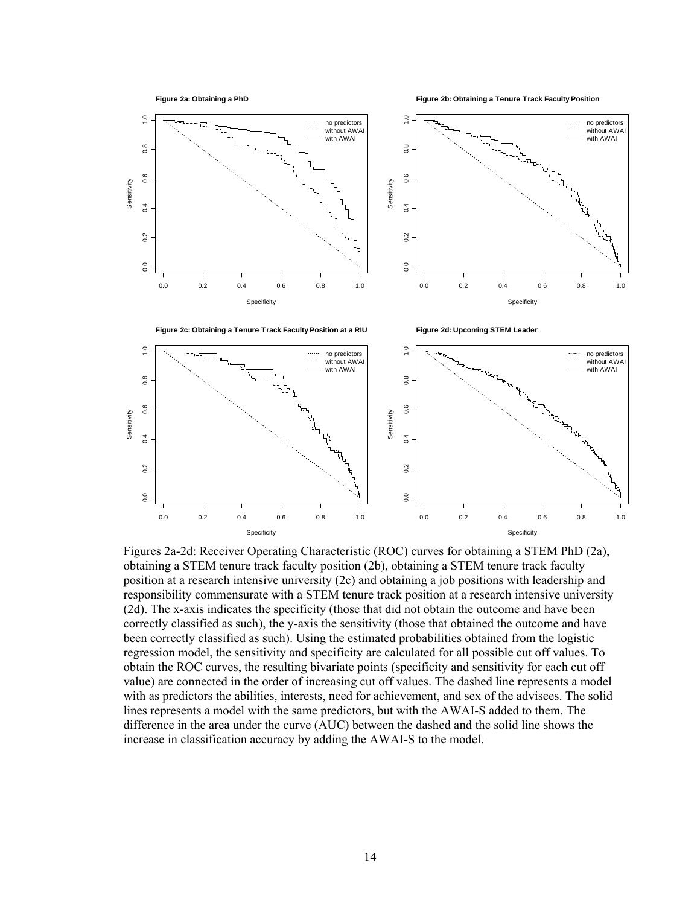**Figure 2a: Obtaining a PhD**

**Figure 2b: Obtaining a Tenure Track Faculty Position**



Figures 2a-2d: Receiver Operating Characteristic (ROC) curves for obtaining a STEM PhD (2a), obtaining a STEM tenure track faculty position (2b), obtaining a STEM tenure track faculty position at a research intensive university (2c) and obtaining a job positions with leadership and responsibility commensurate with a STEM tenure track position at a research intensive university (2d). The x-axis indicates the specificity (those that did not obtain the outcome and have been correctly classified as such), the y-axis the sensitivity (those that obtained the outcome and have been correctly classified as such). Using the estimated probabilities obtained from the logistic regression model, the sensitivity and specificity are calculated for all possible cut off values. To obtain the ROC curves, the resulting bivariate points (specificity and sensitivity for each cut off value) are connected in the order of increasing cut off values. The dashed line represents a model with as predictors the abilities, interests, need for achievement, and sex of the advisees. The solid lines represents a model with the same predictors, but with the AWAI-S added to them. The difference in the area under the curve (AUC) between the dashed and the solid line shows the increase in classification accuracy by adding the AWAI-S to the model.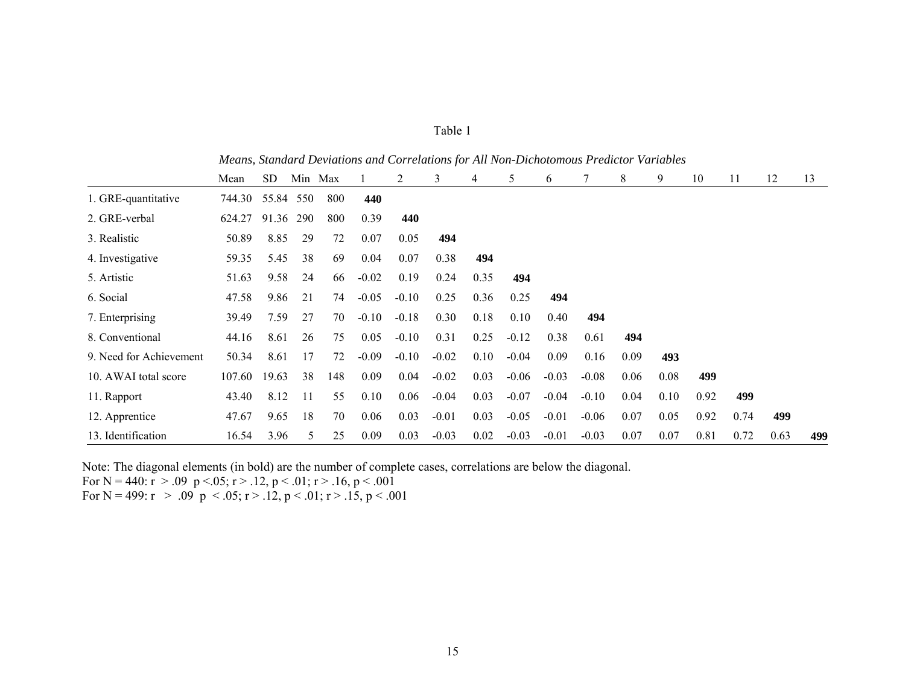|                         | Mean   | <b>SD</b> | Min Max |     |         | 2       | 3       | 4    | 5       | 6       |         | 8    | 9    | 10   | 11   | 12   | 13  |
|-------------------------|--------|-----------|---------|-----|---------|---------|---------|------|---------|---------|---------|------|------|------|------|------|-----|
| 1. GRE-quantitative     | 744.30 | 55.84     | 550     | 800 | 440     |         |         |      |         |         |         |      |      |      |      |      |     |
| 2. GRE-verbal           | 624.27 | 91.36     | 290     | 800 | 0.39    | 440     |         |      |         |         |         |      |      |      |      |      |     |
| 3. Realistic            | 50.89  | 8.85      | 29      | 72  | 0.07    | 0.05    | 494     |      |         |         |         |      |      |      |      |      |     |
| 4. Investigative        | 59.35  | 5.45      | 38      | 69  | 0.04    | 0.07    | 0.38    | 494  |         |         |         |      |      |      |      |      |     |
| 5. Artistic             | 51.63  | 9.58      | 24      | 66  | $-0.02$ | 0.19    | 0.24    | 0.35 | 494     |         |         |      |      |      |      |      |     |
| 6. Social               | 47.58  | 9.86      | 21      | 74  | $-0.05$ | $-0.10$ | 0.25    | 0.36 | 0.25    | 494     |         |      |      |      |      |      |     |
| 7. Enterprising         | 39.49  | 7.59      | 27      | 70  | $-0.10$ | $-0.18$ | 0.30    | 0.18 | 0.10    | 0.40    | 494     |      |      |      |      |      |     |
| 8. Conventional         | 44.16  | 8.61      | 26      | 75  | 0.05    | $-0.10$ | 0.31    | 0.25 | $-0.12$ | 0.38    | 0.61    | 494  |      |      |      |      |     |
| 9. Need for Achievement | 50.34  | 8.61      | 17      | 72  | $-0.09$ | $-0.10$ | $-0.02$ | 0.10 | $-0.04$ | 0.09    | 0.16    | 0.09 | 493  |      |      |      |     |
| 10. AWAI total score    | 107.60 | 19.63     | 38      | 148 | 0.09    | 0.04    | $-0.02$ | 0.03 | $-0.06$ | $-0.03$ | $-0.08$ | 0.06 | 0.08 | 499  |      |      |     |
| 11. Rapport             | 43.40  | 8.12      | 11      | 55  | 0.10    | 0.06    | $-0.04$ | 0.03 | $-0.07$ | $-0.04$ | $-0.10$ | 0.04 | 0.10 | 0.92 | 499  |      |     |
| 12. Apprentice          | 47.67  | 9.65      | 18      | 70  | 0.06    | 0.03    | $-0.01$ | 0.03 | $-0.05$ | $-0.01$ | $-0.06$ | 0.07 | 0.05 | 0.92 | 0.74 | 499  |     |
| 13. Identification      | 16.54  | 3.96      | 5       | 25  | 0.09    | 0.03    | $-0.03$ | 0.02 | $-0.03$ | $-0.01$ | $-0.03$ | 0.07 | 0.07 | 0.81 | 0.72 | 0.63 | 499 |

| anle |  |
|------|--|
|      |  |

*Means, Standard Deviations and Correlations for All Non-Dichotomous Predictor Variables* 

Note: The diagonal elements (in bold) are the number of complete cases, correlations are below the diagonal.

For N = 440:  $\vec{r} > .09$  p < 05;  $\vec{r} > .12$ ,  $\vec{p} < .01$ ;  $\vec{r} > .16$ ,  $\vec{p} < .001$ 

For N = 499:  $r > .09$   $p < .05$ ;  $r > .12$ ,  $p < .01$ ;  $r > .15$ ,  $p < .001$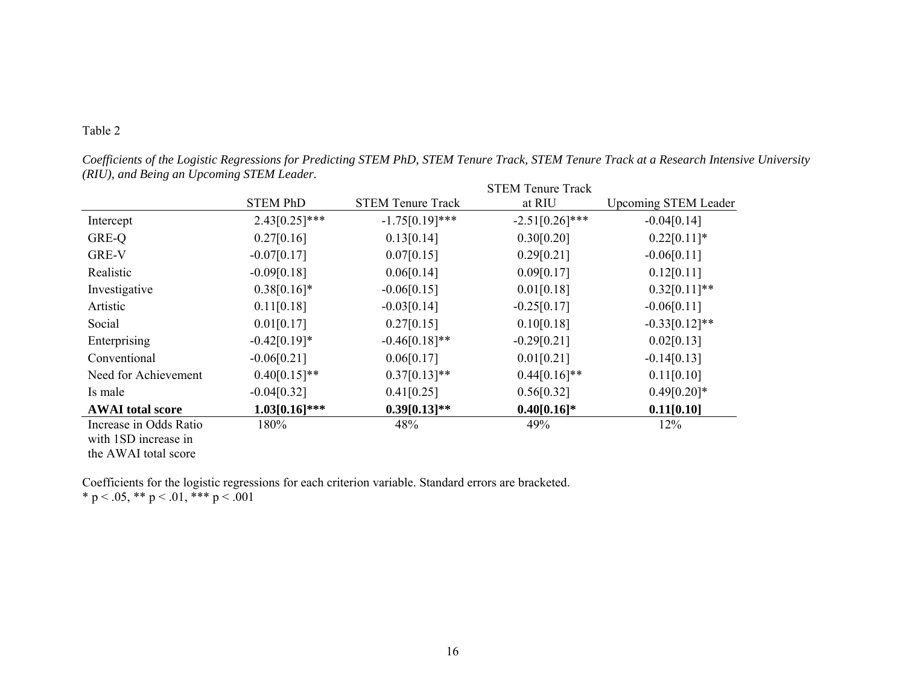# Table 2

*Coefficients of the Logistic Regressions for Predicting STEM PhD, STEM Tenure Track, STEM Tenure Track at a Research Intensive University (RIU), and Being an Upcoming STEM Leader.* 

|                         |                  |                          | <b>STEM Tenure Track</b> |                             |
|-------------------------|------------------|--------------------------|--------------------------|-----------------------------|
|                         | <b>STEM PhD</b>  | <b>STEM Tenure Track</b> | at RIU                   | <b>Upcoming STEM Leader</b> |
| Intercept               | $2.43[0.25]***$  | $-1.75[0.19]***$         | $-2.51[0.26]$ ***        | $-0.04[0.14]$               |
| GRE-Q                   | 0.27[0.16]       | 0.13[0.14]               | 0.30[0.20]               | $0.22[0.11]*$               |
| GRE-V                   | $-0.07[0.17]$    | 0.07[0.15]               | 0.29[0.21]               | $-0.06[0.11]$               |
| Realistic               | $-0.09[0.18]$    | 0.06[0.14]               | 0.09[0.17]               | 0.12[0.11]                  |
| Investigative           | $0.38[0.16]*$    | $-0.06[0.15]$            | 0.01[0.18]               | $0.32[0.11]**$              |
| Artistic                | 0.11[0.18]       | $-0.03[0.14]$            | $-0.25[0.17]$            | $-0.06[0.11]$               |
| Social                  | 0.01[0.17]       | 0.27[0.15]               | 0.10[0.18]               | $-0.33[0.12]**$             |
| Enterprising            | $-0.42[0.19]*$   | $-0.46[0.18]**$          | $-0.29[0.21]$            | 0.02[0.13]                  |
| Conventional            | $-0.06[0.21]$    | 0.06[0.17]               | 0.01[0.21]               | $-0.14[0.13]$               |
| Need for Achievement    | $0.40[0.15]**$   | $0.37[0.13]**$           | $0.44[0.16]**$           | 0.11[0.10]                  |
| Is male                 | $-0.04[0.32]$    | 0.41[0.25]               | 0.56[0.32]               | $0.49[0.20]*$               |
| <b>AWAI</b> total score | $1.03[0.16]$ *** | $0.39[0.13]**$           | $0.40[0.16]*$            | 0.11[0.10]                  |
| Increase in Odds Ratio  | 180%             | 48%                      | 49%                      | 12%                         |
| with 1SD increase in    |                  |                          |                          |                             |
| the AWAI total score    |                  |                          |                          |                             |

Coefficients for the logistic regressions for each criterion variable. Standard errors are bracketed. \* p < .05, \*\* p < .01, \*\*\* p < .001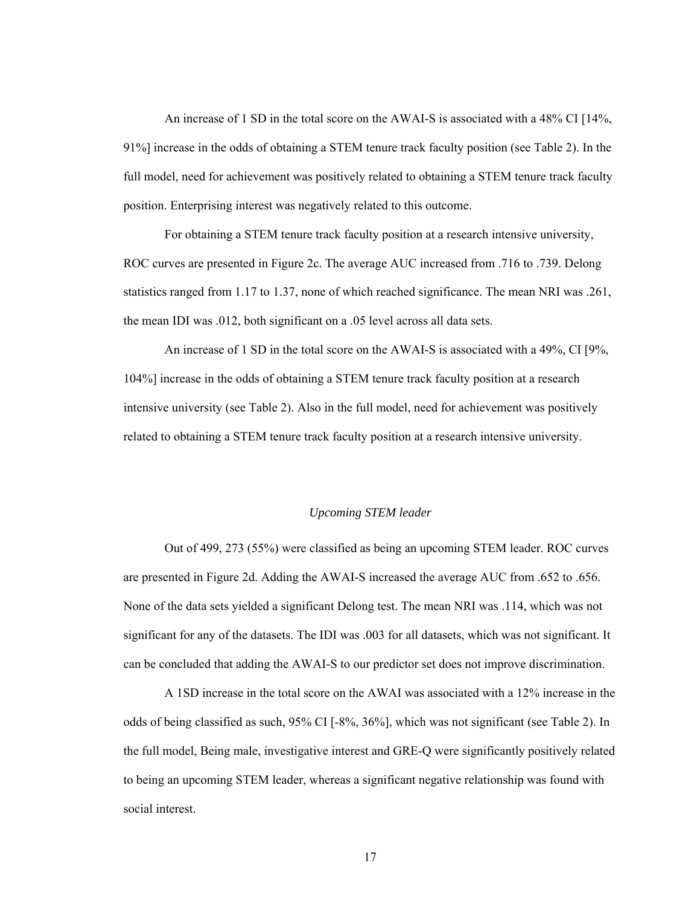An increase of 1 SD in the total score on the AWAI-S is associated with a 48% CI [14%, 91%] increase in the odds of obtaining a STEM tenure track faculty position (see Table 2). In the full model, need for achievement was positively related to obtaining a STEM tenure track faculty position. Enterprising interest was negatively related to this outcome.

For obtaining a STEM tenure track faculty position at a research intensive university, ROC curves are presented in Figure 2c. The average AUC increased from .716 to .739. Delong statistics ranged from 1.17 to 1.37, none of which reached significance. The mean NRI was .261, the mean IDI was .012, both significant on a .05 level across all data sets.

An increase of 1 SD in the total score on the AWAI-S is associated with a 49%, CI [9%, 104%] increase in the odds of obtaining a STEM tenure track faculty position at a research intensive university (see Table 2). Also in the full model, need for achievement was positively related to obtaining a STEM tenure track faculty position at a research intensive university.

## *Upcoming STEM leader*

Out of 499, 273 (55%) were classified as being an upcoming STEM leader. ROC curves are presented in Figure 2d. Adding the AWAI-S increased the average AUC from .652 to .656. None of the data sets yielded a significant Delong test. The mean NRI was .114, which was not significant for any of the datasets. The IDI was .003 for all datasets, which was not significant. It can be concluded that adding the AWAI-S to our predictor set does not improve discrimination.

A 1SD increase in the total score on the AWAI was associated with a 12% increase in the odds of being classified as such, 95% CI [-8%, 36%], which was not significant (see Table 2). In the full model, Being male, investigative interest and GRE-Q were significantly positively related to being an upcoming STEM leader, whereas a significant negative relationship was found with social interest.

17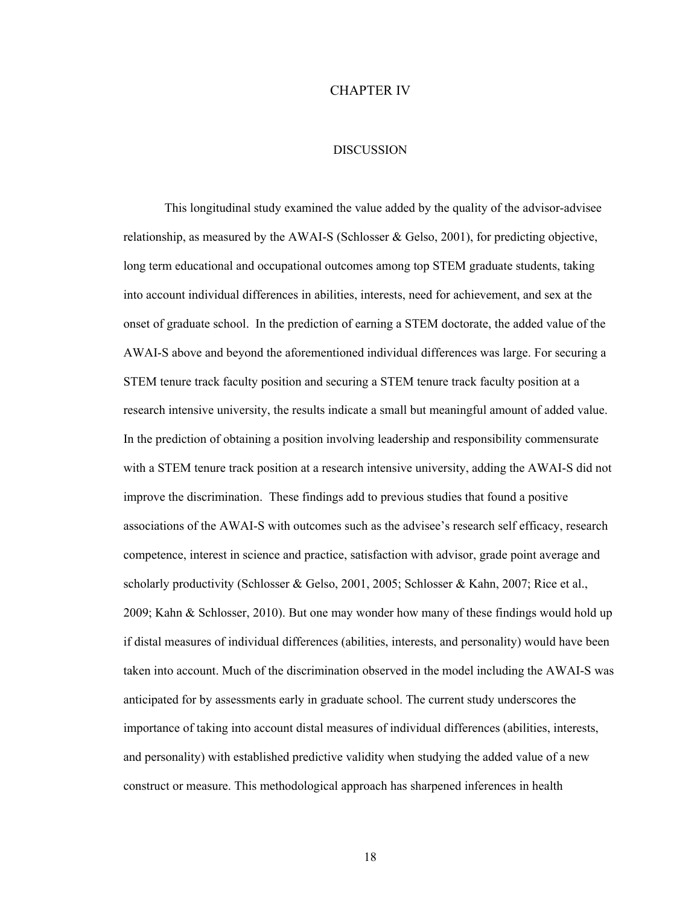## CHAPTER IV

#### DISCUSSION

This longitudinal study examined the value added by the quality of the advisor-advisee relationship, as measured by the AWAI-S (Schlosser & Gelso, 2001), for predicting objective, long term educational and occupational outcomes among top STEM graduate students, taking into account individual differences in abilities, interests, need for achievement, and sex at the onset of graduate school. In the prediction of earning a STEM doctorate, the added value of the AWAI-S above and beyond the aforementioned individual differences was large. For securing a STEM tenure track faculty position and securing a STEM tenure track faculty position at a research intensive university, the results indicate a small but meaningful amount of added value. In the prediction of obtaining a position involving leadership and responsibility commensurate with a STEM tenure track position at a research intensive university, adding the AWAI-S did not improve the discrimination. These findings add to previous studies that found a positive associations of the AWAI-S with outcomes such as the advisee's research self efficacy, research competence, interest in science and practice, satisfaction with advisor, grade point average and scholarly productivity (Schlosser & Gelso, 2001, 2005; Schlosser & Kahn, 2007; Rice et al., 2009; Kahn & Schlosser, 2010). But one may wonder how many of these findings would hold up if distal measures of individual differences (abilities, interests, and personality) would have been taken into account. Much of the discrimination observed in the model including the AWAI-S was anticipated for by assessments early in graduate school. The current study underscores the importance of taking into account distal measures of individual differences (abilities, interests, and personality) with established predictive validity when studying the added value of a new construct or measure. This methodological approach has sharpened inferences in health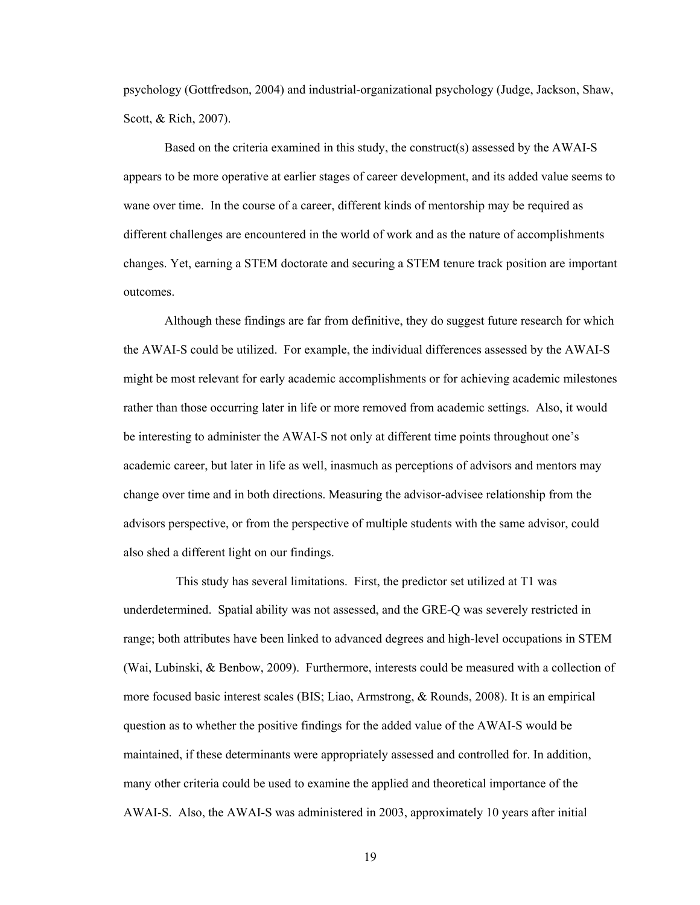psychology (Gottfredson, 2004) and industrial-organizational psychology (Judge, Jackson, Shaw, Scott, & Rich, 2007).

Based on the criteria examined in this study, the construct(s) assessed by the AWAI-S appears to be more operative at earlier stages of career development, and its added value seems to wane over time. In the course of a career, different kinds of mentorship may be required as different challenges are encountered in the world of work and as the nature of accomplishments changes. Yet, earning a STEM doctorate and securing a STEM tenure track position are important outcomes.

Although these findings are far from definitive, they do suggest future research for which the AWAI-S could be utilized. For example, the individual differences assessed by the AWAI-S might be most relevant for early academic accomplishments or for achieving academic milestones rather than those occurring later in life or more removed from academic settings. Also, it would be interesting to administer the AWAI-S not only at different time points throughout one's academic career, but later in life as well, inasmuch as perceptions of advisors and mentors may change over time and in both directions. Measuring the advisor-advisee relationship from the advisors perspective, or from the perspective of multiple students with the same advisor, could also shed a different light on our findings.

This study has several limitations. First, the predictor set utilized at T1 was underdetermined. Spatial ability was not assessed, and the GRE-Q was severely restricted in range; both attributes have been linked to advanced degrees and high-level occupations in STEM (Wai, Lubinski, & Benbow, 2009). Furthermore, interests could be measured with a collection of more focused basic interest scales (BIS; Liao, Armstrong, & Rounds, 2008). It is an empirical question as to whether the positive findings for the added value of the AWAI-S would be maintained, if these determinants were appropriately assessed and controlled for. In addition, many other criteria could be used to examine the applied and theoretical importance of the AWAI-S. Also, the AWAI-S was administered in 2003, approximately 10 years after initial

19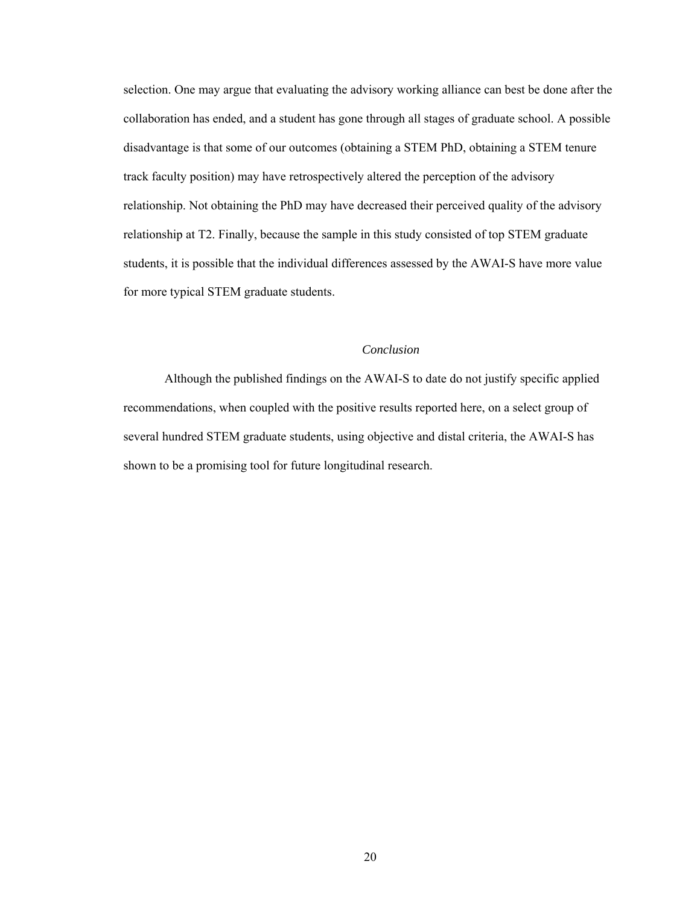selection. One may argue that evaluating the advisory working alliance can best be done after the collaboration has ended, and a student has gone through all stages of graduate school. A possible disadvantage is that some of our outcomes (obtaining a STEM PhD, obtaining a STEM tenure track faculty position) may have retrospectively altered the perception of the advisory relationship. Not obtaining the PhD may have decreased their perceived quality of the advisory relationship at T2. Finally, because the sample in this study consisted of top STEM graduate students, it is possible that the individual differences assessed by the AWAI-S have more value for more typical STEM graduate students.

## *Conclusion*

Although the published findings on the AWAI-S to date do not justify specific applied recommendations, when coupled with the positive results reported here, on a select group of several hundred STEM graduate students, using objective and distal criteria, the AWAI-S has shown to be a promising tool for future longitudinal research.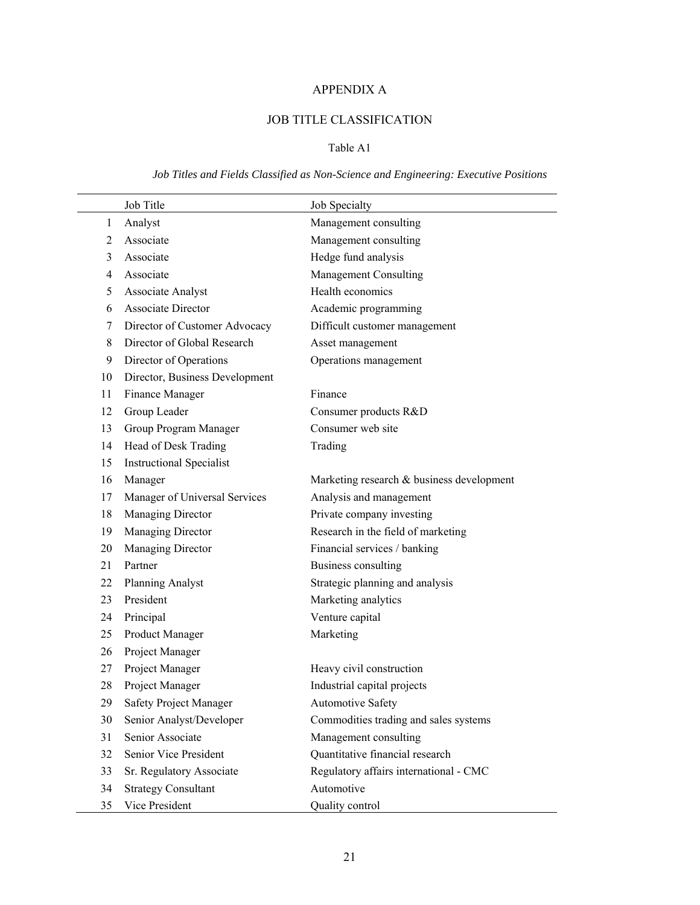# APPENDIX A

# JOB TITLE CLASSIFICATION

# Table A1

# *Job Titles and Fields Classified as Non-Science and Engineering: Executive Positions*

|                | Job Title                       | Job Specialty                             |
|----------------|---------------------------------|-------------------------------------------|
| 1              | Analyst                         | Management consulting                     |
| 2              | Associate                       | Management consulting                     |
| 3              | Associate                       | Hedge fund analysis                       |
| $\overline{4}$ | Associate                       | Management Consulting                     |
| 5              | Associate Analyst               | Health economics                          |
| 6              | <b>Associate Director</b>       | Academic programming                      |
| 7              | Director of Customer Advocacy   | Difficult customer management             |
| 8              | Director of Global Research     | Asset management                          |
| 9              | Director of Operations          | Operations management                     |
| 10             | Director, Business Development  |                                           |
| 11             | Finance Manager                 | Finance                                   |
| 12             | Group Leader                    | Consumer products R&D                     |
| 13             | Group Program Manager           | Consumer web site                         |
| 14             | Head of Desk Trading            | Trading                                   |
| 15             | <b>Instructional Specialist</b> |                                           |
| 16             | Manager                         | Marketing research & business development |
| 17             | Manager of Universal Services   | Analysis and management                   |
| 18             | Managing Director               | Private company investing                 |
| 19             | Managing Director               | Research in the field of marketing        |
| 20             | Managing Director               | Financial services / banking              |
| 21             | Partner                         | <b>Business consulting</b>                |
| 22             | <b>Planning Analyst</b>         | Strategic planning and analysis           |
| 23             | President                       | Marketing analytics                       |
| 24             | Principal                       | Venture capital                           |
| 25             | Product Manager                 | Marketing                                 |
| 26             | Project Manager                 |                                           |
| 27             | Project Manager                 | Heavy civil construction                  |
| 28             | Project Manager                 | Industrial capital projects               |
| 29             | Safety Project Manager          | <b>Automotive Safety</b>                  |
| 30             | Senior Analyst/Developer        | Commodities trading and sales systems     |
| 31             | Senior Associate                | Management consulting                     |
| 32             | Senior Vice President           | Quantitative financial research           |
| 33             | Sr. Regulatory Associate        | Regulatory affairs international - CMC    |
| 34             | <b>Strategy Consultant</b>      | Automotive                                |
| 35             | Vice President                  | Quality control                           |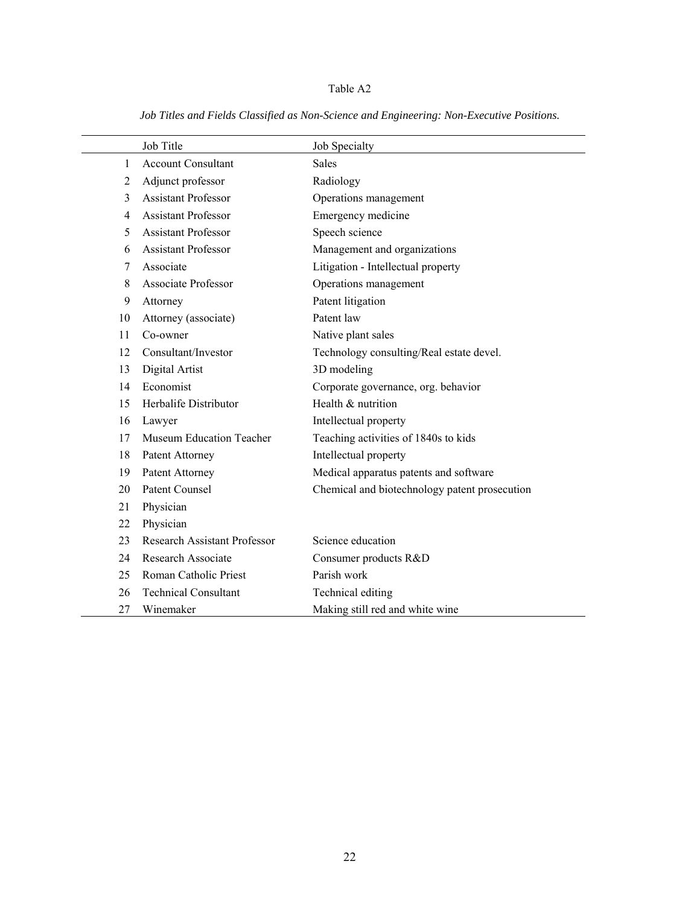# Table A2

|    | Job Title                           | Job Specialty                                 |
|----|-------------------------------------|-----------------------------------------------|
| 1  | <b>Account Consultant</b>           | <b>Sales</b>                                  |
| 2  | Adjunct professor                   | Radiology                                     |
| 3  | <b>Assistant Professor</b>          | Operations management                         |
| 4  | <b>Assistant Professor</b>          | Emergency medicine                            |
| 5  | <b>Assistant Professor</b>          | Speech science                                |
| 6  | <b>Assistant Professor</b>          | Management and organizations                  |
| 7  | Associate                           | Litigation - Intellectual property            |
| 8  | Associate Professor                 | Operations management                         |
| 9  | Attorney                            | Patent litigation                             |
| 10 | Attorney (associate)                | Patent law                                    |
| 11 | Co-owner                            | Native plant sales                            |
| 12 | Consultant/Investor                 | Technology consulting/Real estate devel.      |
| 13 | Digital Artist                      | 3D modeling                                   |
| 14 | Economist                           | Corporate governance, org. behavior           |
| 15 | Herbalife Distributor               | Health & nutrition                            |
| 16 | Lawyer                              | Intellectual property                         |
| 17 | <b>Museum Education Teacher</b>     | Teaching activities of 1840s to kids          |
| 18 | Patent Attorney                     | Intellectual property                         |
| 19 | Patent Attorney                     | Medical apparatus patents and software        |
| 20 | <b>Patent Counsel</b>               | Chemical and biotechnology patent prosecution |
| 21 | Physician                           |                                               |
| 22 | Physician                           |                                               |
| 23 | <b>Research Assistant Professor</b> | Science education                             |
| 24 | <b>Research Associate</b>           | Consumer products R&D                         |
| 25 | Roman Catholic Priest               | Parish work                                   |
| 26 | <b>Technical Consultant</b>         | Technical editing                             |
| 27 | Winemaker                           | Making still red and white wine               |

*Job Titles and Fields Classified as Non-Science and Engineering: Non-Executive Positions.*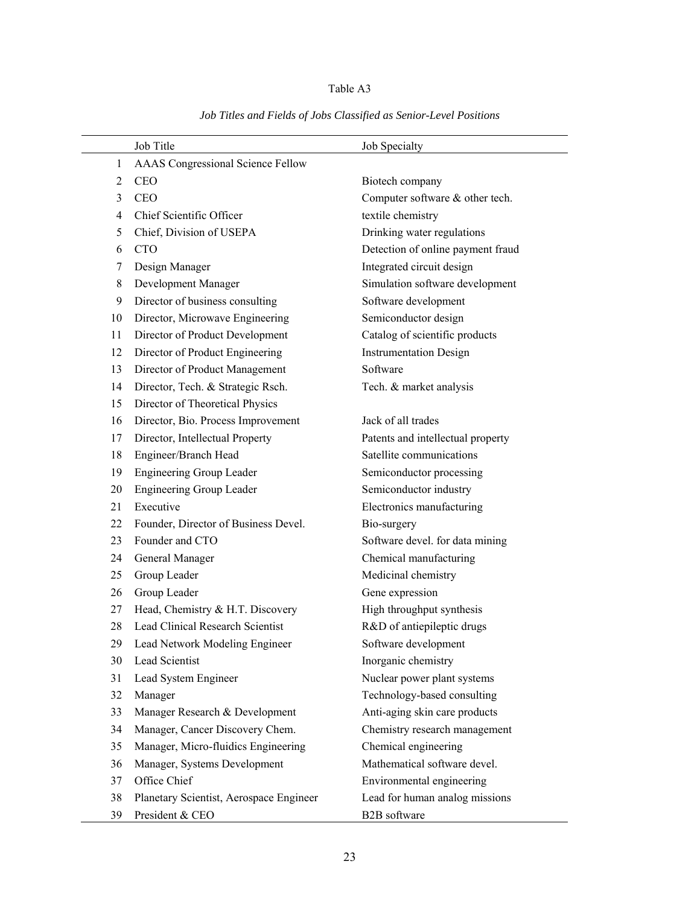# Table A3

|    | Job Title                                | Job Specialty                     |
|----|------------------------------------------|-----------------------------------|
| 1  | <b>AAAS</b> Congressional Science Fellow |                                   |
| 2  | <b>CEO</b>                               | Biotech company                   |
| 3  | <b>CEO</b>                               | Computer software & other tech.   |
| 4  | Chief Scientific Officer                 | textile chemistry                 |
| 5  | Chief, Division of USEPA                 | Drinking water regulations        |
| 6  | <b>CTO</b>                               | Detection of online payment fraud |
| 7  | Design Manager                           | Integrated circuit design         |
| 8  | Development Manager                      | Simulation software development   |
| 9  | Director of business consulting          | Software development              |
| 10 | Director, Microwave Engineering          | Semiconductor design              |
| 11 | Director of Product Development          | Catalog of scientific products    |
| 12 | Director of Product Engineering          | <b>Instrumentation Design</b>     |
| 13 | Director of Product Management           | Software                          |
| 14 | Director, Tech. & Strategic Rsch.        | Tech. & market analysis           |
| 15 | Director of Theoretical Physics          |                                   |
| 16 | Director, Bio. Process Improvement       | Jack of all trades                |
| 17 | Director, Intellectual Property          | Patents and intellectual property |
| 18 | Engineer/Branch Head                     | Satellite communications          |
| 19 | <b>Engineering Group Leader</b>          | Semiconductor processing          |
| 20 | Engineering Group Leader                 | Semiconductor industry            |
| 21 | Executive                                | Electronics manufacturing         |
| 22 | Founder, Director of Business Devel.     | Bio-surgery                       |
| 23 | Founder and CTO                          | Software devel. for data mining   |
| 24 | General Manager                          | Chemical manufacturing            |
| 25 | Group Leader                             | Medicinal chemistry               |
| 26 | Group Leader                             | Gene expression                   |
| 27 | Head, Chemistry & H.T. Discovery         | High throughput synthesis         |
| 28 | <b>Lead Clinical Research Scientist</b>  | R&D of antiepileptic drugs        |
| 29 | Lead Network Modeling Engineer           | Software development              |
| 30 | Lead Scientist                           | Inorganic chemistry               |
| 31 | Lead System Engineer                     | Nuclear power plant systems       |
| 32 | Manager                                  | Technology-based consulting       |
| 33 | Manager Research & Development           | Anti-aging skin care products     |
| 34 | Manager, Cancer Discovery Chem.          | Chemistry research management     |
| 35 | Manager, Micro-fluidics Engineering      | Chemical engineering              |
| 36 | Manager, Systems Development             | Mathematical software devel.      |
| 37 | Office Chief                             | Environmental engineering         |
| 38 | Planetary Scientist, Aerospace Engineer  | Lead for human analog missions    |
| 39 | President & CEO                          | <b>B2B</b> software               |

*Job Titles and Fields of Jobs Classified as Senior-Level Positions*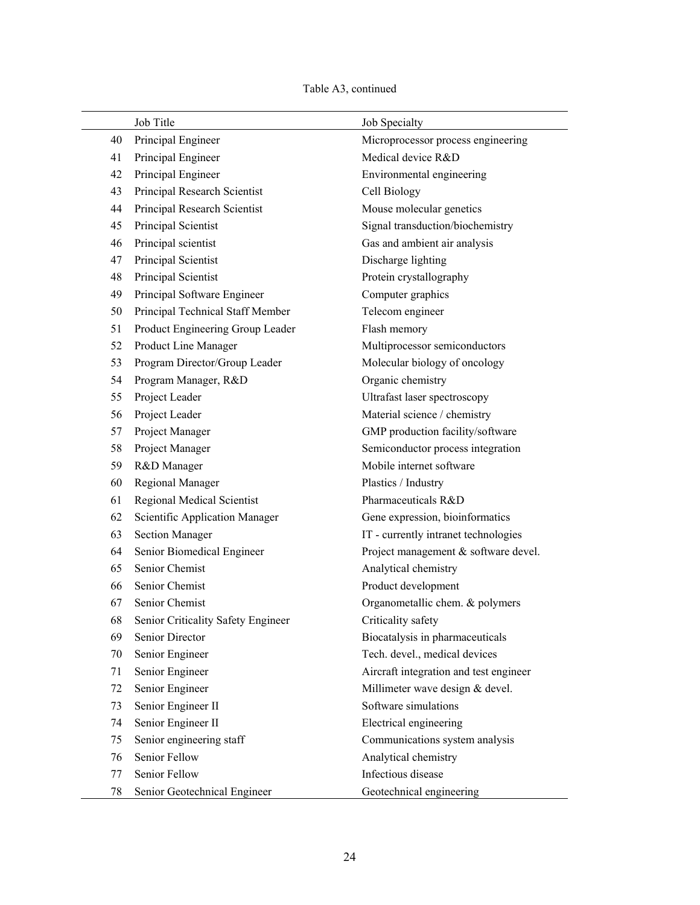# Table A3, continued

|    | Job Title                          | Job Specialty                          |
|----|------------------------------------|----------------------------------------|
| 40 | Principal Engineer                 | Microprocessor process engineering     |
| 41 | Principal Engineer                 | Medical device R&D                     |
| 42 | Principal Engineer                 | Environmental engineering              |
| 43 | Principal Research Scientist       | Cell Biology                           |
| 44 | Principal Research Scientist       | Mouse molecular genetics               |
| 45 | Principal Scientist                | Signal transduction/biochemistry       |
| 46 | Principal scientist                | Gas and ambient air analysis           |
| 47 | Principal Scientist                | Discharge lighting                     |
| 48 | Principal Scientist                | Protein crystallography                |
| 49 | Principal Software Engineer        | Computer graphics                      |
| 50 | Principal Technical Staff Member   | Telecom engineer                       |
| 51 | Product Engineering Group Leader   | Flash memory                           |
| 52 | Product Line Manager               | Multiprocessor semiconductors          |
| 53 | Program Director/Group Leader      | Molecular biology of oncology          |
| 54 | Program Manager, R&D               | Organic chemistry                      |
| 55 | Project Leader                     | Ultrafast laser spectroscopy           |
| 56 | Project Leader                     | Material science / chemistry           |
| 57 | Project Manager                    | GMP production facility/software       |
| 58 | Project Manager                    | Semiconductor process integration      |
| 59 | R&D Manager                        | Mobile internet software               |
| 60 | <b>Regional Manager</b>            | Plastics / Industry                    |
| 61 | Regional Medical Scientist         | Pharmaceuticals R&D                    |
| 62 | Scientific Application Manager     | Gene expression, bioinformatics        |
| 63 | <b>Section Manager</b>             | IT - currently intranet technologies   |
| 64 | Senior Biomedical Engineer         | Project management & software devel.   |
| 65 | Senior Chemist                     | Analytical chemistry                   |
| 66 | Senior Chemist                     | Product development                    |
| 67 | Senior Chemist                     | Organometallic chem. & polymers        |
| 68 | Senior Criticality Safety Engineer | Criticality safety                     |
| 69 | Senior Director                    | Biocatalysis in pharmaceuticals        |
| 70 | Senior Engineer                    | Tech. devel., medical devices          |
| 71 | Senior Engineer                    | Aircraft integration and test engineer |
| 72 | Senior Engineer                    | Millimeter wave design & devel.        |
| 73 | Senior Engineer II                 | Software simulations                   |
| 74 | Senior Engineer II                 | Electrical engineering                 |
| 75 | Senior engineering staff           | Communications system analysis         |
| 76 | Senior Fellow                      | Analytical chemistry                   |
| 77 | Senior Fellow                      | Infectious disease                     |
| 78 | Senior Geotechnical Engineer       | Geotechnical engineering               |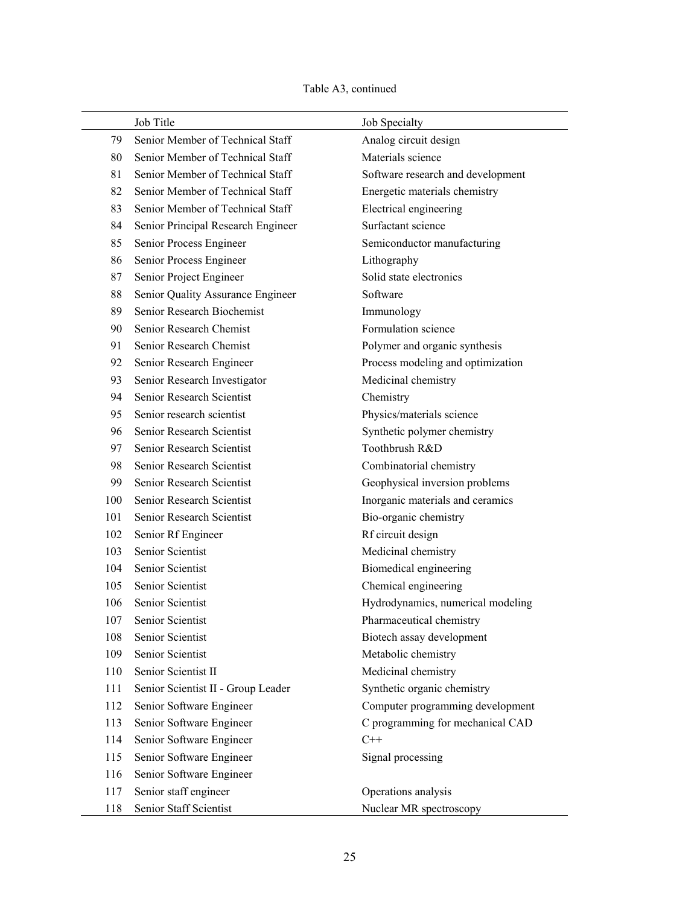# Table A3, continued

|     | Job Title                          | Job Specialty                     |
|-----|------------------------------------|-----------------------------------|
| 79  | Senior Member of Technical Staff   | Analog circuit design             |
| 80  | Senior Member of Technical Staff   | Materials science                 |
| 81  | Senior Member of Technical Staff   | Software research and development |
| 82  | Senior Member of Technical Staff   | Energetic materials chemistry     |
| 83  | Senior Member of Technical Staff   | Electrical engineering            |
| 84  | Senior Principal Research Engineer | Surfactant science                |
| 85  | Senior Process Engineer            | Semiconductor manufacturing       |
| 86  | Senior Process Engineer            | Lithography                       |
| 87  | Senior Project Engineer            | Solid state electronics           |
| 88  | Senior Quality Assurance Engineer  | Software                          |
| 89  | Senior Research Biochemist         | Immunology                        |
| 90  | Senior Research Chemist            | Formulation science               |
| 91  | Senior Research Chemist            | Polymer and organic synthesis     |
| 92  | Senior Research Engineer           | Process modeling and optimization |
| 93  | Senior Research Investigator       | Medicinal chemistry               |
| 94  | Senior Research Scientist          | Chemistry                         |
| 95  | Senior research scientist          | Physics/materials science         |
| 96  | Senior Research Scientist          | Synthetic polymer chemistry       |
| 97  | Senior Research Scientist          | Toothbrush R&D                    |
| 98  | Senior Research Scientist          | Combinatorial chemistry           |
| 99  | Senior Research Scientist          | Geophysical inversion problems    |
| 100 | Senior Research Scientist          | Inorganic materials and ceramics  |
| 101 | Senior Research Scientist          | Bio-organic chemistry             |
| 102 | Senior Rf Engineer                 | Rf circuit design                 |
| 103 | Senior Scientist                   | Medicinal chemistry               |
| 104 | Senior Scientist                   | Biomedical engineering            |
| 105 | Senior Scientist                   | Chemical engineering              |
| 106 | Senior Scientist                   | Hydrodynamics, numerical modeling |
| 107 | Senior Scientist                   | Pharmaceutical chemistry          |
| 108 | Senior Scientist                   | Biotech assay development         |
| 109 | Senior Scientist                   | Metabolic chemistry               |
| 110 | Senior Scientist II                | Medicinal chemistry               |
| 111 | Senior Scientist II - Group Leader | Synthetic organic chemistry       |
| 112 | Senior Software Engineer           | Computer programming development  |
| 113 | Senior Software Engineer           | C programming for mechanical CAD  |
| 114 | Senior Software Engineer           | $C++$                             |
| 115 | Senior Software Engineer           | Signal processing                 |
| 116 | Senior Software Engineer           |                                   |
| 117 | Senior staff engineer              | Operations analysis               |
| 118 | Senior Staff Scientist             | Nuclear MR spectroscopy           |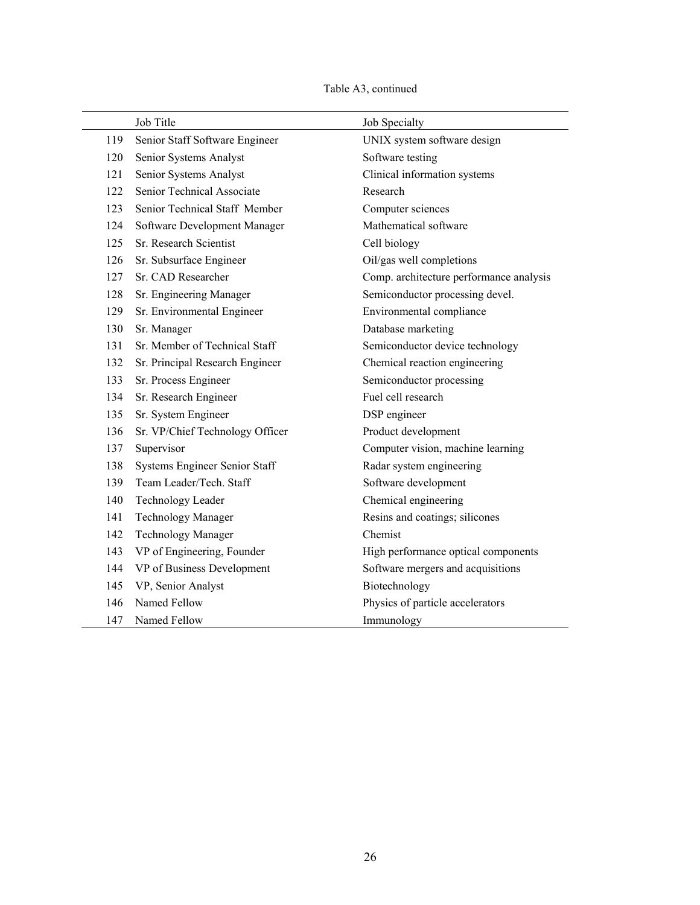| Table A3, continued |  |
|---------------------|--|
|---------------------|--|

|     | Job Title                       | Job Specialty                           |
|-----|---------------------------------|-----------------------------------------|
| 119 | Senior Staff Software Engineer  | UNIX system software design             |
| 120 | Senior Systems Analyst          | Software testing                        |
| 121 | Senior Systems Analyst          | Clinical information systems            |
| 122 | Senior Technical Associate      | Research                                |
| 123 | Senior Technical Staff Member   | Computer sciences                       |
| 124 | Software Development Manager    | Mathematical software                   |
| 125 | Sr. Research Scientist          | Cell biology                            |
| 126 | Sr. Subsurface Engineer         | Oil/gas well completions                |
| 127 | Sr. CAD Researcher              | Comp. architecture performance analysis |
| 128 | Sr. Engineering Manager         | Semiconductor processing devel.         |
| 129 | Sr. Environmental Engineer      | Environmental compliance                |
| 130 | Sr. Manager                     | Database marketing                      |
| 131 | Sr. Member of Technical Staff   | Semiconductor device technology         |
| 132 | Sr. Principal Research Engineer | Chemical reaction engineering           |
| 133 | Sr. Process Engineer            | Semiconductor processing                |
| 134 | Sr. Research Engineer           | Fuel cell research                      |
| 135 | Sr. System Engineer             | DSP engineer                            |
| 136 | Sr. VP/Chief Technology Officer | Product development                     |
| 137 | Supervisor                      | Computer vision, machine learning       |
| 138 | Systems Engineer Senior Staff   | Radar system engineering                |
| 139 | Team Leader/Tech. Staff         | Software development                    |
| 140 | Technology Leader               | Chemical engineering                    |
| 141 | <b>Technology Manager</b>       | Resins and coatings; silicones          |
| 142 | <b>Technology Manager</b>       | Chemist                                 |
| 143 | VP of Engineering, Founder      | High performance optical components     |
| 144 | VP of Business Development      | Software mergers and acquisitions       |
| 145 | VP, Senior Analyst              | Biotechnology                           |
| 146 | Named Fellow                    | Physics of particle accelerators        |
| 147 | Named Fellow                    | Immunology                              |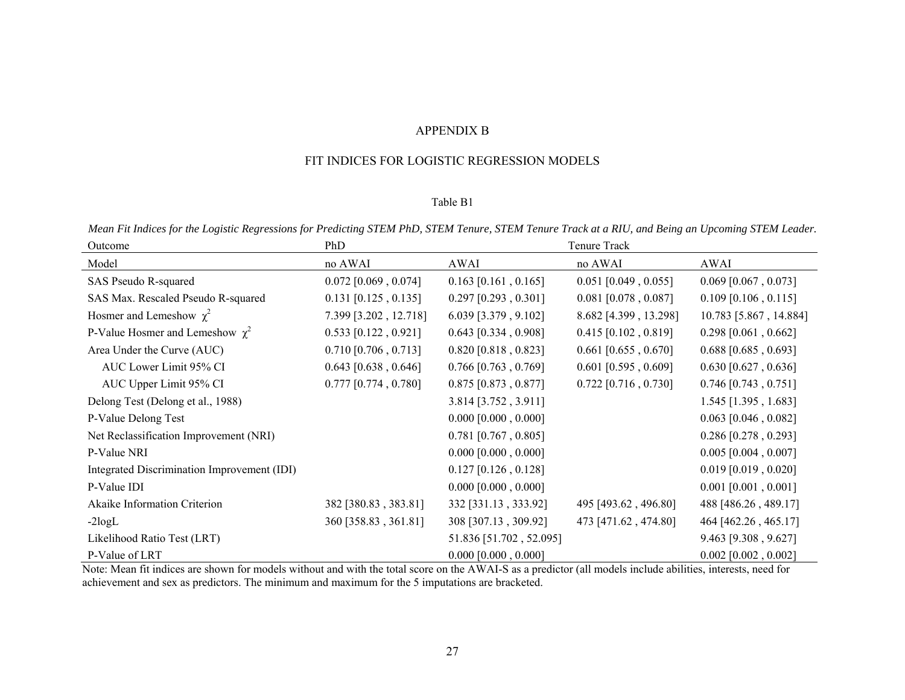#### APPENDIX B

#### FIT INDICES FOR LOGISTIC REGRESSION MODELS

#### Table B1

*Mean Fit Indices for the Logistic Regressions for Predicting STEM PhD, STEM Tenure, STEM Tenure Track at a RIU, and Being an Upcoming STEM Leader.* 

| Outcome                                     | PhD                    |                         | Tenure Track           |                        |
|---------------------------------------------|------------------------|-------------------------|------------------------|------------------------|
| Model                                       | no AWAI                | AWAI                    | no AWAI                | AWAI                   |
| SAS Pseudo R-squared                        | $0.072$ [0.069, 0.074] | $0.163$ [0.161, 0.165]  | $0.051$ [0.049, 0.055] | $0.069$ [0.067, 0.073] |
| SAS Max. Rescaled Pseudo R-squared          | $0.131$ [0.125, 0.135] | $0.297$ [0.293, 0.301]  | $0.081$ [0.078, 0.087] | $0.109$ [0.106, 0.115] |
| Hosmer and Lemeshow $\chi^2$                | 7.399 [3.202, 12.718]  | $6.039$ [3.379, 9.102]  | 8.682 [4.399, 13.298]  | 10.783 [5.867, 14.884] |
| P-Value Hosmer and Lemeshow $\chi^2$        | $0.533$ [0.122, 0.921] | $0.643$ [0.334, 0.908]  | $0.415$ [0.102, 0.819] | $0.298$ [0.061, 0.662] |
| Area Under the Curve (AUC)                  | $0.710$ [0.706, 0.713] | $0.820$ [0.818, 0.823]  | $0.661$ [0.655, 0.670] | $0.688$ [0.685, 0.693] |
| AUC Lower Limit 95% CI                      | $0.643$ [0.638, 0.646] | $0.766$ [0.763, 0.769]  | $0.601$ [0.595, 0.609] | $0.630$ [0.627, 0.636] |
| AUC Upper Limit 95% CI                      | $0.777$ [0.774, 0.780] | $0.875$ [0.873, 0.877]  | $0.722$ [0.716, 0.730] | $0.746$ [0.743, 0.751] |
| Delong Test (Delong et al., 1988)           |                        | 3.814 [3.752, 3.911]    |                        | $1.545$ [1.395, 1.683] |
| P-Value Delong Test                         |                        | $0.000$ [0.000, 0.000]  |                        | $0.063$ [0.046, 0.082] |
| Net Reclassification Improvement (NRI)      |                        | $0.781$ [0.767, 0.805]  |                        | $0.286$ [0.278, 0.293] |
| P-Value NRI                                 |                        | $0.000$ [0.000, 0.000]  |                        | $0.005$ [0.004, 0.007] |
| Integrated Discrimination Improvement (IDI) |                        | $0.127$ [0.126, 0.128]  |                        | $0.019$ [0.019, 0.020] |
| P-Value IDI                                 |                        | $0.000$ [0.000, 0.000]  |                        | $0.001$ [0.001, 0.001] |
| Akaike Information Criterion                | 382 [380.83, 383.81]   | 332 [331.13, 333.92]    | 495 [493.62, 496.80]   | 488 [486.26, 489.17]   |
| $-2logL$                                    | 360 [358.83, 361.81]   | 308 [307.13, 309.92]    | 473 [471.62, 474.80]   | 464 [462.26, 465.17]   |
| Likelihood Ratio Test (LRT)                 |                        | 51.836 [51.702, 52.095] |                        | 9.463 [9.308, 9.627]   |
| P-Value of LRT                              |                        | $0.000$ [0.000, 0.000]  |                        | $0.002$ [0.002, 0.002] |

Note: Mean fit indices are shown for models without and with the total score on the AWAI-S as a predictor (all models include abilities, interests, need for achievement and sex as predictors. The minimum and maximum for the 5 imputations are bracketed.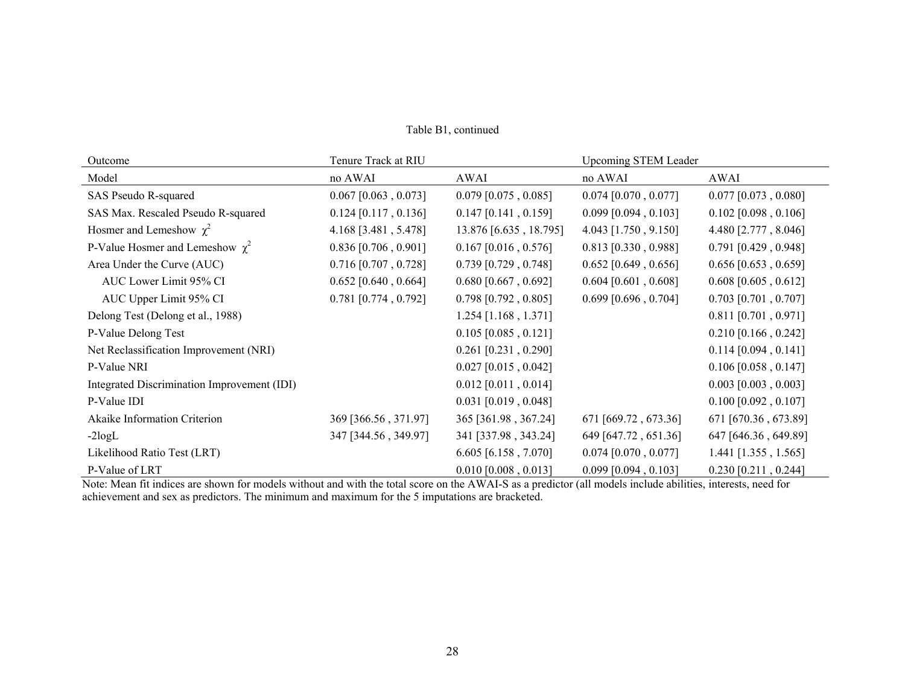| Outcome                                     | Tenure Track at RIU    |                        | <b>Upcoming STEM Leader</b> |                        |
|---------------------------------------------|------------------------|------------------------|-----------------------------|------------------------|
| Model                                       | no AWAI                | AWAI                   | no AWAI                     | AWAI                   |
| SAS Pseudo R-squared                        | $0.067$ [0.063, 0.073] | $0.079$ [0.075, 0.085] | $0.074$ [0.070, 0.077]      | $0.077$ [0.073, 0.080] |
| SAS Max. Rescaled Pseudo R-squared          | $0.124$ [0.117, 0.136] | $0.147$ [0.141, 0.159] | $0.099$ [0.094, 0.103]      | $0.102$ [0.098, 0.106] |
| Hosmer and Lemeshow $\chi^2$                | 4.168 [3.481, 5.478]   | 13.876 [6.635, 18.795] | 4.043 [1.750, 9.150]        | 4.480 [2.777, 8.046]   |
| P-Value Hosmer and Lemeshow $\chi^2$        | $0.836$ [0.706, 0.901] | $0.167$ [0.016, 0.576] | $0.813$ [0.330, 0.988]      | $0.791$ [0.429, 0.948] |
| Area Under the Curve (AUC)                  | $0.716$ [0.707, 0.728] | $0.739$ [0.729, 0.748] | $0.652$ [0.649, 0.656]      | $0.656$ [0.653, 0.659] |
| AUC Lower Limit 95% CI                      | $0.652$ [0.640, 0.664] | $0.680$ [0.667, 0.692] | $0.604$ [0.601, 0.608]      | $0.608$ [0.605, 0.612] |
| AUC Upper Limit 95% CI                      | $0.781$ [0.774, 0.792] | $0.798$ [0.792, 0.805] | $0.699$ [0.696, 0.704]      | $0.703$ [0.701, 0.707] |
| Delong Test (Delong et al., 1988)           |                        | $1.254$ [1.168, 1.371] |                             | $0.811$ [0.701, 0.971] |
| P-Value Delong Test                         |                        | $0.105$ [0.085, 0.121] |                             | $0.210$ [0.166, 0.242] |
| Net Reclassification Improvement (NRI)      |                        | $0.261$ [0.231, 0.290] |                             | $0.114$ [0.094, 0.141] |
| P-Value NRI                                 |                        | $0.027$ [0.015, 0.042] |                             | $0.106$ [0.058, 0.147] |
| Integrated Discrimination Improvement (IDI) |                        | $0.012$ [0.011, 0.014] |                             | $0.003$ [0.003, 0.003] |
| P-Value IDI                                 |                        | $0.031$ [0.019, 0.048] |                             | $0.100$ [0.092, 0.107] |
| Akaike Information Criterion                | 369 [366.56, 371.97]   | 365 [361.98, 367.24]   | 671 [669.72, 673.36]        | 671 [670.36, 673.89]   |
| $-2logL$                                    | 347 [344.56, 349.97]   | 341 [337.98, 343.24]   | 649 [647.72, 651.36]        | 647 [646.36, 649.89]   |
| Likelihood Ratio Test (LRT)                 |                        | $6.605$ [6.158, 7.070] | $0.074$ [0.070, 0.077]      | $1.441$ [1.355, 1.565] |
| P-Value of LRT                              |                        | $0.010$ [0.008, 0.013] | $0.099$ [0.094, 0.103]      | $0.230$ [0.211, 0.244] |

Table B1, continued

Note: Mean fit indices are shown for models without and with the total score on the AWAI-S as a predictor (all models include abilities, interests, need for achievement and sex as predictors. The minimum and maximum for the 5 imputations are bracketed.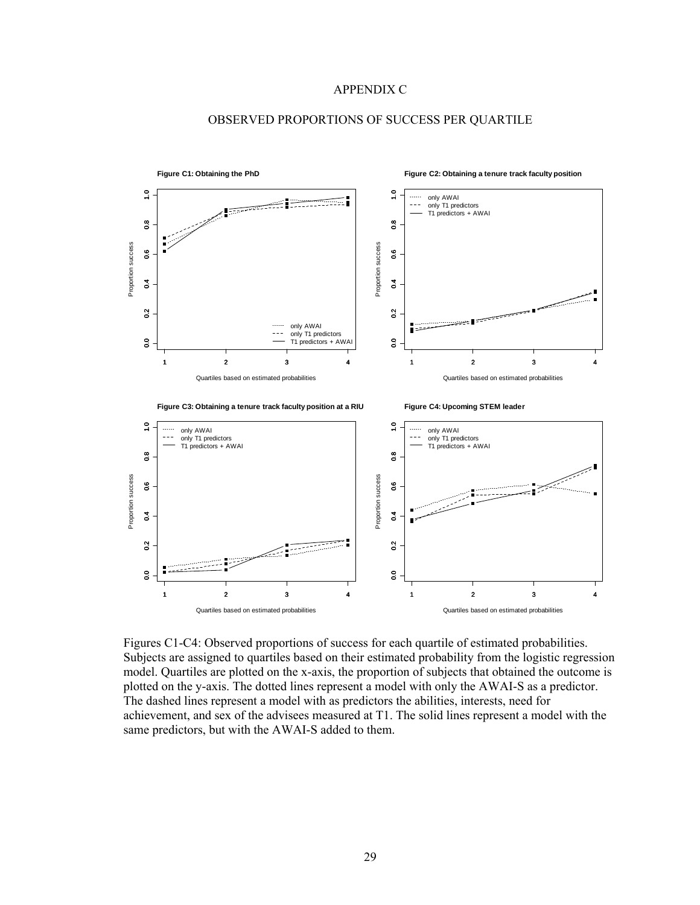#### APPENDIX C



### OBSERVED PROPORTIONS OF SUCCESS PER QUARTILE

Figures C1-C4: Observed proportions of success for each quartile of estimated probabilities. Subjects are assigned to quartiles based on their estimated probability from the logistic regression model. Quartiles are plotted on the x-axis, the proportion of subjects that obtained the outcome is plotted on the y-axis. The dotted lines represent a model with only the AWAI-S as a predictor. The dashed lines represent a model with as predictors the abilities, interests, need for achievement, and sex of the advisees measured at T1. The solid lines represent a model with the same predictors, but with the AWAI-S added to them.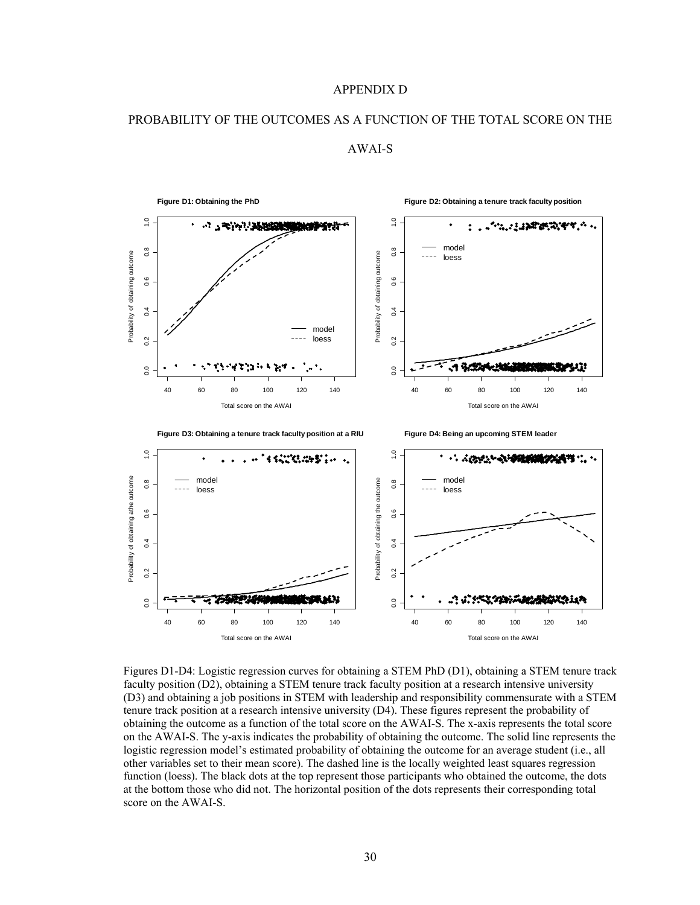#### APPENDIX D

#### PROBABILITY OF THE OUTCOMES AS A FUNCTION OF THE TOTAL SCORE ON THE



AWAI-S

Figures D1-D4: Logistic regression curves for obtaining a STEM PhD (D1), obtaining a STEM tenure track faculty position (D2), obtaining a STEM tenure track faculty position at a research intensive university (D3) and obtaining a job positions in STEM with leadership and responsibility commensurate with a STEM tenure track position at a research intensive university (D4). These figures represent the probability of obtaining the outcome as a function of the total score on the AWAI-S. The x-axis represents the total score on the AWAI-S. The y-axis indicates the probability of obtaining the outcome. The solid line represents the logistic regression model's estimated probability of obtaining the outcome for an average student (i.e., all other variables set to their mean score). The dashed line is the locally weighted least squares regression function (loess). The black dots at the top represent those participants who obtained the outcome, the dots at the bottom those who did not. The horizontal position of the dots represents their corresponding total score on the AWAI-S.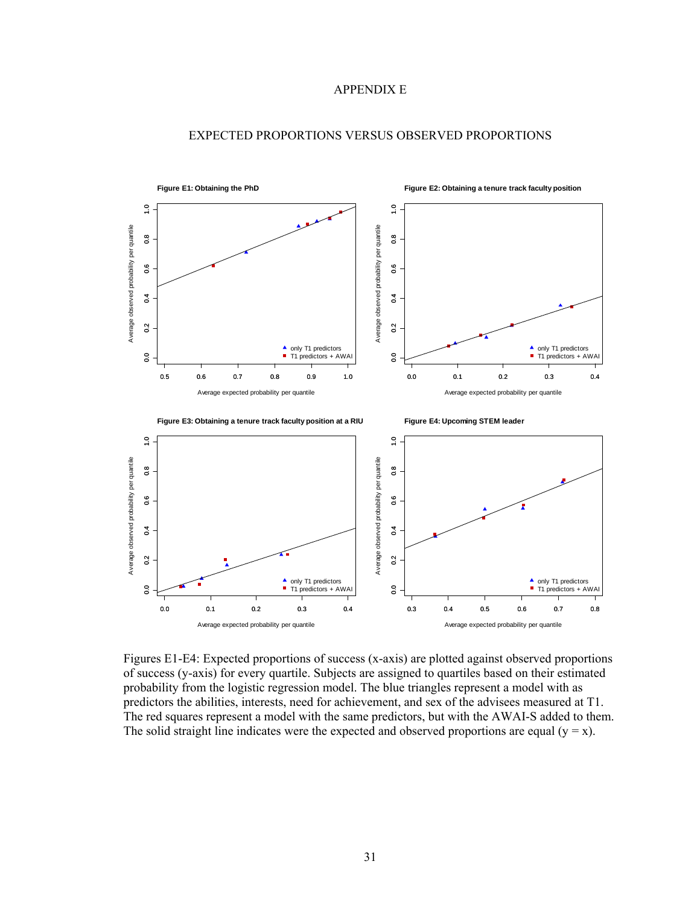## APPENDIX E



## EXPECTED PROPORTIONS VERSUS OBSERVED PROPORTIONS

Figures E1-E4: Expected proportions of success (x-axis) are plotted against observed proportions of success (y-axis) for every quartile. Subjects are assigned to quartiles based on their estimated probability from the logistic regression model. The blue triangles represent a model with as predictors the abilities, interests, need for achievement, and sex of the advisees measured at T1. The red squares represent a model with the same predictors, but with the AWAI-S added to them. The solid straight line indicates were the expected and observed proportions are equal  $(y = x)$ .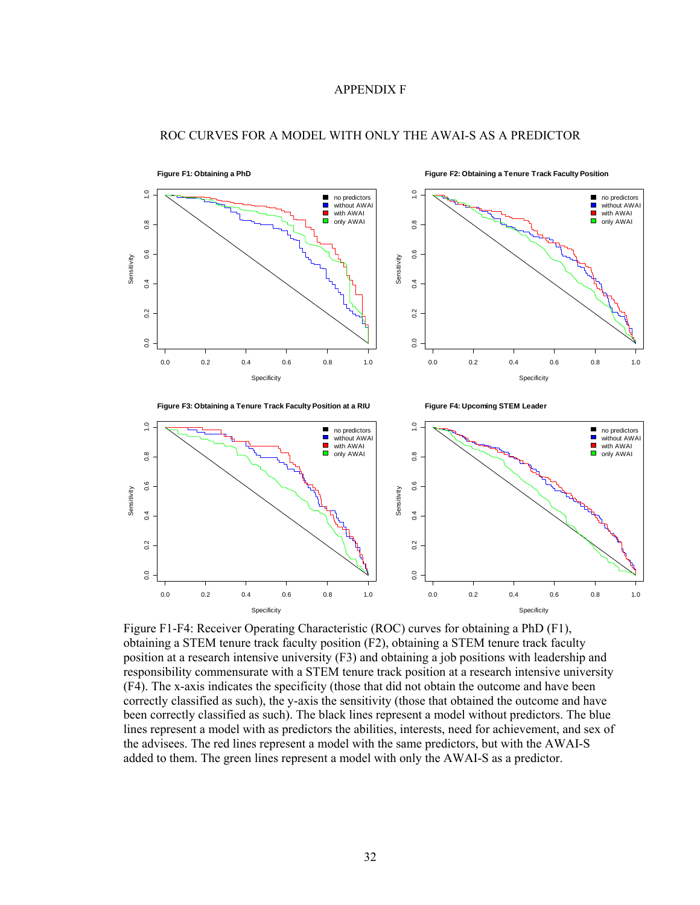## APPENDIX F



#### ROC CURVES FOR A MODEL WITH ONLY THE AWAI-S AS A PREDICTOR

Figure F1-F4: Receiver Operating Characteristic (ROC) curves for obtaining a PhD (F1), obtaining a STEM tenure track faculty position (F2), obtaining a STEM tenure track faculty position at a research intensive university (F3) and obtaining a job positions with leadership and responsibility commensurate with a STEM tenure track position at a research intensive university (F4). The x-axis indicates the specificity (those that did not obtain the outcome and have been correctly classified as such), the y-axis the sensitivity (those that obtained the outcome and have been correctly classified as such). The black lines represent a model without predictors. The blue lines represent a model with as predictors the abilities, interests, need for achievement, and sex of the advisees. The red lines represent a model with the same predictors, but with the AWAI-S added to them. The green lines represent a model with only the AWAI-S as a predictor.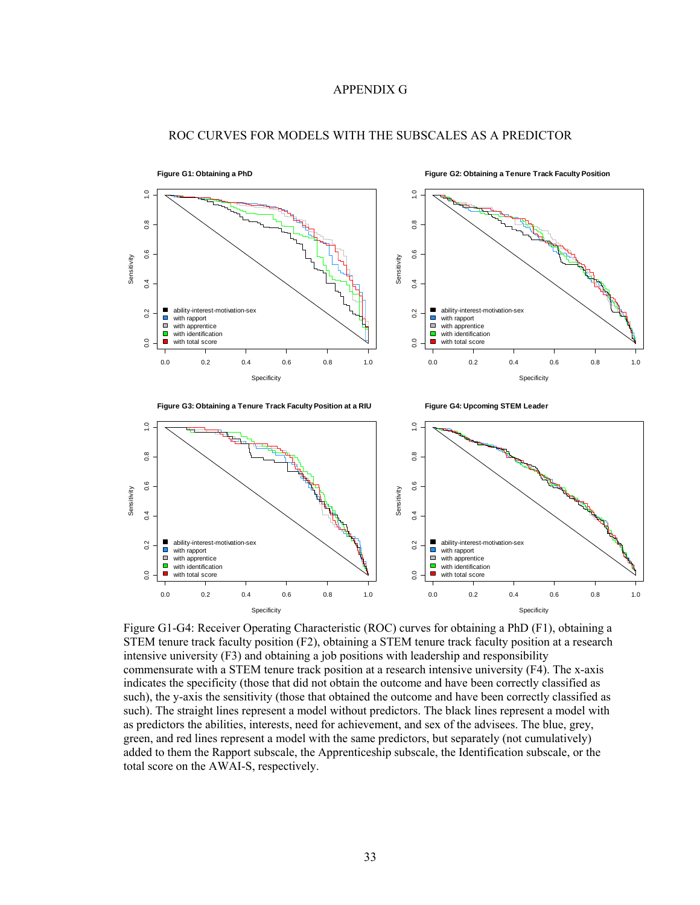## APPENDIX G



#### ROC CURVES FOR MODELS WITH THE SUBSCALES AS A PREDICTOR

Figure G1-G4: Receiver Operating Characteristic (ROC) curves for obtaining a PhD (F1), obtaining a STEM tenure track faculty position (F2), obtaining a STEM tenure track faculty position at a research intensive university (F3) and obtaining a job positions with leadership and responsibility commensurate with a STEM tenure track position at a research intensive university (F4). The x-axis indicates the specificity (those that did not obtain the outcome and have been correctly classified as such), the y-axis the sensitivity (those that obtained the outcome and have been correctly classified as such). The straight lines represent a model without predictors. The black lines represent a model with as predictors the abilities, interests, need for achievement, and sex of the advisees. The blue, grey, green, and red lines represent a model with the same predictors, but separately (not cumulatively) added to them the Rapport subscale, the Apprenticeship subscale, the Identification subscale, or the total score on the AWAI-S, respectively.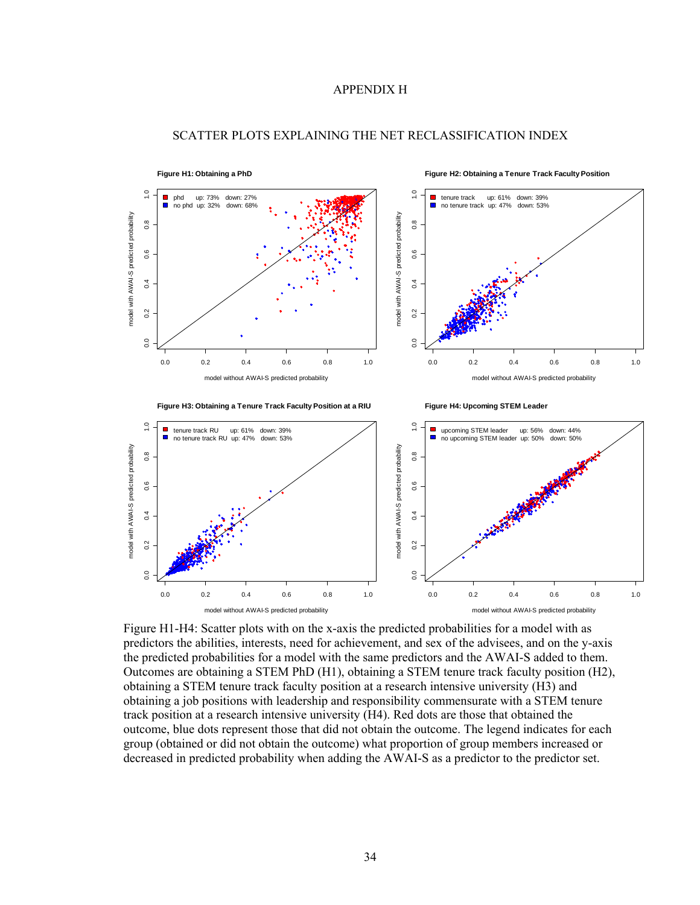#### APPENDIX H



#### SCATTER PLOTS EXPLAINING THE NET RECLASSIFICATION INDEX

Figure H1-H4: Scatter plots with on the x-axis the predicted probabilities for a model with as predictors the abilities, interests, need for achievement, and sex of the advisees, and on the y-axis the predicted probabilities for a model with the same predictors and the AWAI-S added to them. Outcomes are obtaining a STEM PhD (H1), obtaining a STEM tenure track faculty position (H2), obtaining a STEM tenure track faculty position at a research intensive university (H3) and obtaining a job positions with leadership and responsibility commensurate with a STEM tenure track position at a research intensive university (H4). Red dots are those that obtained the outcome, blue dots represent those that did not obtain the outcome. The legend indicates for each group (obtained or did not obtain the outcome) what proportion of group members increased or decreased in predicted probability when adding the AWAI-S as a predictor to the predictor set.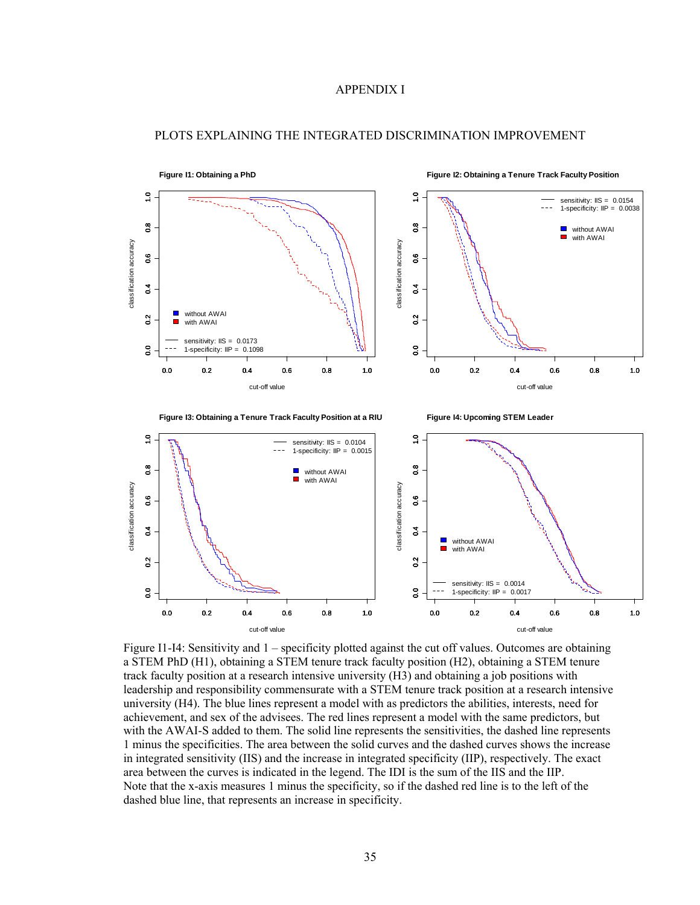# APPENDIX I



#### PLOTS EXPLAINING THE INTEGRATED DISCRIMINATION IMPROVEMENT

Figure I1-I4: Sensitivity and 1 – specificity plotted against the cut off values. Outcomes are obtaining a STEM PhD (H1), obtaining a STEM tenure track faculty position (H2), obtaining a STEM tenure track faculty position at a research intensive university (H3) and obtaining a job positions with leadership and responsibility commensurate with a STEM tenure track position at a research intensive university (H4). The blue lines represent a model with as predictors the abilities, interests, need for achievement, and sex of the advisees. The red lines represent a model with the same predictors, but with the AWAI-S added to them. The solid line represents the sensitivities, the dashed line represents 1 minus the specificities. The area between the solid curves and the dashed curves shows the increase in integrated sensitivity (IIS) and the increase in integrated specificity (IIP), respectively. The exact area between the curves is indicated in the legend. The IDI is the sum of the IIS and the IIP. Note that the x-axis measures 1 minus the specificity, so if the dashed red line is to the left of the dashed blue line, that represents an increase in specificity.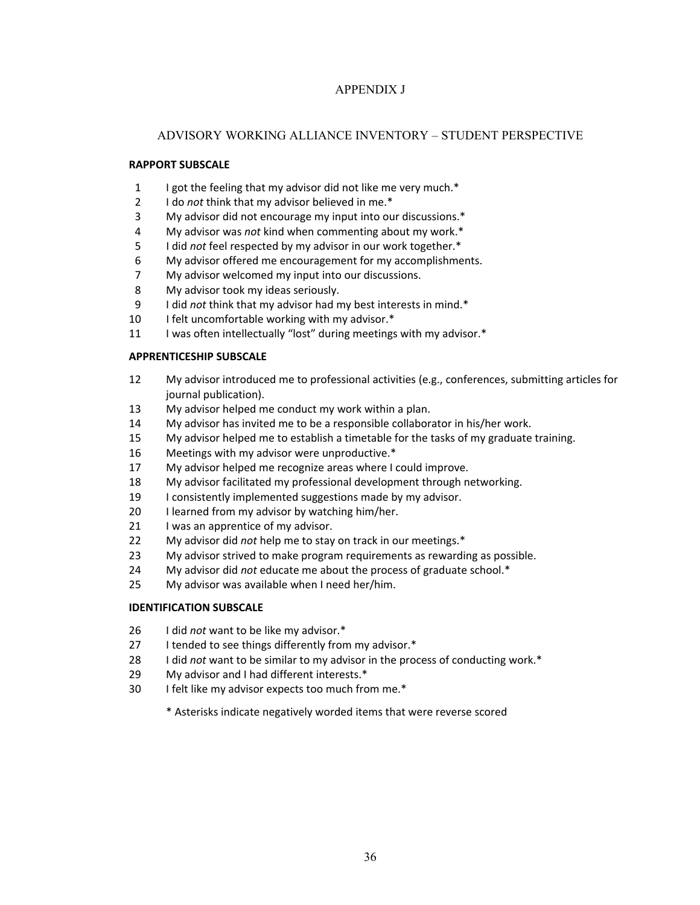# APPENDIX J

# ADVISORY WORKING ALLIANCE INVENTORY – STUDENT PERSPECTIVE

## **RAPPORT SUBSCALE**

- 1 I got the feeling that my advisor did not like me very much.\*
- I do *not* think that my advisor believed in me.\*
- My advisor did not encourage my input into our discussions.\*
- My advisor was *not* kind when commenting about my work.\*
- I did *not* feel respected by my advisor in our work together.\*
- My advisor offered me encouragement for my accomplishments.
- My advisor welcomed my input into our discussions.
- My advisor took my ideas seriously.
- I did *not* think that my advisor had my best interests in mind.\*
- 10 I felt uncomfortable working with my advisor.\*
- 11 I was often intellectually "lost" during meetings with my advisor.\*

## **APPRENTICESHIP SUBSCALE**

- My advisor introduced me to professional activities (e.g., conferences, submitting articles for journal publication).
- My advisor helped me conduct my work within a plan.
- My advisor has invited me to be a responsible collaborator in his/her work.
- My advisor helped me to establish a timetable for the tasks of my graduate training.
- Meetings with my advisor were unproductive.\*
- My advisor helped me recognize areas where I could improve.
- My advisor facilitated my professional development through networking.
- I consistently implemented suggestions made by my advisor.
- 20 I learned from my advisor by watching him/her.
- 21 I was an apprentice of my advisor.
- My advisor did *not* help me to stay on track in our meetings.\*
- My advisor strived to make program requirements as rewarding as possible.
- My advisor did *not* educate me about the process of graduate school.\*
- My advisor was available when I need her/him.

## **IDENTIFICATION SUBSCALE**

- I did *not* want to be like my advisor.\*
- 27 I tended to see things differently from my advisor.\*
- I did *not* want to be similar to my advisor in the process of conducting work.\*
- My advisor and I had different interests.\*
- I felt like my advisor expects too much from me.\*
	- \* Asterisks indicate negatively worded items that were reverse scored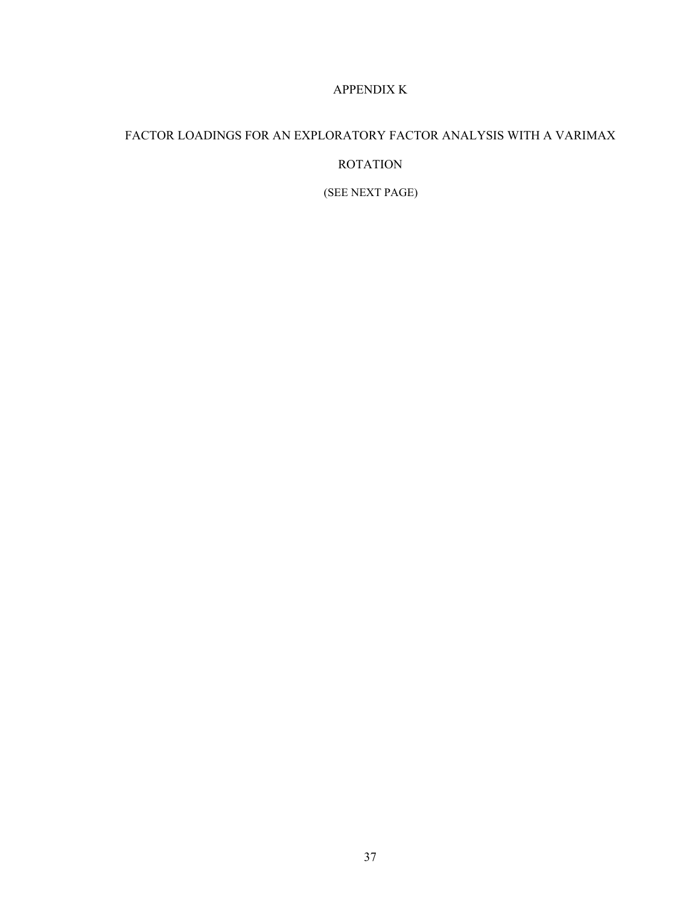# APPENDIX K

# FACTOR LOADINGS FOR AN EXPLORATORY FACTOR ANALYSIS WITH A VARIMAX ROTATION

(SEE NEXT PAGE)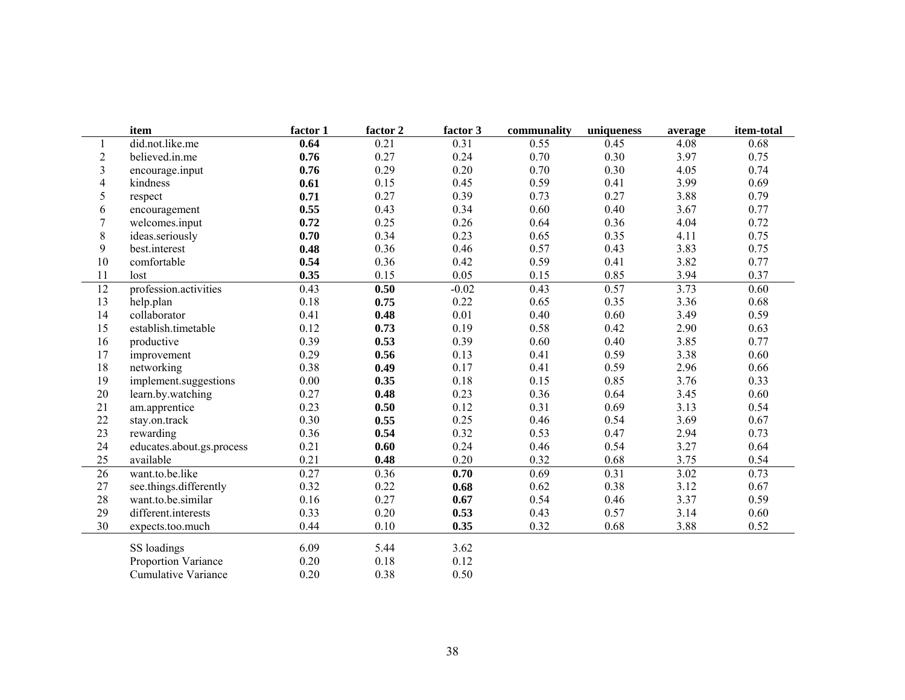|                         | item                      | factor 1 | factor 2 | factor 3 | communality | uniqueness | average | item-total |
|-------------------------|---------------------------|----------|----------|----------|-------------|------------|---------|------------|
|                         | did.not.like.me           | 0.64     | 0.21     | 0.31     | 0.55        | 0.45       | 4.08    | 0.68       |
| $\overline{c}$          | believed.in.me            | 0.76     | 0.27     | 0.24     | 0.70        | 0.30       | 3.97    | 0.75       |
| 3                       | encourage.input           | 0.76     | 0.29     | 0.20     | 0.70        | 0.30       | 4.05    | 0.74       |
| $\overline{\mathbf{4}}$ | kindness                  | 0.61     | 0.15     | 0.45     | 0.59        | 0.41       | 3.99    | 0.69       |
| 5                       | respect                   | 0.71     | 0.27     | 0.39     | 0.73        | 0.27       | 3.88    | 0.79       |
| 6                       | encouragement             | 0.55     | 0.43     | 0.34     | 0.60        | 0.40       | 3.67    | 0.77       |
| $\overline{7}$          | welcomes.input            | 0.72     | 0.25     | 0.26     | 0.64        | 0.36       | 4.04    | 0.72       |
| 8                       | ideas.seriously           | 0.70     | 0.34     | 0.23     | 0.65        | 0.35       | 4.11    | 0.75       |
| 9                       | best.interest             | 0.48     | 0.36     | 0.46     | 0.57        | 0.43       | 3.83    | 0.75       |
| 10                      | comfortable               | 0.54     | 0.36     | 0.42     | 0.59        | 0.41       | 3.82    | 0.77       |
| 11                      | lost                      | 0.35     | 0.15     | 0.05     | 0.15        | 0.85       | 3.94    | 0.37       |
| 12                      | profession.activities     | 0.43     | 0.50     | $-0.02$  | 0.43        | 0.57       | 3.73    | 0.60       |
| 13                      | help.plan                 | 0.18     | 0.75     | 0.22     | 0.65        | 0.35       | 3.36    | 0.68       |
| 14                      | collaborator              | 0.41     | 0.48     | 0.01     | 0.40        | 0.60       | 3.49    | 0.59       |
| 15                      | establish.timetable       | 0.12     | 0.73     | 0.19     | 0.58        | 0.42       | 2.90    | 0.63       |
| 16                      | productive                | 0.39     | 0.53     | 0.39     | 0.60        | 0.40       | 3.85    | 0.77       |
| 17                      | improvement               | 0.29     | 0.56     | 0.13     | 0.41        | 0.59       | 3.38    | 0.60       |
| $18\,$                  | networking                | 0.38     | 0.49     | 0.17     | 0.41        | 0.59       | 2.96    | 0.66       |
| 19                      | implement.suggestions     | 0.00     | 0.35     | 0.18     | 0.15        | 0.85       | 3.76    | 0.33       |
| 20                      | learn.by.watching         | 0.27     | 0.48     | 0.23     | 0.36        | 0.64       | 3.45    | 0.60       |
| 21                      | am.apprentice             | 0.23     | 0.50     | 0.12     | 0.31        | 0.69       | 3.13    | 0.54       |
| 22                      | stay.on.track             | 0.30     | 0.55     | 0.25     | 0.46        | 0.54       | 3.69    | 0.67       |
| 23                      | rewarding                 | 0.36     | 0.54     | 0.32     | 0.53        | 0.47       | 2.94    | 0.73       |
| 24                      | educates.about.gs.process | 0.21     | 0.60     | 0.24     | 0.46        | 0.54       | 3.27    | 0.64       |
| 25                      | available                 | 0.21     | 0.48     | 0.20     | 0.32        | 0.68       | 3.75    | 0.54       |
| 26                      | want.to.be.like           | 0.27     | 0.36     | 0.70     | 0.69        | 0.31       | 3.02    | 0.73       |
| $27\,$                  | see.things.differently    | 0.32     | 0.22     | 0.68     | 0.62        | 0.38       | 3.12    | 0.67       |
| 28                      | want.to.be.similar        | 0.16     | 0.27     | 0.67     | 0.54        | 0.46       | 3.37    | 0.59       |
| 29                      | different.interests       | 0.33     | 0.20     | 0.53     | 0.43        | 0.57       | 3.14    | 0.60       |
| 30                      | expects.too.much          | 0.44     | 0.10     | 0.35     | 0.32        | 0.68       | 3.88    | 0.52       |
|                         | SS loadings               | 6.09     | 5.44     | 3.62     |             |            |         |            |
|                         | Proportion Variance       | 0.20     | 0.18     | 0.12     |             |            |         |            |
|                         | Cumulative Variance       | 0.20     | 0.38     | 0.50     |             |            |         |            |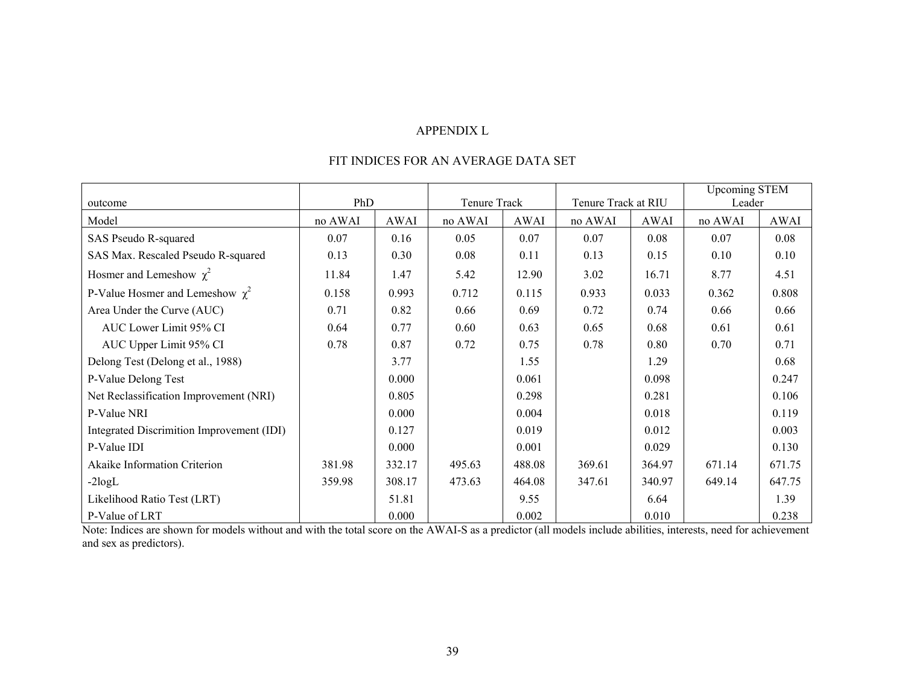#### APPENDIX L

#### FIT INDICES FOR AN AVERAGE DATA SET

|                                           |         |        |              |             |                     |        | <b>Upcoming STEM</b> |        |
|-------------------------------------------|---------|--------|--------------|-------------|---------------------|--------|----------------------|--------|
| outcome                                   | PhD     |        | Tenure Track |             | Tenure Track at RIU |        | Leader               |        |
| Model                                     | no AWAI | AWAI   | no AWAI      | <b>AWAI</b> | no AWAI             | AWAI   | no AWAI              | AWAI   |
| SAS Pseudo R-squared                      | 0.07    | 0.16   | 0.05         | 0.07        | 0.07                | 0.08   | 0.07                 | 0.08   |
| SAS Max. Rescaled Pseudo R-squared        | 0.13    | 0.30   | 0.08         | 0.11        | 0.13                | 0.15   | 0.10                 | 0.10   |
| Hosmer and Lemeshow $\chi^2$              | 11.84   | 1.47   | 5.42         | 12.90       | 3.02                | 16.71  | 8.77                 | 4.51   |
| P-Value Hosmer and Lemeshow $\chi^2$      | 0.158   | 0.993  | 0.712        | 0.115       | 0.933               | 0.033  | 0.362                | 0.808  |
| Area Under the Curve (AUC)                | 0.71    | 0.82   | 0.66         | 0.69        | 0.72                | 0.74   | 0.66                 | 0.66   |
| AUC Lower Limit 95% CI                    | 0.64    | 0.77   | 0.60         | 0.63        | 0.65                | 0.68   | 0.61                 | 0.61   |
| AUC Upper Limit 95% CI                    | 0.78    | 0.87   | 0.72         | 0.75        | 0.78                | 0.80   | 0.70                 | 0.71   |
| Delong Test (Delong et al., 1988)         |         | 3.77   |              | 1.55        |                     | 1.29   |                      | 0.68   |
| P-Value Delong Test                       |         | 0.000  |              | 0.061       |                     | 0.098  |                      | 0.247  |
| Net Reclassification Improvement (NRI)    |         | 0.805  |              | 0.298       |                     | 0.281  |                      | 0.106  |
| P-Value NRI                               |         | 0.000  |              | 0.004       |                     | 0.018  |                      | 0.119  |
| Integrated Discrimition Improvement (IDI) |         | 0.127  |              | 0.019       |                     | 0.012  |                      | 0.003  |
| P-Value IDI                               |         | 0.000  |              | 0.001       |                     | 0.029  |                      | 0.130  |
| Akaike Information Criterion              | 381.98  | 332.17 | 495.63       | 488.08      | 369.61              | 364.97 | 671.14               | 671.75 |
| $-2logL$                                  | 359.98  | 308.17 | 473.63       | 464.08      | 347.61              | 340.97 | 649.14               | 647.75 |
| Likelihood Ratio Test (LRT)               |         | 51.81  |              | 9.55        |                     | 6.64   |                      | 1.39   |
| P-Value of LRT                            |         | 0.000  |              | 0.002       |                     | 0.010  |                      | 0.238  |

Note: Indices are shown for models without and with the total score on the AWAI-S as a predictor (all models include abilities, interests, need for achievement and sex as predictors).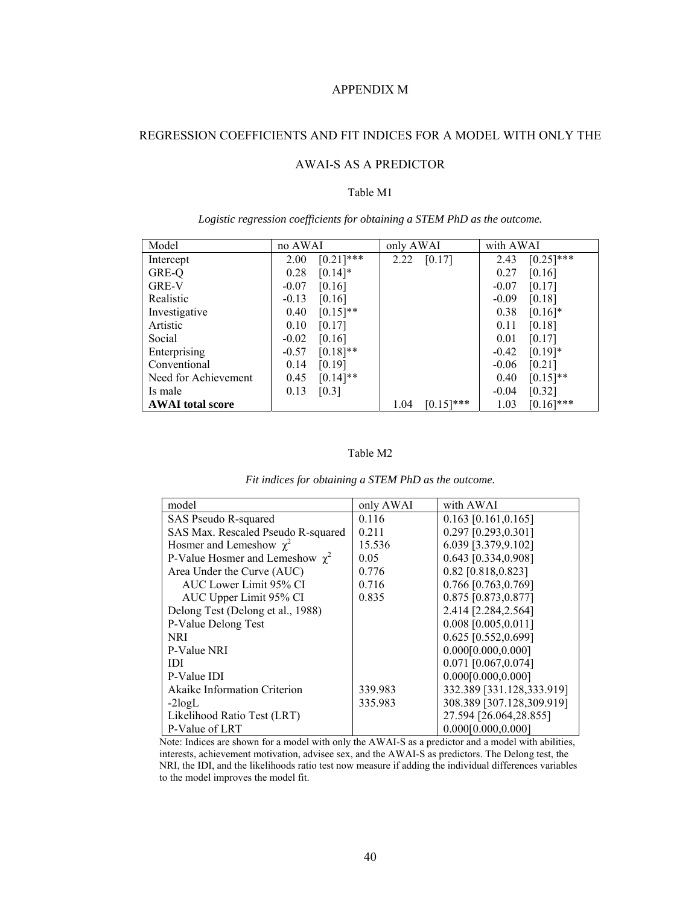# APPENDIX M

# REGRESSION COEFFICIENTS AND FIT INDICES FOR A MODEL WITH ONLY THE

# AWAI-S AS A PREDICTOR

#### Table M1

| Model                   | no AWAI                | only AWAI            | with AWAI            |
|-------------------------|------------------------|----------------------|----------------------|
| Intercept               | $[0.21]$ ***<br>2.00   | [0.17]<br>2.22       | $[0.25]$ ***<br>2.43 |
| GRE-Q                   | $[0.14]$ *<br>0.28     |                      | 0.27<br>[0.16]       |
| <b>GRE-V</b>            | $-0.07$<br>[0.16]      |                      | [0.17]<br>$-0.07$    |
| Realistic               | [0.16]<br>$-0.13$      |                      | [0.18]<br>$-0.09$    |
| Investigative           | $[0.15]$ **<br>0.40    |                      | 0.38<br>$[0.16]$ *   |
| Artistic                | 0.10<br>[0.17]         |                      | [0.18]<br>0.11       |
| Social                  | $-0.02$<br>[0.16]      |                      | 0.01<br>[0.17]       |
| Enterprising            | $[0.18]$ **<br>$-0.57$ |                      | $[0.19]*$<br>$-0.42$ |
| Conventional            | [0.19]<br>0.14         |                      | [0.21]<br>$-0.06$    |
| Need for Achievement    | $[0.14]$ **<br>0.45    |                      | $[0.15]$ **<br>0.40  |
| Is male                 | 0.13<br>[0.3]          |                      | [0.32]<br>$-0.04$    |
| <b>AWAI</b> total score |                        | $[0.15]$ ***<br>1.04 | $[0.16]$ ***<br>1.03 |

*Logistic regression coefficients for obtaining a STEM PhD as the outcome.* 

## Table M2

| model                                | only AWAI | with AWAI                 |
|--------------------------------------|-----------|---------------------------|
| SAS Pseudo R-squared                 | 0.116     | $0.163$ [0.161,0.165]     |
| SAS Max. Rescaled Pseudo R-squared   | 0.211     | 0.297 [0.293,0.301]       |
| Hosmer and Lemeshow $\gamma^2$       | 15.536    | 6.039 [3.379,9.102]       |
| P-Value Hosmer and Lemeshow $\chi^2$ | 0.05      | 0.643 [0.334,0.908]       |
| Area Under the Curve (AUC)           | 0.776     | 0.82 [0.818,0.823]        |
| AUC Lower Limit 95% CI               | 0.716     | 0.766 [0.763,0.769]       |
| AUC Upper Limit 95% CI               | 0.835     | 0.875 [0.873,0.877]       |
| Delong Test (Delong et al., 1988)    |           | 2.414 [2.284,2.564]       |
| P-Value Delong Test                  |           | $0.008$ [0.005,0.011]     |
| NRI                                  |           | 0.625 [0.552,0.699]       |
| P-Value NRI                          |           | 0.000[0.000, 0.000]       |
| <b>IDI</b>                           |           | 0.071 [0.067,0.074]       |
| P-Value IDI                          |           | 0.000[0.000, 0.000]       |
| <b>Akaike Information Criterion</b>  | 339.983   | 332.389 [331.128,333.919] |
| $-2logL$                             | 335.983   | 308.389 [307.128,309.919] |
| Likelihood Ratio Test (LRT)          |           | 27.594 [26.064,28.855]    |
| P-Value of LRT                       |           | 0.000[0.000, 0.000]       |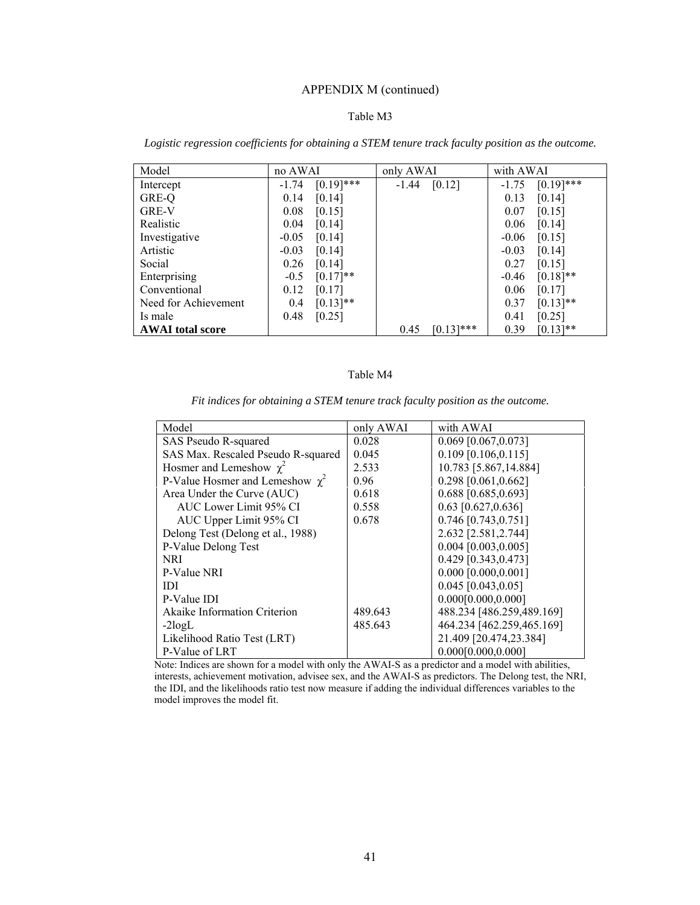# APPENDIX M (continued)

## Table M3

| Model                   | no AWAI |              | only AWAI |              | with AWAI |              |
|-------------------------|---------|--------------|-----------|--------------|-----------|--------------|
| Intercept               | $-1.74$ | $[0.19]$ *** | $-1.44$   | [0.12]       | $-1.75$   | $[0.19]$ *** |
| GRE-Q                   | 0.14    | [0.14]       |           |              | 0.13      | [0.14]       |
| <b>GRE-V</b>            | 0.08    | [0.15]       |           |              | 0.07      | [0.15]       |
| Realistic               | 0.04    | [0.14]       |           |              | 0.06      | [0.14]       |
| Investigative           | $-0.05$ | [0.14]       |           |              | $-0.06$   | [0.15]       |
| Artistic                | $-0.03$ | [0.14]       |           |              | $-0.03$   | [0.14]       |
| Social                  | 0.26    | [0.14]       |           |              | 0.27      | [0.15]       |
| Enterprising            | $-0.5$  | $[0.17]**$   |           |              | $-0.46$   | $[0.18]$ **  |
| Conventional            | 0.12    | [0.17]       |           |              | 0.06      | [0.17]       |
| Need for Achievement    | 0.4     | $[0.13]$ **  |           |              | 0.37      | $[0.13]$ **  |
| Is male                 | 0.48    | [0.25]       |           |              | 0.41      | [0.25]       |
| <b>AWAI</b> total score |         |              | 0.45      | $[0.13]$ *** | 0.39      | $[0.13]$ **  |

*Logistic regression coefficients for obtaining a STEM tenure track faculty position as the outcome.* 

## Table M4

| Model                                | only AWAI | with AWAI                 |
|--------------------------------------|-----------|---------------------------|
| SAS Pseudo R-squared                 | 0.028     | $0.069$ [0.067,0.073]     |
| SAS Max. Rescaled Pseudo R-squared   | 0.045     | $0.109$ [0.106,0.115]     |
| Hosmer and Lemeshow $\chi^2$         | 2.533     | 10.783 [5.867,14.884]     |
| P-Value Hosmer and Lemeshow $\chi^2$ | 0.96      | 0.298 [0.061,0.662]       |
| Area Under the Curve (AUC)           | 0.618     | 0.688 [0.685,0.693]       |
| AUC Lower Limit 95% CI               | 0.558     | $0.63$ [0.627,0.636]      |
| AUC Upper Limit 95% CI               | 0.678     | 0.746 [0.743,0.751]       |
| Delong Test (Delong et al., 1988)    |           | 2.632 [2.581,2.744]       |
| P-Value Delong Test                  |           | $0.004$ [0.003,0.005]     |
| <b>NRI</b>                           |           | 0.429 [0.343,0.473]       |
| P-Value NRI                          |           | $0.000$ [0.000,0.001]     |
| <b>IDI</b>                           |           | $0.045$ [0.043,0.05]      |
| P-Value IDI                          |           | 0.000[0.000, 0.000]       |
| <b>Akaike Information Criterion</b>  | 489.643   | 488.234 [486.259,489.169] |
| $-2logL$                             | 485.643   | 464.234 [462.259,465.169] |
| Likelihood Ratio Test (LRT)          |           | 21.409 [20.474,23.384]    |
| P-Value of LRT                       |           | 0.000[0.000, 0.000]       |

*Fit indices for obtaining a STEM tenure track faculty position as the outcome.*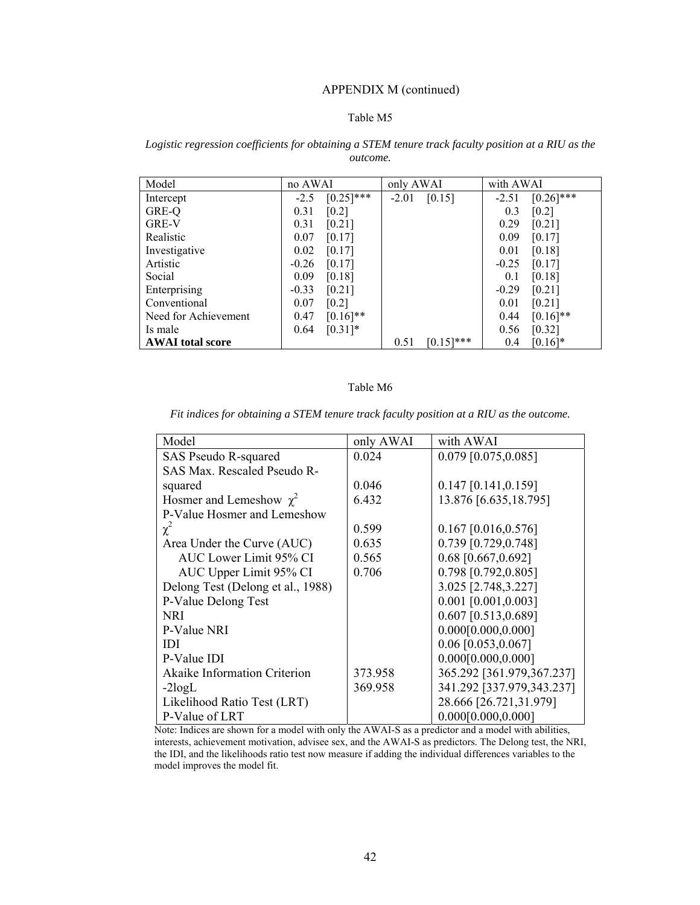## APPENDIX M (continued)

#### Table M5

#### *Logistic regression coefficients for obtaining a STEM tenure track faculty position at a RIU as the outcome.*

| Model                   | no AWAI |                     | only AWAI |              | with AWAI |              |
|-------------------------|---------|---------------------|-----------|--------------|-----------|--------------|
| Intercept               | $-2.5$  | $[0.25]$ ***        | $-2.01$   | [0.15]       | $-2.51$   | $[0.26]$ *** |
| GRE-Q                   | 0.31    | $\lceil 0.2 \rceil$ |           |              | 0.3       | [0.2]        |
| <b>GRE-V</b>            | 0.31    | [0.21]              |           |              | 0.29      | [0.21]       |
| Realistic               | 0.07    | [0.17]              |           |              | 0.09      | [0.17]       |
| Investigative           | 0.02    | [0.17]              |           |              | 0.01      | [0.18]       |
| Artistic                | $-0.26$ | [0.17]              |           |              | $-0.25$   | [0.17]       |
| Social                  | 0.09    | [0.18]              |           |              | 0.1       | [0.18]       |
| Enterprising            | $-0.33$ | [0.21]              |           |              | $-0.29$   | [0.21]       |
| Conventional            | 0.07    | [0.2]               |           |              | 0.01      | [0.21]       |
| Need for Achievement    | 0.47    | $[0.16]$ **         |           |              | 0.44      | $[0.16]$ **  |
| Is male                 | 0.64    | $[0.31]*$           |           |              | 0.56      | [0.32]       |
| <b>AWAI</b> total score |         |                     | 0.51      | $[0.15]$ *** | 0.4       | $[0.16]$ *   |

#### Table M6

*Fit indices for obtaining a STEM tenure track faculty position at a RIU as the outcome.* 

| Model                               | only AWAI | with AWAI                 |
|-------------------------------------|-----------|---------------------------|
| SAS Pseudo R-squared                | 0.024     | $0.079$ [0.075,0.085]     |
| SAS Max. Rescaled Pseudo R-         |           |                           |
| squared                             | 0.046     | $0.147$ [0.141,0.159]     |
| Hosmer and Lemeshow $\chi^2$        | 6.432     | 13.876 [6.635, 18.795]    |
| P-Value Hosmer and Lemeshow         |           |                           |
| $\chi^2$                            | 0.599     | $0.167$ [0.016,0.576]     |
| Area Under the Curve (AUC)          | 0.635     | 0.739 [0.729,0.748]       |
| AUC Lower Limit 95% CI              | 0.565     | $0.68$ [0.667,0.692]      |
| AUC Upper Limit 95% CI              | 0.706     | 0.798 [0.792,0.805]       |
| Delong Test (Delong et al., 1988)   |           | 3.025 [2.748,3.227]       |
| P-Value Delong Test                 |           | $0.001$ [0.001,0.003]     |
| <b>NRI</b>                          |           | $0.607$ [0.513,0.689]     |
| P-Value NRI                         |           | 0.000[0.000, 0.000]       |
| <b>IDI</b>                          |           | $0.06$ [0.053,0.067]      |
| P-Value IDI                         |           | 0.000[0.000, 0.000]       |
| <b>Akaike Information Criterion</b> | 373.958   | 365.292 [361.979,367.237] |
| $-2logL$                            | 369.958   | 341.292 [337.979,343.237] |
| Likelihood Ratio Test (LRT)         |           | 28.666 [26.721,31.979]    |
| P-Value of LRT                      |           | 0.000[0.000, 0.000]       |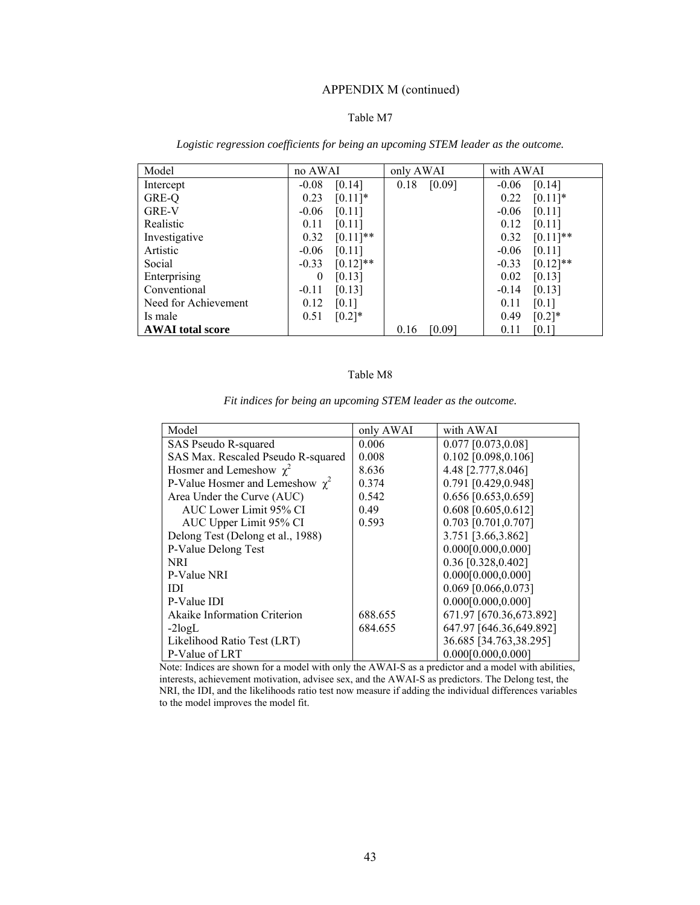# APPENDIX M (continued)

#### Table M7

| Model                   | no AWAI                | only AWAI      | with AWAI              |
|-------------------------|------------------------|----------------|------------------------|
| Intercept               | [0.14]<br>$-0.08$      | 0.18<br>[0.09] | [0.14]<br>$-0.06$      |
| GRE-Q                   | 0.23<br>$[0.11]$ *     |                | $[0.11]$ *<br>0.22     |
| GRE-V                   | $-0.06$<br>[0.11]      |                | $-0.06$<br>[0.11]      |
| Realistic               | 0.11<br>[0.11]         |                | 0.12<br>[0.11]         |
| Investigative           | $[0.11]$ **<br>0.32    |                | $[0.11]$ **<br>0.32    |
| Artistic                | $-0.06$<br>[0.11]      |                | $-0.06$<br>[0.11]      |
| Social                  | $[0.12]$ **<br>$-0.33$ |                | $[0.12]$ **<br>$-0.33$ |
| Enterprising            | [0.13]<br>$\bf{0}$     |                | 0.02<br>[0.13]         |
| Conventional            | $-0.11$<br>[0.13]      |                | $-0.14$<br>[0.13]      |
| Need for Achievement    | 0.12<br>[0.1]          |                | 0.11<br>[0.1]          |
| Is male                 | $[0.2]*$<br>0.51       |                | 0.49<br>$[0.2]*$       |
| <b>AWAI</b> total score |                        | [0.09]<br>0.16 | 0.11<br>[0.1]          |

*Logistic regression coefficients for being an upcoming STEM leader as the outcome.* 

#### Table M8

| Model                                | only AWAI | with AWAI               |
|--------------------------------------|-----------|-------------------------|
| SAS Pseudo R-squared                 | 0.006     | $0.077$ [0.073,0.08]    |
| SAS Max. Rescaled Pseudo R-squared   | 0.008     | $0.102$ [0.098,0.106]   |
| Hosmer and Lemeshow $\chi^2$         | 8.636     | 4.48 [2.777,8.046]      |
| P-Value Hosmer and Lemeshow $\chi^2$ | 0.374     | 0.791 [0.429,0.948]     |
| Area Under the Curve (AUC)           | 0.542     | 0.656 [0.653,0.659]     |
| AUC Lower Limit 95% CI               | 0.49      | $0.608$ [0.605,0.612]   |
| AUC Upper Limit 95% CI               | 0.593     | 0.703 [0.701,0.707]     |
| Delong Test (Delong et al., 1988)    |           | 3.751 [3.66,3.862]      |
| P-Value Delong Test                  |           | 0.000[0.000, 0.000]     |
| <b>NRI</b>                           |           | 0.36 [0.328,0.402]      |
| P-Value NRI                          |           | 0.000[0.000, 0.000]     |
| IDI                                  |           | $0.069$ [0.066,0.073]   |
| P-Value IDI                          |           | 0.000[0.000, 0.000]     |
| Akaike Information Criterion         | 688.655   | 671.97 [670.36,673.892] |
| $-2logL$                             | 684.655   | 647.97 [646.36,649.892] |
| Likelihood Ratio Test (LRT)          |           | 36.685 [34.763,38.295]  |
| P-Value of LRT                       |           | 0.000[0.000, 0.000]     |

*Fit indices for being an upcoming STEM leader as the outcome.*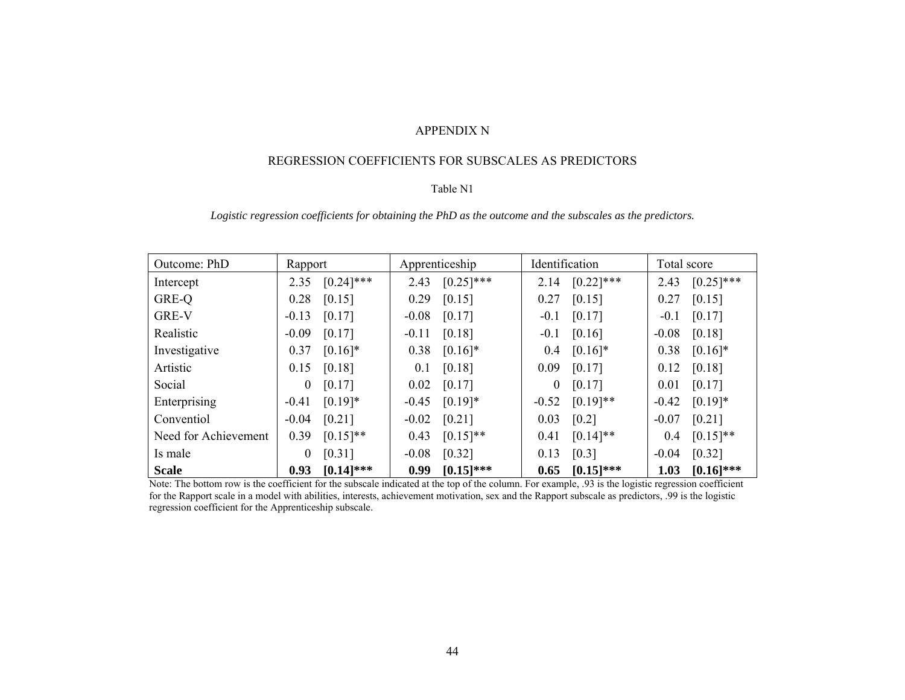#### APPENDIX N

#### REGRESSION COEFFICIENTS FOR SUBSCALES AS PREDICTORS

#### Table N1

## *Logistic regression coefficients for obtaining the PhD as the outcome and the subscales as the predictors.*

| Outcome: PhD         | Rapport  |                     |         | Apprenticeship | Identification |                    | Total score |              |
|----------------------|----------|---------------------|---------|----------------|----------------|--------------------|-------------|--------------|
| Intercept            | 2.35     | $[0.24]$ ***        | 2.43    | $[0.25]$ ***   | 2.14           | $[0.22]$ ***       | 2.43        | $[0.25]$ *** |
| GRE-Q                | 0.28     | [0.15]              | 0.29    | [0.15]         | 0.27           | [0.15]             | 0.27        | [0.15]       |
| <b>GRE-V</b>         | $-0.13$  | [0.17]              | $-0.08$ | [0.17]         | $-0.1$         | [0.17]             | $-0.1$      | [0.17]       |
| Realistic            | $-0.09$  | [0.17]              | $-0.11$ | [0.18]         | $-0.1$         | [0.16]             | $-0.08$     | [0.18]       |
| Investigative        | 0.37     | $[0.16]$ *          | 0.38    | $[0.16]$ *     | 0.4            | $[0.16]$ *         | 0.38        | $[0.16]$ *   |
| Artistic             | 0.15     | $\left[0.18\right]$ | 0.1     | [0.18]         | 0.09           | [0.17]             | 0.12        | [0.18]       |
| Social               | $\theta$ | [0.17]              | 0.02    | [0.17]         | $\theta$       | $[0.17]$           | 0.01        | [0.17]       |
| Enterprising         | $-0.41$  | $[0.19]*$           | $-0.45$ | $[0.19]*$      | $-0.52$        | $[0.19]$ **        | $-0.42$     | $[0.19]*$    |
| Conventiol           | $-0.04$  | $[0.21]$            | $-0.02$ | $[0.21]$       | 0.03           | $\left[0.2\right]$ | $-0.07$     | [0.21]       |
| Need for Achievement | 0.39     | $[0.15]$ **         | 0.43    | $[0.15]$ **    | 0.41           | $[0.14]$ **        | 0.4         | $[0.15]$ **  |
| Is male              | $\theta$ | [0.31]              | $-0.08$ | [0.32]         | 0.13           | [0.3]              | $-0.04$     | [0.32]       |
| <b>Scale</b>         | 0.93     | $[0.14]$ ***        | 0.99    | $[0.15]$ ***   | 0.65           | $[0.15]$ ***       | 1.03        | $[0.16]$ *** |

Note: The bottom row is the coefficient for the subscale indicated at the top of the column. For example, .93 is the logistic regression coefficient for the Rapport scale in a model with abilities, interests, achievement motivation, sex and the Rapport subscale as predictors, .99 is the logistic regression coefficient for the Apprenticeship subscale.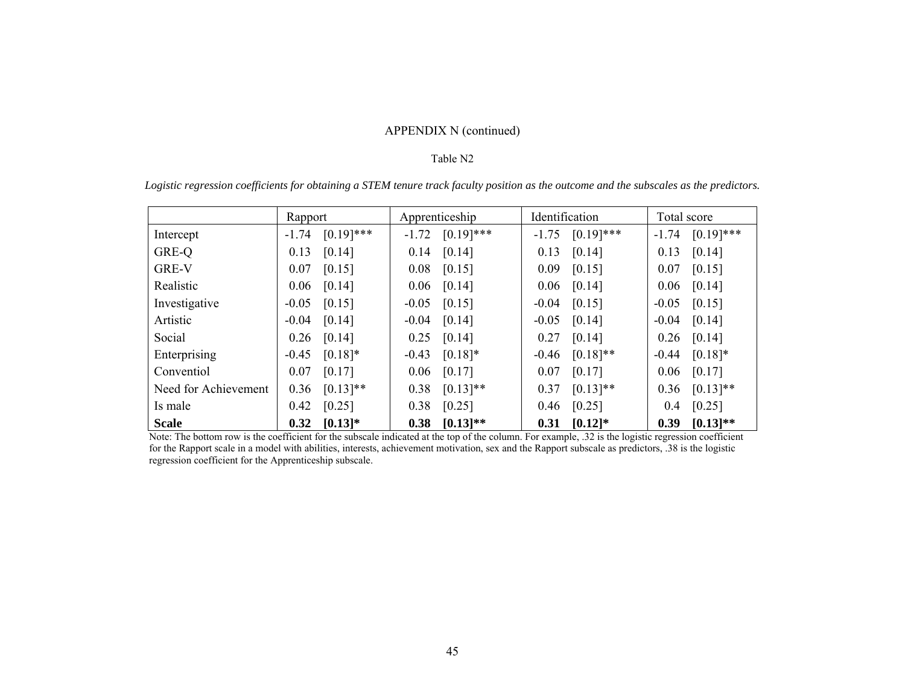# APPENDIX N (continued)

#### Table N2

|                      | Rapport                 | Apprenticeship |              | Identification |              | Total score |              |
|----------------------|-------------------------|----------------|--------------|----------------|--------------|-------------|--------------|
| Intercept            | $[0.19]$ ***<br>$-1.74$ | $-1.72$        | $[0.19]$ *** | $-1.75$        | $[0.19]$ *** | $-1.74$     | $[0.19]$ *** |
| GRE-Q                | 0.13<br>[0.14]          | 0.14           | [0.14]       | 0.13           | [0.14]       | 0.13        | [0.14]       |
| GRE-V                | 0.07<br>[0.15]          | 0.08           | [0.15]       | 0.09           | [0.15]       | 0.07        | [0.15]       |
| Realistic            | 0.06<br>[0.14]          | 0.06           | [0.14]       | 0.06           | [0.14]       | 0.06        | [0.14]       |
| Investigative        | $-0.05$<br>[0.15]       | $-0.05$        | [0.15]       | $-0.04$        | [0.15]       | $-0.05$     | [0.15]       |
| Artistic             | $-0.04$<br>[0.14]       | $-0.04$        | [0.14]       | $-0.05$        | [0.14]       | $-0.04$     | [0.14]       |
| Social               | [0.14]<br>0.26          | 0.25           | [0.14]       | 0.27           | [0.14]       | 0.26        | [0.14]       |
| Enterprising         | $[0.18]$ *<br>$-0.45$   | $-0.43$        | $[0.18]*$    | $-0.46$        | $[0.18]$ **  | $-0.44$     | $[0.18]*$    |
| Conventiol           | [0.17]<br>0.07          | 0.06           | [0.17]       | 0.07           | [0.17]       | 0.06        | [0.17]       |
| Need for Achievement | $[0.13]$ **<br>0.36     | 0.38           | $[0.13]$ **  | 0.37           | $[0.13]$ **  | 0.36        | $[0.13]$ **  |
| Is male              | 0.42<br>[0.25]          | 0.38           | [0.25]       | 0.46           | [0.25]       | 0.4         | [0.25]       |
| <b>Scale</b>         | $[0.13]*$<br>0.32       | 0.38           | $[0.13]$ **  | 0.31           | $[0.12]*$    | 0.39        | $[0.13]$ **  |

*Logistic regression coefficients for obtaining a STEM tenure track faculty position as the outcome and the subscales as the predictors.* 

Note: The bottom row is the coefficient for the subscale indicated at the top of the column. For example, .32 is the logistic regression coefficient for the Rapport scale in a model with abilities, interests, achievement motivation, sex and the Rapport subscale as predictors, .38 is the logistic regression coefficient for the Apprenticeship subscale.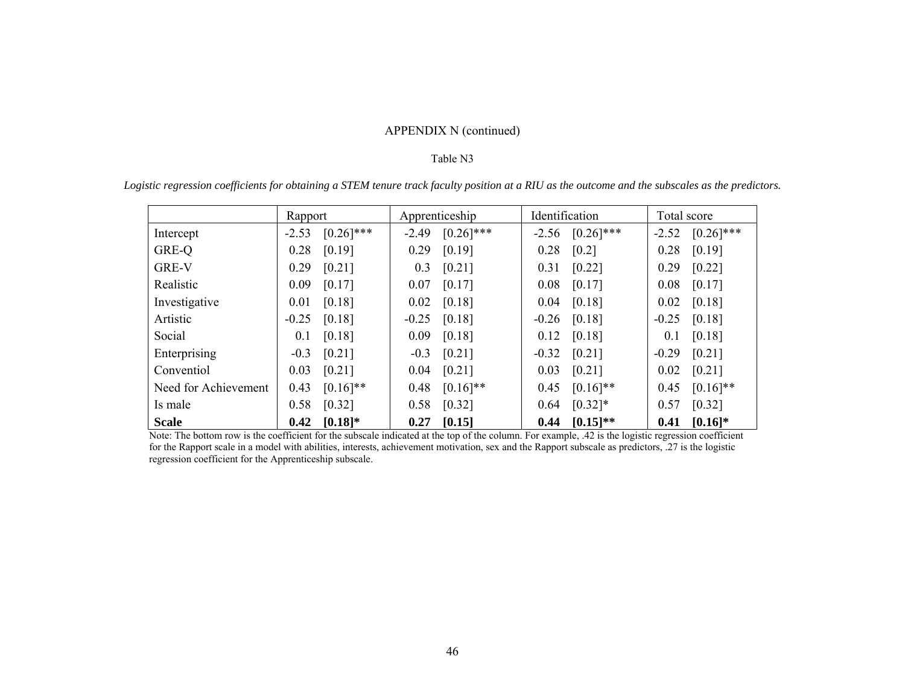# APPENDIX N (continued)

#### Table N3

|  |  |  |  | Logistic regression coefficients for obtaining a STEM tenure track faculty position at a RIU as the outcome and the subscales as the predictors. |  |  |  |
|--|--|--|--|--------------------------------------------------------------------------------------------------------------------------------------------------|--|--|--|
|  |  |  |  |                                                                                                                                                  |  |  |  |

|                      | Rapport                     |         | Apprenticeship      |         | Identification       |         | Total score  |  |
|----------------------|-----------------------------|---------|---------------------|---------|----------------------|---------|--------------|--|
| Intercept            | $[0.26]$ ***<br>$-2.53$     | $-2.49$ | $[0.26]$ ***        |         | $-2.56$ $[0.26]$ *** | $-2.52$ | $[0.26]$ *** |  |
| GRE-Q                | [0.19]<br>0.28              | 0.29    | [0.19]              | 0.28    | $\left[0.2\right]$   | 0.28    | [0.19]       |  |
| <b>GRE-V</b>         | 0.29<br>[0.21]              | 0.3     | $[0.21]$            | 0.31    | $[0.22]$             | 0.29    | [0.22]       |  |
| Realistic            | 0.09<br>[0.17]              | 0.07    | [0.17]              | 0.08    | [0.17]               | 0.08    | [0.17]       |  |
| Investigative        | [0.18]<br>0.01              | 0.02    | [0.18]              | 0.04    | $[0.18]$             | 0.02    | [0.18]       |  |
| Artistic             | [0.18]<br>$-0.25$           | $-0.25$ | [0.18]              |         | $-0.26$ [0.18]       | $-0.25$ | [0.18]       |  |
| Social               | [0.18]<br>0.1               | 0.09    | [0.18]              | 0.12    | $[0.18]$             | 0.1     | [0.18]       |  |
| Enterprising         | [0.21]<br>$-0.3$            | $-0.3$  | $[0.21]$            | $-0.32$ | $[0.21]$             | $-0.29$ | [0.21]       |  |
| Conventiol           | 0.03<br>$\left[0.21\right]$ | 0.04    | $\left[0.21\right]$ | 0.03    | $[0.21]$             | 0.02    | $[0.21]$     |  |
| Need for Achievement | $[0.16]$ **<br>0.43         | 0.48    | $[0.16]$ **         | 0.45    | $[0.16]$ **          | 0.45    | $[0.16]$ **  |  |
| Is male              | [0.32]<br>0.58              | 0.58    | $[0.32]$            | 0.64    | $[0.32]*$            | 0.57    | [0.32]       |  |
| <b>Scale</b>         | $[0.18]$ *<br>0.42          |         | $0.27$ [0.15]       |         | $0.44$ $[0.15]^{**}$ | 0.41    | $[0.16]$ *   |  |

Note: The bottom row is the coefficient for the subscale indicated at the top of the column. For example, .42 is the logistic regression coefficient for the Rapport scale in a model with abilities, interests, achievement motivation, sex and the Rapport subscale as predictors, .27 is the logistic regression coefficient for the Apprenticeship subscale.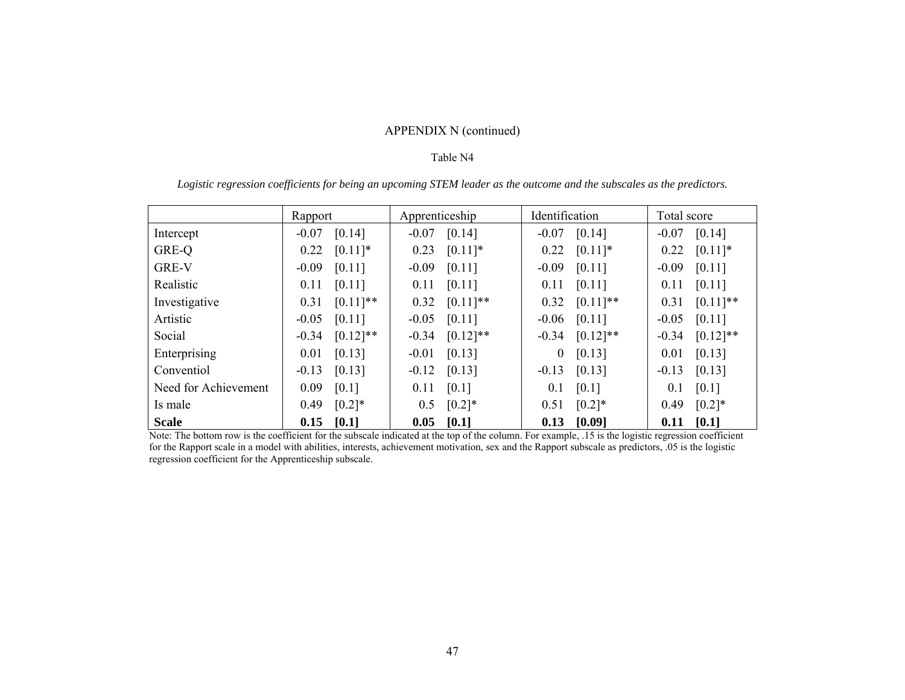# APPENDIX N (continued)

#### Table N4

|  |  |  |  |  | Logistic regression coefficients for being an upcoming STEM leader as the outcome and the subscales as the predictors. |  |
|--|--|--|--|--|------------------------------------------------------------------------------------------------------------------------|--|
|  |  |  |  |  |                                                                                                                        |  |
|  |  |  |  |  |                                                                                                                        |  |
|  |  |  |  |  |                                                                                                                        |  |

|                      | Rapport      | Apprenticeship | Identification     | Total score   |  |
|----------------------|--------------|----------------|--------------------|---------------|--|
| Intercept            | $-0.07$      | [0.14]         | [0.14]             | [0.14]        |  |
|                      | [0.14]       | $-0.07$        | $-0.07$            | $-0.07$       |  |
| GRE-Q                | $[0.11]$ *   | $[0.11]$ *     | $[0.11]$ *         | $[0.11]$ *    |  |
|                      | 0.22         | 0.23           | 0.22               | 0.22          |  |
| <b>GRE-V</b>         | $-0.09$      | $-0.09$        | $-0.09$            | $-0.09$       |  |
|                      | [0.11]       | $[0.11]$       | [0.11]             | [0.11]        |  |
| Realistic            | [0.11]       | $[0.11]$       | [0.11]             | 0.11          |  |
|                      | 0.11         | 0.11           | 0.11               | [0.11]        |  |
| Investigative        | $[0.11]$ **  | $[0.11]$ **    | $[0.11]$ **        | $[0.11]$ **   |  |
|                      | 0.31         | 0.32           | 0.32               | 0.31          |  |
| Artistic             | $-0.05$      | [0.11]         | [0.11]             | $-0.05$       |  |
|                      | [0.11]       | $-0.05$        | $-0.06$            | [0.11]        |  |
| Social               | $[0.12]$ **  | $[0.12]$ **    | $[0.12]$ **        | $[0.12]$ **   |  |
|                      | $-0.34$      | $-0.34$        | $-0.34$            | $-0.34$       |  |
| Enterprising         | [0.13]       | $-0.01$        | [0.13]             | [0.13]        |  |
|                      | 0.01         | [0.13]         | $\overline{0}$     | 0.01          |  |
| Conventiol           | $-0.13$      | $-0.12$        | $-0.13$            | $-0.13$       |  |
|                      | [0.13]       | [0.13]         | [0.13]             | [0.13]        |  |
| Need for Achievement | 0.09         | [0.1]          | $\left[0.1\right]$ | [0.1]         |  |
|                      | [0.1]        | 0.11           | 0.1                | 0.1           |  |
| Is male              | 0.49         | $[0.2]*$       | 0.51               | $[0.2]*$      |  |
|                      | $[0.2]*$     | 0.5            | $[0.2]*$           | 0.49          |  |
| <b>Scale</b>         | $0.15$ [0.1] | 0.05<br>[0.1]  | [0.09]<br>0.13     | 0.11<br>[0.1] |  |

Note: The bottom row is the coefficient for the subscale indicated at the top of the column. For example, .15 is the logistic regression coefficient for the Rapport scale in a model with abilities, interests, achievement motivation, sex and the Rapport subscale as predictors, .05 is the logistic regression coefficient for the Apprenticeship subscale.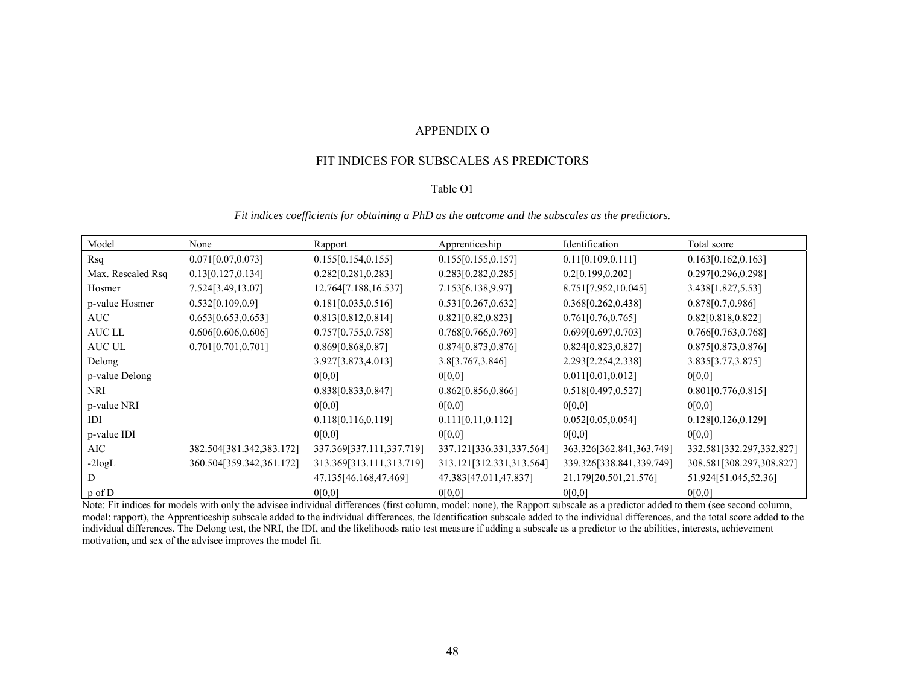#### APPENDIX O

#### FIT INDICES FOR SUBSCALES AS PREDICTORS

#### Table O1

*Fit indices coefficients for obtaining a PhD as the outcome and the subscales as the predictors.* 

| Model             | None                     | Rapport                  | Apprenticeship           | Identification           | Total score              |
|-------------------|--------------------------|--------------------------|--------------------------|--------------------------|--------------------------|
| Rsq               | 0.071[0.07, 0.073]       | 0.155[0.154, 0.155]      | 0.155[0.155, 0.157]      | 0.11[0.109, 0.111]       | 0.163[0.162, 0.163]      |
| Max. Rescaled Rsq | 0.13[0.127, 0.134]       | 0.282[0.281, 0.283]      | 0.283[0.282, 0.285]      | 0.2[0.199, 0.202]        | 0.297[0.296, 0.298]      |
| Hosmer            | 7.524[3.49,13.07]        | 12.764[7.188,16.537]     | 7.153[6.138,9.97]        | 8.751[7.952,10.045]      | 3.438[1.827,5.53]        |
| p-value Hosmer    | 0.532[0.109, 0.9]        | 0.181[0.035, 0.516]      | 0.531[0.267, 0.632]      | 0.368[0.262,0.438]       | 0.878[0.7, 0.986]        |
| AUC               | 0.653[0.653, 0.653]      | 0.813[0.812, 0.814]      | 0.821[0.82, 0.823]       | 0.761[0.76, 0.765]       | 0.82[0.818, 0.822]       |
| AUC LL            | 0.606[0.606, 0.606]      | 0.757[0.755, 0.758]      | 0.768[0.766,0.769]       | 0.699[0.697, 0.703]      | 0.766[0.763, 0.768]      |
| AUC UL            | 0.701[0.701, 0.701]      | 0.869[0.868, 0.87]       | 0.874[0.873, 0.876]      | 0.824[0.823, 0.827]      | 0.875[0.873, 0.876]      |
| Delong            |                          | 3.927[3.873,4.013]       | 3.8[3.767,3.846]         | 2.293[2.254,2.338]       | 3.835[3.77,3.875]        |
| p-value Delong    |                          | 0[0,0]                   | 0[0,0]                   | 0.011[0.01, 0.012]       | 0[0,0]                   |
| <b>NRI</b>        |                          | 0.838[0.833,0.847]       | 0.862[0.856, 0.866]      | 0.518[0.497, 0.527]      | 0.801[0.776, 0.815]      |
| p-value NRI       |                          | 0[0,0]                   | 0[0,0]                   | 0[0,0]                   | 0[0,0]                   |
| IDI               |                          | 0.118[0.116, 0.119]      | 0.111[0.11, 0.112]       | 0.052[0.05, 0.054]       | 0.128[0.126, 0.129]      |
| p-value IDI       |                          | 0[0,0]                   | 0[0,0]                   | 0[0,0]                   | 0[0,0]                   |
| AIC               | 382.504[381.342,383.172] | 337.369[337.111,337.719] | 337.121[336.331,337.564] | 363.326[362.841,363.749] | 332.581[332.297,332.827] |
| $-2$ logL         | 360.504[359.342,361.172] | 313.369[313.111,313.719] | 313.121[312.331,313.564] | 339.326[338.841,339.749] | 308.581[308.297,308.827] |
| D                 |                          | 47.135[46.168,47.469]    | 47.383[47.011,47.837]    | 21.179[20.501,21.576]    | 51.924[51.045,52.36]     |
| p of D            |                          | 0[0,0]                   | 0[0,0]                   | 0[0,0]                   | 0[0,0]                   |

Note: Fit indices for models with only the advisee individual differences (first column, model: none), the Rapport subscale as a predictor added to them (see second column, model: rapport), the Apprenticeship subscale added to the individual differences, the Identification subscale added to the individual differences, and the total score added to the individual differences. The Delong test, the NRI, the IDI, and the likelihoods ratio test measure if adding a subscale as a predictor to the abilities, interests, achievement motivation, and sex of the advisee improves the model fit.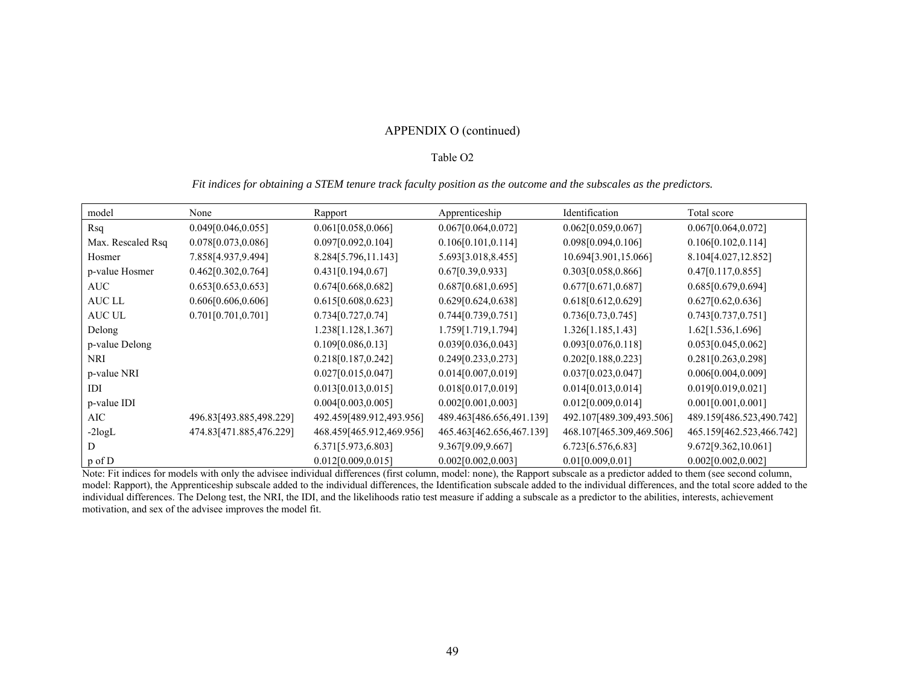# APPENDIX O (continued)

#### Table O2

#### *Fit indices for obtaining a STEM tenure track faculty position as the outcome and the subscales as the predictors.*

| model             | None                    | Rapport                  | Apprenticeship           | Identification           | Total score              |
|-------------------|-------------------------|--------------------------|--------------------------|--------------------------|--------------------------|
| Rsq               | 0.049[0.046, 0.055]     | 0.061[0.058, 0.066]      | 0.067[0.064, 0.072]      | 0.062[0.059, 0.067]      | 0.067[0.064, 0.072]      |
| Max. Rescaled Rsq | 0.078[0.073,0.086]      | 0.097[0.092, 0.104]      | 0.106[0.101, 0.114]      | 0.098[0.094, 0.106]      | 0.106[0.102, 0.114]      |
| Hosmer            | 7.858[4.937,9.494]      | 8.284[5.796,11.143]      | 5.693[3.018,8.455]       | 10.694[3.901,15.066]     | 8.104[4.027,12.852]      |
| p-value Hosmer    | 0.462[0.302, 0.764]     | 0.431[0.194, 0.67]       | 0.67[0.39, 0.933]        | 0.303[0.058,0.866]       | 0.47[0.117, 0.855]       |
| AUC               | 0.653[0.653, 0.653]     | 0.674[0.668, 0.682]      | 0.687[0.681, 0.695]      | 0.677[0.671, 0.687]      | 0.685[0.679, 0.694]      |
| AUC LL            | 0.606[0.606, 0.606]     | 0.615[0.608, 0.623]      | 0.629[0.624, 0.638]      | 0.618[0.612, 0.629]      | 0.627[0.62, 0.636]       |
| AUC UL            | 0.701[0.701, 0.701]     | 0.734[0.727, 0.74]       | 0.744[0.739, 0.751]      | 0.736[0.73, 0.745]       | 0.743[0.737, 0.751]      |
| Delong            |                         | 1.238[1.128,1.367]       | 1.759[1.719,1.794]       | 1.326[1.185, 1.43]       | 1.62[1.536,1.696]        |
| p-value Delong    |                         | 0.109[0.086, 0.13]       | 0.039[0.036, 0.043]      | 0.093[0.076, 0.118]      | 0.053[0.045, 0.062]      |
| NRI               |                         | 0.218[0.187,0.242]       | 0.249[0.233,0.273]       | 0.202[0.188,0.223]       | 0.281[0.263, 0.298]      |
| p-value NRI       |                         | 0.027[0.015, 0.047]      | 0.014[0.007, 0.019]      | 0.037[0.023, 0.047]      | 0.006[0.004, 0.009]      |
| IDI               |                         | 0.013[0.013, 0.015]      | 0.018[0.017, 0.019]      | 0.014[0.013, 0.014]      | 0.019[0.019, 0.021]      |
| p-value IDI       |                         | 0.004[0.003, 0.005]      | 0.002[0.001, 0.003]      | 0.012[0.009, 0.014]      | 0.001[0.001, 0.001]      |
| AIC               | 496.83[493.885,498.229] | 492.459[489.912,493.956] | 489.463[486.656,491.139] | 492.107[489.309,493.506] | 489.159[486.523,490.742] |
| $-2$ logL         | 474.83[471.885,476.229] | 468.459[465.912,469.956] | 465.463[462.656,467.139] | 468.107[465.309,469.506] | 465.159[462.523,466.742] |
|                   |                         | 6.371[5.973,6.803]       | 9.367[9.09,9.667]        | 6.723[6.576,6.83]        | 9.672[9.362,10.061]      |
| $p \circ f D$     |                         | 0.012[0.009, 0.015]      | 0.002[0.002, 0.003]      | 0.01[0.009, 0.01]        | 0.002[0.002, 0.002]      |

Note: Fit indices for models with only the advisee individual differences (first column, model: none), the Rapport subscale as a predictor added to them (see second column, model: Rapport), the Apprenticeship subscale added to the individual differences, the Identification subscale added to the individual differences, and the total score added to the individual differences. The Delong test, the NRI, the IDI, and the likelihoods ratio test measure if adding a subscale as a predictor to the abilities, interests, achievement motivation, and sex of the advisee improves the model fit.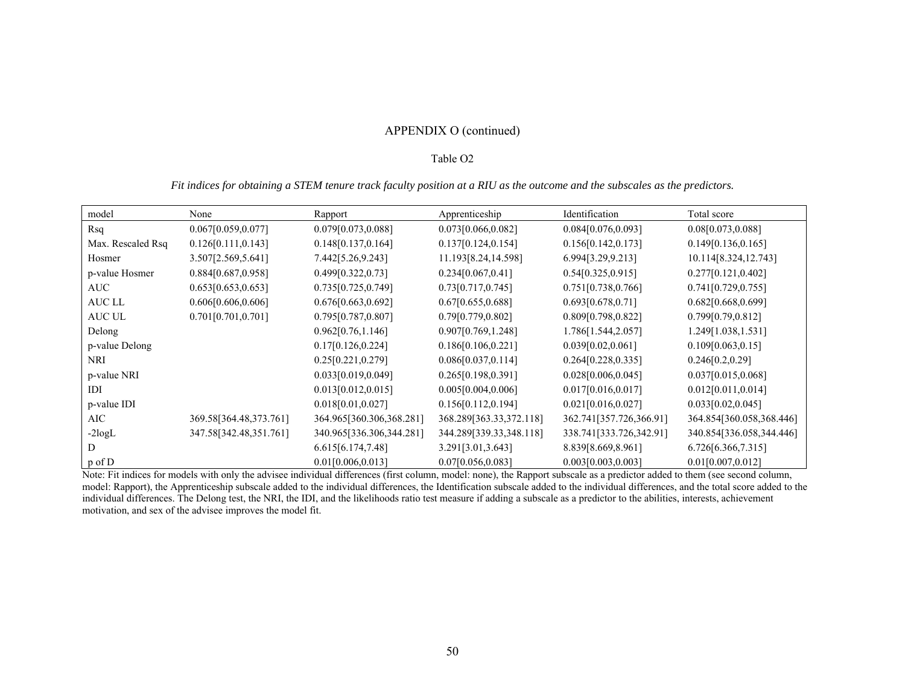# APPENDIX O (continued)

#### Table O2

## *Fit indices for obtaining a STEM tenure track faculty position at a RIU as the outcome and the subscales as the predictors.*

| model             | None                   | Rapport                  | Apprenticeship          | Identification          | Total score              |
|-------------------|------------------------|--------------------------|-------------------------|-------------------------|--------------------------|
| Rsq               | 0.067[0.059, 0.077]    | 0.079[0.073, 0.088]      | 0.073[0.066, 0.082]     | 0.084[0.076, 0.093]     | 0.08[0.073,0.088]        |
| Max. Rescaled Rsq | 0.126[0.111, 0.143]    | 0.148[0.137, 0.164]      | 0.137[0.124, 0.154]     | 0.156[0.142, 0.173]     | 0.149[0.136, 0.165]      |
| Hosmer            | 3.507[2.569,5.641]     | 7.442[5.26,9.243]        | 11.193[8.24,14.598]     | 6.994[3.29,9.213]       | 10.114[8.324,12.743]     |
| p-value Hosmer    | 0.884[0.687,0.958]     | 0.499[0.322, 0.73]       | 0.234[0.067, 0.41]      | 0.54[0.325, 0.915]      | 0.277[0.121, 0.402]      |
| AUC               | 0.653[0.653, 0.653]    | 0.735[0.725, 0.749]      | 0.73[0.717, 0.745]      | 0.751[0.738, 0.766]     | 0.741[0.729, 0.755]      |
| AUC LL            | 0.606[0.606, 0.606]    | 0.676[0.663, 0.692]      | 0.67[0.655, 0.688]      | 0.693[0.678, 0.71]      | 0.682[0.668,0.699]       |
| AUC UL            | 0.701[0.701, 0.701]    | 0.795[0.787, 0.807]      | 0.79[0.779, 0.802]      | 0.809[0.798,0.822]      | 0.799[0.79, 0.812]       |
| Delong            |                        | 0.962[0.76, 1.146]       | 0.907[0.769, 1.248]     | 1.786[1.544,2.057]      | 1.249[1.038,1.531]       |
| p-value Delong    |                        | 0.17[0.126, 0.224]       | 0.186[0.106, 0.221]     | 0.039[0.02, 0.061]      | 0.109[0.063, 0.15]       |
| NRI               |                        | 0.25[0.221, 0.279]       | 0.086[0.037, 0.114]     | 0.264[0.228, 0.335]     | 0.246[0.2, 0.29]         |
| p-value NRI       |                        | 0.033[0.019, 0.049]      | 0.265[0.198, 0.391]     | 0.028[0.006, 0.045]     | 0.037[0.015, 0.068]      |
| IDI               |                        | 0.013[0.012, 0.015]      | 0.005[0.004, 0.006]     | 0.017[0.016, 0.017]     | 0.012[0.011, 0.014]      |
| p-value IDI       |                        | 0.018[0.01, 0.027]       | 0.156[0.112, 0.194]     | 0.021[0.016, 0.027]     | 0.033[0.02, 0.045]       |
| AIC               | 369.58[364.48,373.761] | 364.965[360.306,368.281] | 368.289[363.33,372.118] | 362.741[357.726,366.91] | 364.854[360.058,368.446] |
| $-2$ logL         | 347.58[342.48,351.761] | 340.965[336.306,344.281] | 344.289[339.33,348.118] | 338.741[333.726,342.91] | 340.854[336.058,344.446] |
|                   |                        | 6.615[6.174,7.48]        | 3.291[3.01, 3.643]      | 8.839[8.669,8.961]      | 6.726[6.366, 7.315]      |
| p of D            |                        | 0.01[0.006, 0.013]       | 0.07[0.056, 0.083]      | 0.003[0.003, 0.003]     | 0.01[0.007, 0.012]       |

Note: Fit indices for models with only the advisee individual differences (first column, model: none), the Rapport subscale as a predictor added to them (see second column, model: Rapport), the Apprenticeship subscale added to the individual differences, the Identification subscale added to the individual differences, and the total score added to the individual differences. The Delong test, the NRI, the IDI, and the likelihoods ratio test measure if adding a subscale as a predictor to the abilities, interests, achievement motivation, and sex of the advisee improves the model fit.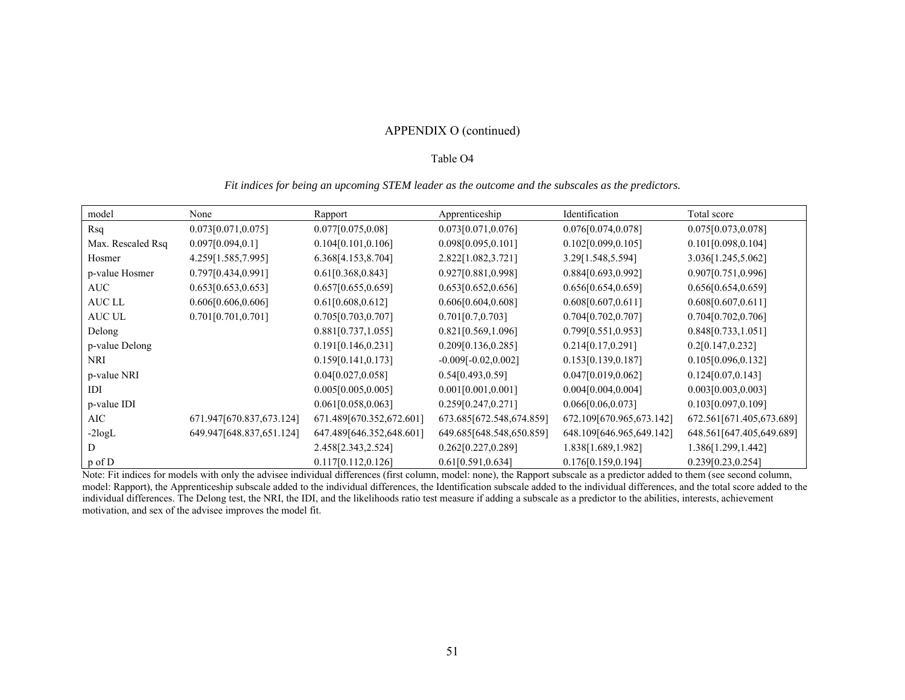# APPENDIX O (continued)

#### Table O4

#### *Fit indices for being an upcoming STEM leader as the outcome and the subscales as the predictors.*

| model             | None                     | Rapport                  | Apprenticeship           | Identification           | Total score              |
|-------------------|--------------------------|--------------------------|--------------------------|--------------------------|--------------------------|
| Rsq               | 0.073[0.071, 0.075]      | 0.077[0.075, 0.08]       | 0.073[0.071, 0.076]      | 0.076[0.074, 0.078]      | 0.075[0.073, 0.078]      |
| Max. Rescaled Rsq | 0.097[0.094, 0.1]        | 0.104[0.101, 0.106]      | 0.098[0.095, 0.101]      | 0.102[0.099, 0.105]      | 0.101[0.098, 0.104]      |
| Hosmer            | 4.259[1.585,7.995]       | 6.368[4.153,8.704]       | 2.822[1.082,3.721]       | 3.29[1.548,5.594]        | 3.036[1.245,5.062]       |
| p-value Hosmer    | 0.797[0.434, 0.991]      | 0.61[0.368, 0.843]       | 0.927[0.881,0.998]       | 0.884[0.693,0.992]       | 0.907[0.751, 0.996]      |
| AUC               | 0.653[0.653, 0.653]      | 0.657[0.655, 0.659]      | 0.653[0.652, 0.656]      | 0.656[0.654, 0.659]      | 0.656[0.654, 0.659]      |
| AUC LL            | 0.606[0.606, 0.606]      | 0.61[0.608, 0.612]       | 0.606[0.604, 0.608]      | 0.608[0.607, 0.611]      | 0.608[0.607, 0.611]      |
| AUC UL            | 0.701[0.701, 0.701]      | 0.705[0.703, 0.707]      | 0.701[0.7, 0.703]        | 0.704[0.702, 0.707]      | 0.704[0.702, 0.706]      |
| Delong            |                          | 0.881[0.737, 1.055]      | 0.821[0.569, 1.096]      | 0.799[0.551,0.953]       | 0.848[0.733, 1.051]      |
| p-value Delong    |                          | 0.191[0.146, 0.231]      | 0.209[0.136,0.285]       | 0.214[0.17, 0.291]       | 0.2[0.147, 0.232]        |
| NRI               |                          | 0.159[0.141,0.173]       | $-0.009[-0.02, 0.002]$   | 0.153[0.139,0.187]       | 0.105[0.096, 0.132]      |
| p-value NRI       |                          | 0.04[0.027, 0.058]       | 0.54[0.493, 0.59]        | 0.047[0.019, 0.062]      | 0.124[0.07, 0.143]       |
| IDI               |                          | 0.005[0.005, 0.005]      | 0.001[0.001, 0.001]      | 0.004[0.004, 0.004]      | 0.003[0.003, 0.003]      |
| p-value IDI       |                          | 0.061[0.058, 0.063]      | 0.259[0.247, 0.271]      | 0.066[0.06, 0.073]       | 0.103[0.097, 0.109]      |
| AIC               | 671.947[670.837,673.124] | 671.489[670.352,672.601] | 673.685[672.548,674.859] | 672.109[670.965,673.142] | 672.561[671.405,673.689] |
| $-2$ logL         | 649.947[648.837,651.124] | 647.489[646.352,648.601] | 649.685[648.548,650.859] | 648.109[646.965,649.142] | 648.561[647.405,649.689] |
|                   |                          | 2.458[2.343,2.524]       | 0.262[0.227,0.289]       | 1.838[1.689,1.982]       | 1.386[1.299,1.442]       |
| $p \circ f D$     |                          | 0.117[0.112, 0.126]      | 0.61[0.591, 0.634]       | 0.176[0.159,0.194]       | 0.239[0.23, 0.254]       |

Note: Fit indices for models with only the advisee individual differences (first column, model: none), the Rapport subscale as a predictor added to them (see second column, model: Rapport), the Apprenticeship subscale added to the individual differences, the Identification subscale added to the individual differences, and the total score added to the individual differences. The Delong test, the NRI, the IDI, and the likelihoods ratio test measure if adding a subscale as a predictor to the abilities, interests, achievement motivation, and sex of the advisee improves the model fit.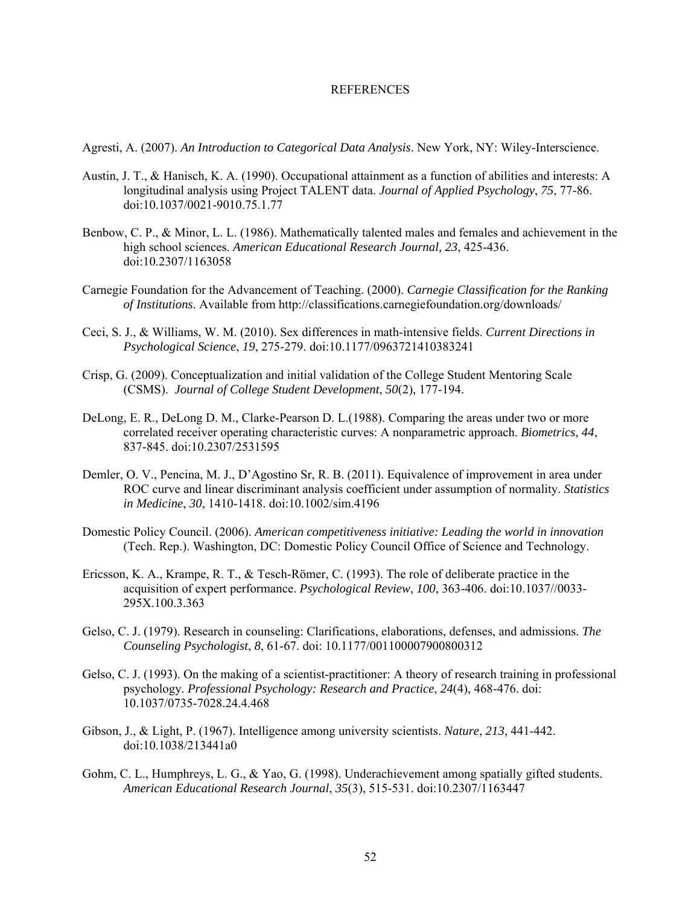#### **REFERENCES**

Agresti, A. (2007). *An Introduction to Categorical Data Analysis*. New York, NY: Wiley-Interscience.

- Austin, J. T., & Hanisch, K. A. (1990). Occupational attainment as a function of abilities and interests: A longitudinal analysis using Project TALENT data. *Journal of Applied Psychology*, *75*, 77-86. doi:10.1037/0021-9010.75.1.77
- Benbow, C. P., & Minor, L. L. (1986). Mathematically talented males and females and achievement in the high school sciences. *American Educational Research Journal, 23*, 425-436. doi:10.2307/1163058
- Carnegie Foundation for the Advancement of Teaching. (2000). *Carnegie Classification for the Ranking of Institutions*. Available from http://classifications.carnegiefoundation.org/downloads/
- Ceci, S. J., & Williams, W. M. (2010). Sex differences in math-intensive fields. *Current Directions in Psychological Science*, *19*, 275-279. doi:10.1177/0963721410383241
- Crisp, G. (2009). Conceptualization and initial validation of the College Student Mentoring Scale (CSMS). *Journal of College Student Development*, *50*(2), 177-194.
- DeLong, E. R., DeLong D. M., Clarke-Pearson D. L.(1988). Comparing the areas under two or more correlated receiver operating characteristic curves: A nonparametric approach. *Biometrics*, *44*, 837-845. doi:10.2307/2531595
- Demler, O. V., Pencina, M. J., D'Agostino Sr, R. B. (2011). Equivalence of improvement in area under ROC curve and linear discriminant analysis coefficient under assumption of normality. *Statistics in Medicine*, *30*, 1410-1418. doi:10.1002/sim.4196
- Domestic Policy Council. (2006). *American competitiveness initiative: Leading the world in innovation*  (Tech. Rep.). Washington, DC: Domestic Policy Council Office of Science and Technology.
- Ericsson, K. A., Krampe, R. T., & Tesch-Römer, C. (1993). The role of deliberate practice in the acquisition of expert performance. *Psychological Review*, *100*, 363-406. doi:10.1037//0033- 295X.100.3.363
- Gelso, C. J. (1979). Research in counseling: Clarifications, elaborations, defenses, and admissions. *The Counseling Psychologist*, *8*, 61-67. doi: 10.1177/001100007900800312
- Gelso, C. J. (1993). On the making of a scientist-practitioner: A theory of research training in professional psychology. *Professional Psychology: Research and Practice*, *24*(4), 468-476. doi: 10.1037/0735-7028.24.4.468
- Gibson, J., & Light, P. (1967). Intelligence among university scientists. *Nature*, *213*, 441-442. doi:10.1038/213441a0
- Gohm, C. L., Humphreys, L. G., & Yao, G. (1998). Underachievement among spatially gifted students. *American Educational Research Journal*, *35*(3), 515-531. doi:10.2307/1163447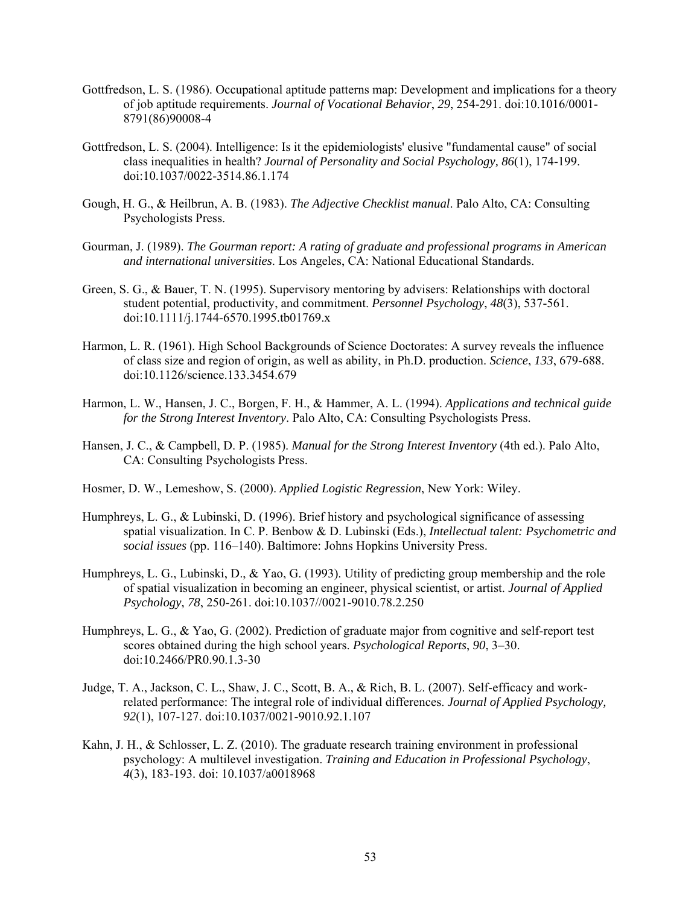- Gottfredson, L. S. (1986). Occupational aptitude patterns map: Development and implications for a theory of job aptitude requirements. *Journal of Vocational Behavior*, *29*, 254-291. doi:10.1016/0001- 8791(86)90008-4
- Gottfredson, L. S. (2004). Intelligence: Is it the epidemiologists' elusive "fundamental cause" of social class inequalities in health? *Journal of Personality and Social Psychology, 86*(1), 174-199. doi:10.1037/0022-3514.86.1.174
- Gough, H. G., & Heilbrun, A. B. (1983). *The Adjective Checklist manual*. Palo Alto, CA: Consulting Psychologists Press.
- Gourman, J. (1989). *The Gourman report: A rating of graduate and professional programs in American and international universities*. Los Angeles, CA: National Educational Standards.
- Green, S. G., & Bauer, T. N. (1995). Supervisory mentoring by advisers: Relationships with doctoral student potential, productivity, and commitment. *Personnel Psychology*, *48*(3), 537-561. doi:10.1111/j.1744-6570.1995.tb01769.x
- Harmon, L. R. (1961). High School Backgrounds of Science Doctorates: A survey reveals the influence of class size and region of origin, as well as ability, in Ph.D. production. *Science*, *133*, 679-688. doi:10.1126/science.133.3454.679
- Harmon, L. W., Hansen, J. C., Borgen, F. H., & Hammer, A. L. (1994). *Applications and technical guide for the Strong Interest Inventory*. Palo Alto, CA: Consulting Psychologists Press.
- Hansen, J. C., & Campbell, D. P. (1985). *Manual for the Strong Interest Inventory* (4th ed.). Palo Alto, CA: Consulting Psychologists Press.
- Hosmer, D. W., Lemeshow, S. (2000). *Applied Logistic Regression*, New York: Wiley.
- Humphreys, L. G., & Lubinski, D. (1996). Brief history and psychological significance of assessing spatial visualization. In C. P. Benbow & D. Lubinski (Eds.), *Intellectual talent: Psychometric and social issues* (pp. 116–140). Baltimore: Johns Hopkins University Press.
- Humphreys, L. G., Lubinski, D., & Yao, G. (1993). Utility of predicting group membership and the role of spatial visualization in becoming an engineer, physical scientist, or artist. *Journal of Applied Psychology*, *78*, 250-261. doi:10.1037//0021-9010.78.2.250
- Humphreys, L. G., & Yao, G. (2002). Prediction of graduate major from cognitive and self-report test scores obtained during the high school years. *Psychological Reports*, *90*, 3–30. doi:10.2466/PR0.90.1.3-30
- Judge, T. A., Jackson, C. L., Shaw, J. C., Scott, B. A., & Rich, B. L. (2007). Self-efficacy and workrelated performance: The integral role of individual differences. *Journal of Applied Psychology, 92*(1), 107-127. doi:10.1037/0021-9010.92.1.107
- Kahn, J. H., & Schlosser, L. Z. (2010). The graduate research training environment in professional psychology: A multilevel investigation. *Training and Education in Professional Psychology*, *4*(3), 183-193. doi: 10.1037/a0018968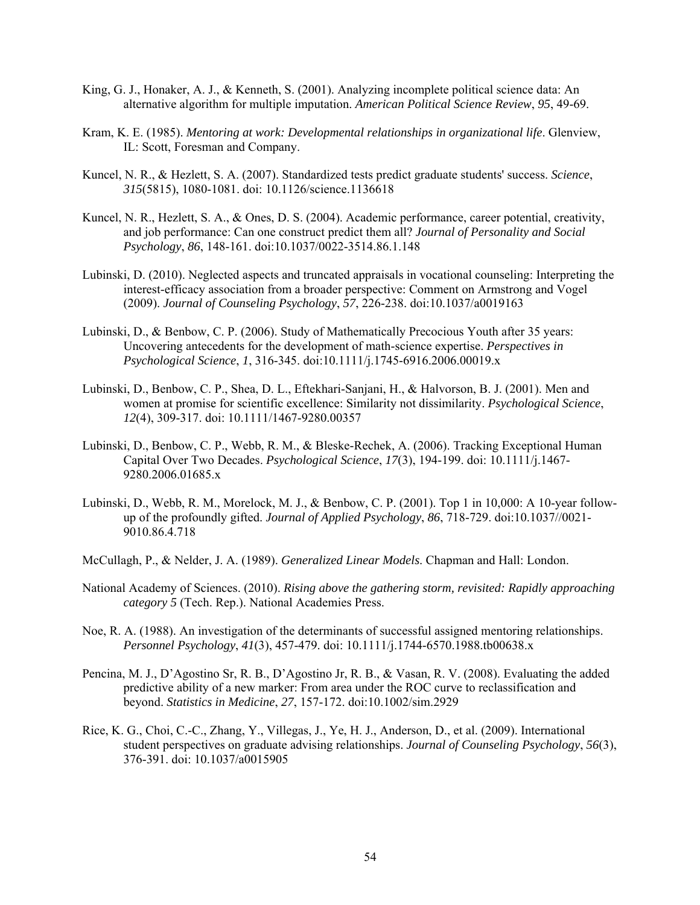- King, G. J., Honaker, A. J., & Kenneth, S. (2001). Analyzing incomplete political science data: An alternative algorithm for multiple imputation. *American Political Science Review*, *95*, 49-69.
- Kram, K. E. (1985). *Mentoring at work: Developmental relationships in organizational life*. Glenview, IL: Scott, Foresman and Company.
- Kuncel, N. R., & Hezlett, S. A. (2007). Standardized tests predict graduate students' success. *Science*, *315*(5815), 1080-1081. doi: 10.1126/science.1136618
- Kuncel, N. R., Hezlett, S. A., & Ones, D. S. (2004). Academic performance, career potential, creativity, and job performance: Can one construct predict them all? *Journal of Personality and Social Psychology*, *86*, 148-161. doi:10.1037/0022-3514.86.1.148
- Lubinski, D. (2010). Neglected aspects and truncated appraisals in vocational counseling: Interpreting the interest-efficacy association from a broader perspective: Comment on Armstrong and Vogel (2009). *Journal of Counseling Psychology*, *57*, 226-238. doi:10.1037/a0019163
- Lubinski, D., & Benbow, C. P. (2006). Study of Mathematically Precocious Youth after 35 years: Uncovering antecedents for the development of math-science expertise. *Perspectives in Psychological Science*, *1*, 316-345. doi:10.1111/j.1745-6916.2006.00019.x
- Lubinski, D., Benbow, C. P., Shea, D. L., Eftekhari-Sanjani, H., & Halvorson, B. J. (2001). Men and women at promise for scientific excellence: Similarity not dissimilarity. *Psychological Science*, *12*(4), 309-317. doi: 10.1111/1467-9280.00357
- Lubinski, D., Benbow, C. P., Webb, R. M., & Bleske-Rechek, A. (2006). Tracking Exceptional Human Capital Over Two Decades. *Psychological Science*, *17*(3), 194-199. doi: 10.1111/j.1467- 9280.2006.01685.x
- Lubinski, D., Webb, R. M., Morelock, M. J., & Benbow, C. P. (2001). Top 1 in 10,000: A 10-year followup of the profoundly gifted. *Journal of Applied Psychology*, *86*, 718-729. doi:10.1037//0021- 9010.86.4.718
- McCullagh, P., & Nelder, J. A. (1989). *Generalized Linear Models*. Chapman and Hall: London.
- National Academy of Sciences. (2010). *Rising above the gathering storm, revisited: Rapidly approaching category 5* (Tech. Rep.). National Academies Press.
- Noe, R. A. (1988). An investigation of the determinants of successful assigned mentoring relationships. *Personnel Psychology*, *41*(3), 457-479. doi: 10.1111/j.1744-6570.1988.tb00638.x
- Pencina, M. J., D'Agostino Sr, R. B., D'Agostino Jr, R. B., & Vasan, R. V. (2008). Evaluating the added predictive ability of a new marker: From area under the ROC curve to reclassification and beyond. *Statistics in Medicine*, *27*, 157-172. doi:10.1002/sim.2929
- Rice, K. G., Choi, C.-C., Zhang, Y., Villegas, J., Ye, H. J., Anderson, D., et al. (2009). International student perspectives on graduate advising relationships. *Journal of Counseling Psychology*, *56*(3), 376-391. doi: 10.1037/a0015905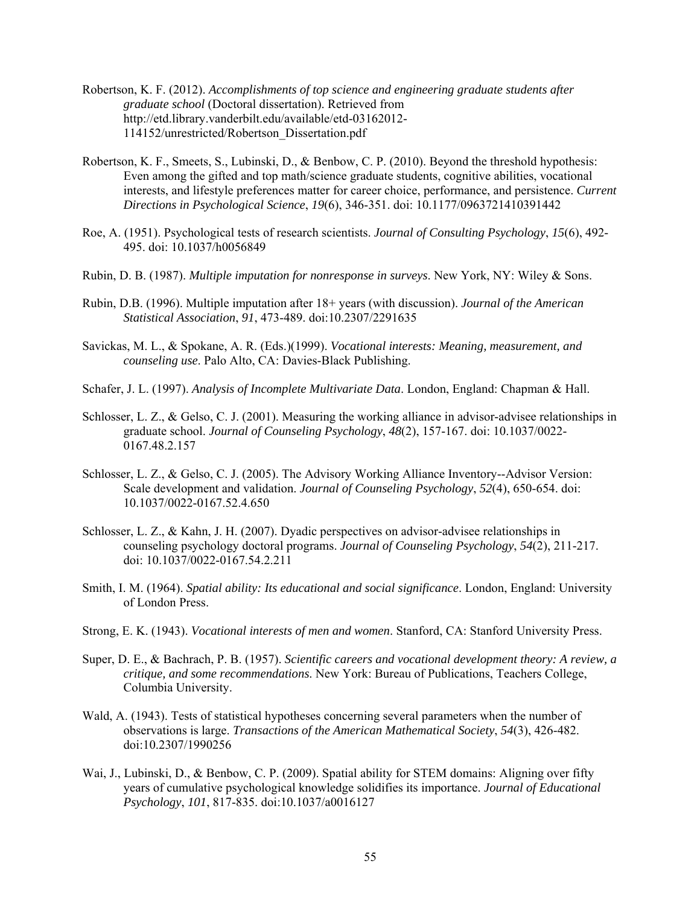- Robertson, K. F. (2012). *Accomplishments of top science and engineering graduate students after graduate school* (Doctoral dissertation). Retrieved from http://etd.library.vanderbilt.edu/available/etd-03162012- 114152/unrestricted/Robertson\_Dissertation.pdf
- Robertson, K. F., Smeets, S., Lubinski, D., & Benbow, C. P. (2010). Beyond the threshold hypothesis: Even among the gifted and top math/science graduate students, cognitive abilities, vocational interests, and lifestyle preferences matter for career choice, performance, and persistence. *Current Directions in Psychological Science*, *19*(6), 346-351. doi: 10.1177/0963721410391442
- Roe, A. (1951). Psychological tests of research scientists. *Journal of Consulting Psychology*, *15*(6), 492- 495. doi: 10.1037/h0056849
- Rubin, D. B. (1987). *Multiple imputation for nonresponse in surveys*. New York, NY: Wiley & Sons.
- Rubin, D.B. (1996). Multiple imputation after 18+ years (with discussion). *Journal of the American Statistical Association*, *91*, 473-489. doi:10.2307/2291635
- Savickas, M. L., & Spokane, A. R. (Eds.)(1999). *Vocational interests: Meaning, measurement, and counseling use*. Palo Alto, CA: Davies-Black Publishing.
- Schafer, J. L. (1997). *Analysis of Incomplete Multivariate Data*. London, England: Chapman & Hall.
- Schlosser, L. Z., & Gelso, C. J. (2001). Measuring the working alliance in advisor-advisee relationships in graduate school. *Journal of Counseling Psychology*, *48*(2), 157-167. doi: 10.1037/0022- 0167.48.2.157
- Schlosser, L. Z., & Gelso, C. J. (2005). The Advisory Working Alliance Inventory--Advisor Version: Scale development and validation. *Journal of Counseling Psychology*, *52*(4), 650-654. doi: 10.1037/0022-0167.52.4.650
- Schlosser, L. Z., & Kahn, J. H. (2007). Dyadic perspectives on advisor-advisee relationships in counseling psychology doctoral programs. *Journal of Counseling Psychology*, *54*(2), 211-217. doi: 10.1037/0022-0167.54.2.211
- Smith, I. M. (1964). *Spatial ability: Its educational and social significance*. London, England: University of London Press.
- Strong, E. K. (1943). *Vocational interests of men and women*. Stanford, CA: Stanford University Press.
- Super, D. E., & Bachrach, P. B. (1957). *Scientific careers and vocational development theory: A review, a critique, and some recommendations*. New York: Bureau of Publications, Teachers College, Columbia University.
- Wald, A. (1943). Tests of statistical hypotheses concerning several parameters when the number of observations is large. *Transactions of the American Mathematical Society*, *54*(3), 426-482. doi:10.2307/1990256
- Wai, J., Lubinski, D., & Benbow, C. P. (2009). Spatial ability for STEM domains: Aligning over fifty years of cumulative psychological knowledge solidifies its importance. *Journal of Educational Psychology*, *101*, 817-835. doi:10.1037/a0016127